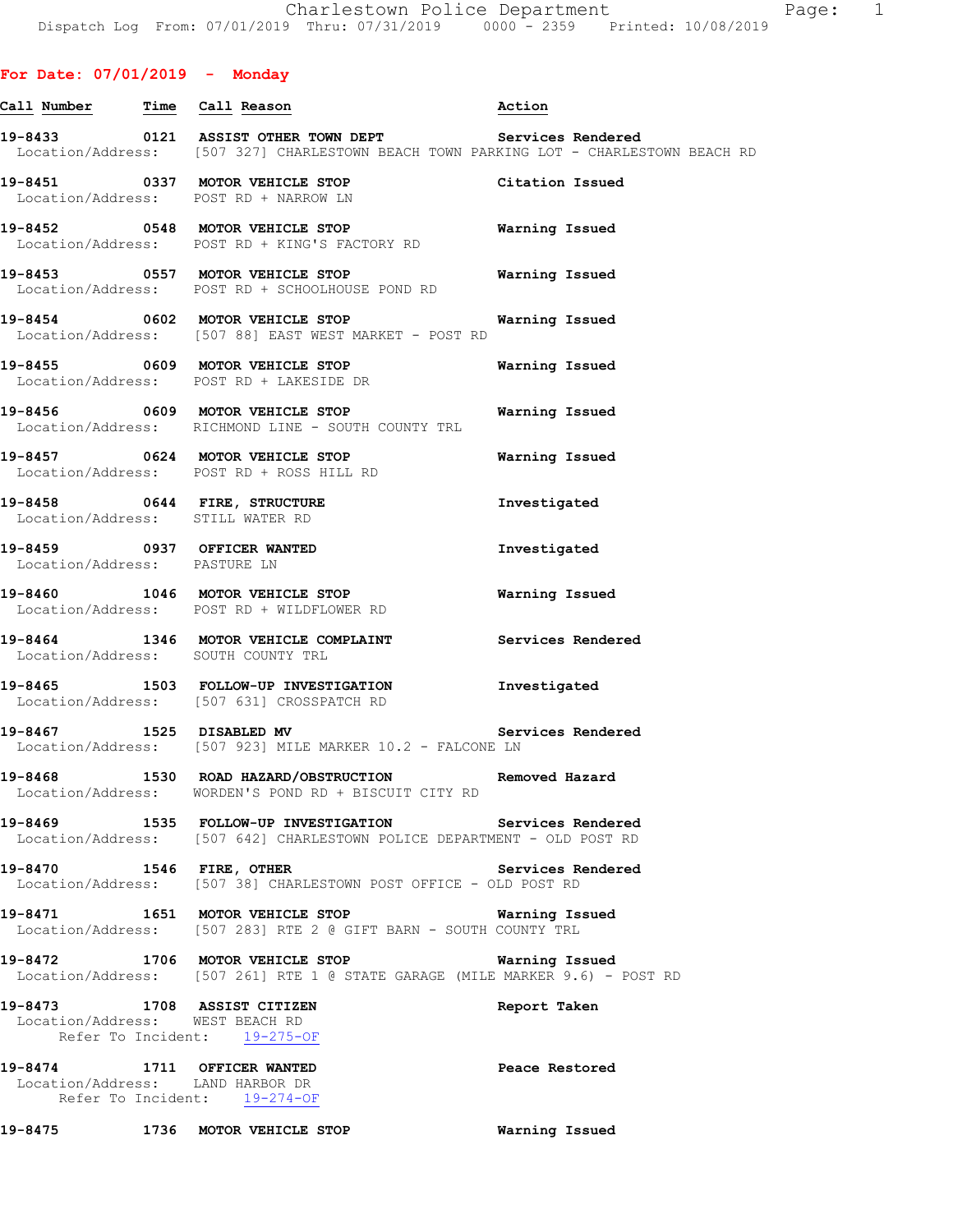## **For Date: 07/01/2019 - Monday**

|                              | Call Number Time Call Reason                                                                                                                            | Action                |
|------------------------------|---------------------------------------------------------------------------------------------------------------------------------------------------------|-----------------------|
|                              | 19-8433 0121 ASSIST OTHER TOWN DEPT Services Rendered<br>Location/Address: [507 327] CHARLESTOWN BEACH TOWN PARKING LOT - CHARLESTOWN BEACH RD          |                       |
|                              | 19-8451 0337 MOTOR VEHICLE STOP<br>Location/Address: POST RD + NARROW LN                                                                                | Citation Issued       |
|                              | 19-8452 0548 MOTOR VEHICLE STOP<br>Location/Address: POST RD + KING'S FACTORY RD                                                                        | Warning Issued        |
|                              | 19-8453 0557 MOTOR VEHICLE STOP<br>Location/Address: POST RD + SCHOOLHOUSE POND RD                                                                      | Warning Issued        |
|                              | 19-8454 0602 MOTOR VEHICLE STOP<br>Location/Address: [507 88] EAST WEST MARKET - POST RD                                                                | Warning Issued        |
|                              | 19-8455 0609 MOTOR VEHICLE STOP 600 Warning Issued<br>Location/Address: POST RD + LAKESIDE DR                                                           |                       |
|                              | 19-8456 0609 MOTOR VEHICLE STOP<br>Location/Address: RICHMOND LINE - SOUTH COUNTY TRL                                                                   | Warning Issued        |
|                              | 19-8457 0624 MOTOR VEHICLE STOP<br>Location/Address: POST RD + ROSS HILL RD                                                                             | Warning Issued        |
|                              | 19-8458 0644 FIRE, STRUCTURE<br>Location/Address: STILL WATER RD                                                                                        | Investigated          |
| Location/Address: PASTURE LN | 19-8459 0937 OFFICER WANTED                                                                                                                             | Investigated          |
|                              | 19-8460 1046 MOTOR VEHICLE STOP<br>Location/Address: POST RD + WILDFLOWER RD                                                                            | <b>Warning Issued</b> |
|                              | 19-8464 1346 MOTOR VEHICLE COMPLAINT<br>Location/Address: SOUTH COUNTY TRL                                                                              | Services Rendered     |
|                              | 19-8465 1503 FOLLOW-UP INVESTIGATION<br>Location/Address: [507 631] CROSSPATCH RD                                                                       | Investigated          |
| 19-8467 1525 DISABLED MV     | Location/Address: [507 923] MILE MARKER 10.2 - FALCONE LN                                                                                               | Services Rendered     |
|                              | 19-8468                  1530    ROAD  HAZARD/OBSTRUCTION                       Removed  Hazard<br>Location/Address: WORDEN'S POND RD + BISCUIT CITY RD |                       |
|                              | 19-8469 1535 FOLLOW-UP INVESTIGATION Services Rendered<br>Location/Address: [507 642] CHARLESTOWN POLICE DEPARTMENT - OLD POST RD                       |                       |
| 19-8470 1546 FIRE, OTHER     | Location/Address: [507 38] CHARLESTOWN POST OFFICE - OLD POST RD                                                                                        | Services Rendered     |
|                              | 19-8471 1651 MOTOR VEHICLE STOP Warning Issued<br>Location/Address: [507 283] RTE 2 @ GIFT BARN - SOUTH COUNTY TRL                                      |                       |
|                              | 19-8472 1706 MOTOR VEHICLE STOP<br>Location/Address: [507 261] RTE 1 @ STATE GARAGE (MILE MARKER 9.6) - POST RD                                         | Warning Issued        |
|                              | 19-8473 1708 ASSIST CITIZEN<br>Location/Address: WEST BEACH RD<br>Refer To Incident: 19-275-OF                                                          | Report Taken          |
|                              | 19-8474 1711 OFFICER WANTED<br>Location/Address: LAND HARBOR DR<br>Refer To Incident: 19-274-OF                                                         | Peace Restored        |
| 19-8475                      | 1736 MOTOR VEHICLE STOP                                                                                                                                 | Warning Issued        |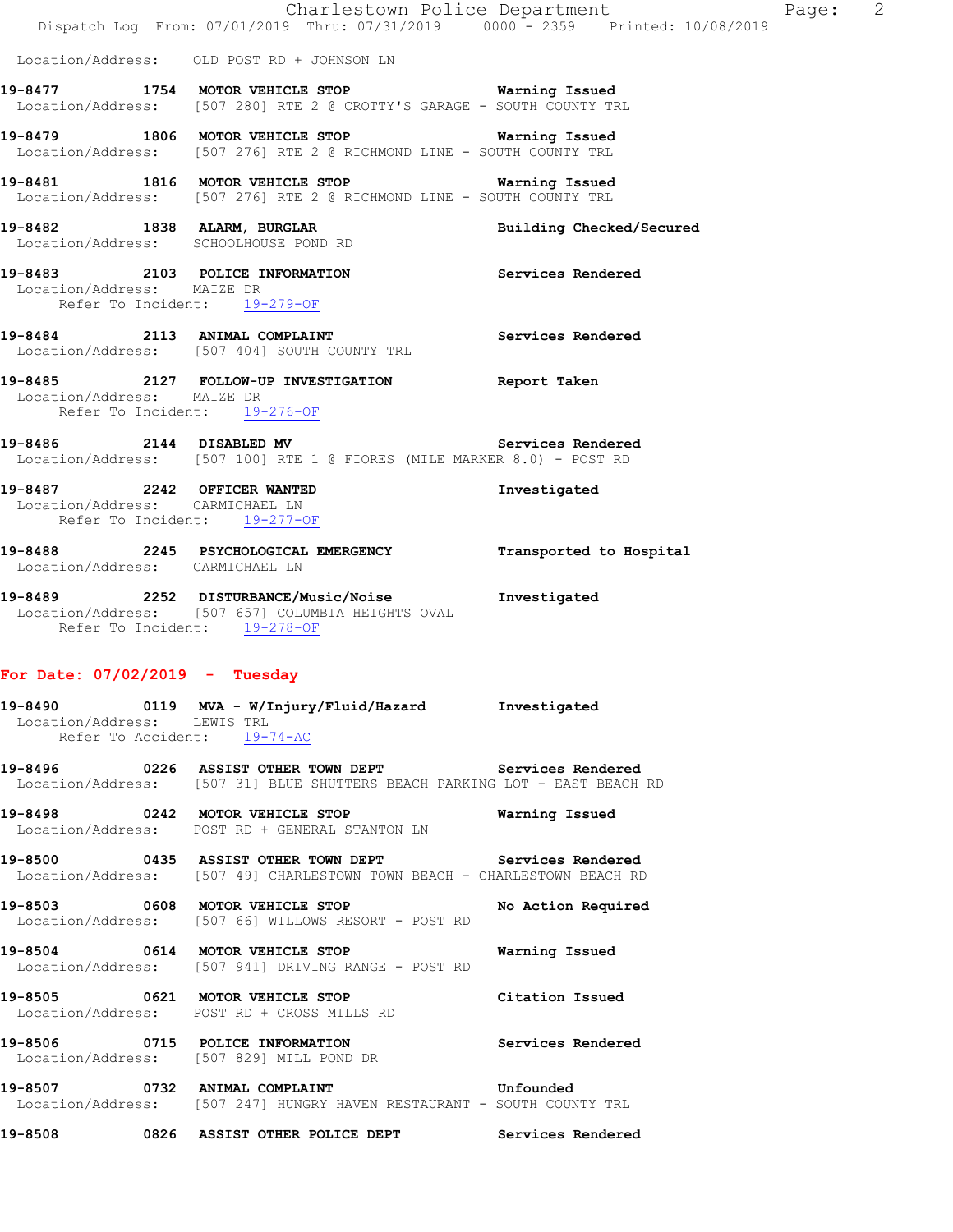|                                                            | Charlestown Police Department<br>Dispatch Log From: 07/01/2019 Thru: 07/31/2019 0000 - 2359 Printed: 10/08/2019                        |                          |
|------------------------------------------------------------|----------------------------------------------------------------------------------------------------------------------------------------|--------------------------|
|                                                            | Location/Address: OLD POST RD + JOHNSON LN                                                                                             |                          |
|                                                            | 19-8477 1754 MOTOR VEHICLE STOP Warning Issued<br>Location/Address: [507 280] RTE 2 @ CROTTY'S GARAGE - SOUTH COUNTY TRL               |                          |
|                                                            | 19-8479 1806 MOTOR VEHICLE STOP Warning Issued<br>Location/Address: [507 276] RTE 2 @ RICHMOND LINE - SOUTH COUNTY TRL                 |                          |
|                                                            | 19-8481 1816 MOTOR VEHICLE STOP Warning Issued<br>Location/Address: [507 276] RTE 2 @ RICHMOND LINE - SOUTH COUNTY TRL                 |                          |
|                                                            | 19-8482 1838 ALARM, BURGLAR<br>Location/Address: SCHOOLHOUSE POND RD                                                                   | Building Checked/Secured |
| Location/Address: MAIZE DR<br>Refer To Incident: 19-279-OF | 19-8483 2103 POLICE INFORMATION Services Rendered                                                                                      |                          |
|                                                            | 19-8484 2113 ANIMAL COMPLAINT Services Rendered Location/Address: [507 404] SOUTH COUNTY TRL                                           |                          |
| Location/Address: MAIZE DR                                 | 19-8485 2127 FOLLOW-UP INVESTIGATION Report Taken<br>Refer To Incident: 19-276-OF                                                      |                          |
|                                                            | 19-8486 2144 DISABLED MV Services Rendered<br>Location/Address: [507 100] RTE 1 @ FIORES (MILE MARKER 8.0) - POST RD                   |                          |
| Location/Address: CARMICHAEL LN                            | 19-8487 2242 OFFICER WANTED<br>Refer To Incident: 19-277-OF                                                                            | Investigated             |
| Location/Address: CARMICHAEL LN                            | 19-8488 2245 PSYCHOLOGICAL EMERGENCY Transported to Hospital                                                                           |                          |
|                                                            | 19-8489 2252 DISTURBANCE/Music/Noise 1nvestigated<br>Location/Address: [507 657] COLUMBIA HEIGHTS OVAL<br>Refer To Incident: 19-278-OF |                          |
| For Date: $07/02/2019$ - Tuesday                           |                                                                                                                                        |                          |

Page:  $2$ 

#### **19-8490 0119 MVA - W/Injury/Fluid/Hazard Investigated**  Location/Address: LEWIS TRL Refer To Accident: 19-74-AC

**19-8496 0226 ASSIST OTHER TOWN DEPT Services Rendered**  Location/Address: [507 31] BLUE SHUTTERS BEACH PARKING LOT - EAST BEACH RD

**19-8498 0242 MOTOR VEHICLE STOP Warning Issued**  Location/Address: POST RD + GENERAL STANTON LN

**19-8500 0435 ASSIST OTHER TOWN DEPT Services Rendered**  Location/Address: [507 49] CHARLESTOWN TOWN BEACH - CHARLESTOWN BEACH RD

**19-8503 0608 MOTOR VEHICLE STOP No Action Required**  Location/Address: [507 66] WILLOWS RESORT - POST RD

**19-8504 0614 MOTOR VEHICLE STOP Warning Issued**  Location/Address: [507 941] DRIVING RANGE - POST RD

**19-8505 0621 MOTOR VEHICLE STOP Citation Issued**  Location/Address: POST RD + CROSS MILLS RD

**19-8506 0715 POLICE INFORMATION Services Rendered**  Location/Address: [507 829] MILL POND DR

**19-8507 0732 ANIMAL COMPLAINT Unfounded**  Location/Address: [507 247] HUNGRY HAVEN RESTAURANT - SOUTH COUNTY TRL

**19-8508 0826 ASSIST OTHER POLICE DEPT Services Rendered**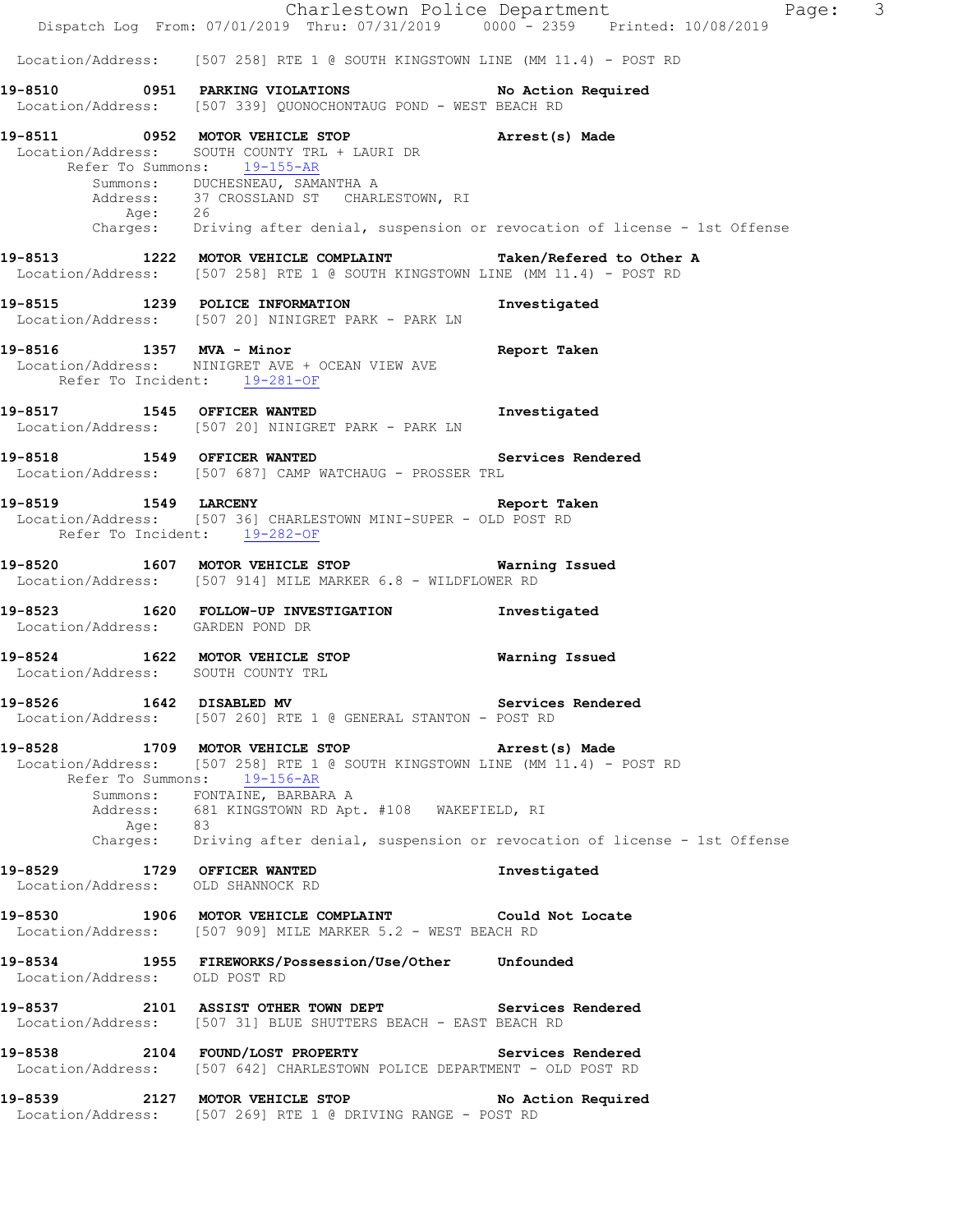Charlestown Police Department Page: 3 Dispatch Log From: 07/01/2019 Thru: 07/31/2019 0000 - 2359 Printed: 10/08/2019 Location/Address: [507 258] RTE 1 @ SOUTH KINGSTOWN LINE (MM 11.4) - POST RD **19-8510 0951 PARKING VIOLATIONS No Action Required**  Location/Address: [507 339] QUONOCHONTAUG POND - WEST BEACH RD **19-8511 0952 MOTOR VEHICLE STOP Arrest(s) Made**  Location/Address: SOUTH COUNTY TRL + LAURI DR Refer To Summons: 19-155-AR Summons: DUCHESNEAU, SAMANTHA A Address: 37 CROSSLAND ST CHARLESTOWN, RI Age: 26 Charges: Driving after denial, suspension or revocation of license - 1st Offense **19-8513 1222 MOTOR VEHICLE COMPLAINT Taken/Refered to Other A**  Location/Address: [507 258] RTE 1 @ SOUTH KINGSTOWN LINE (MM 11.4) - POST RD **19-8515 1239 POLICE INFORMATION Investigated**  Location/Address: [507 20] NINIGRET PARK - PARK LN **19-8516 1357 MVA - Minor Report Taken**  Location/Address: NINIGRET AVE + OCEAN VIEW AVE Refer To Incident: 19-281-OF **19-8517 1545 OFFICER WANTED Investigated**  Location/Address: [507 20] NINIGRET PARK - PARK LN **19-8518 1549 OFFICER WANTED Services Rendered**  Location/Address: [507 687] CAMP WATCHAUG - PROSSER TRL **19-8519 1549 LARCENY Report Taken**  Location/Address: [507 36] CHARLESTOWN MINI-SUPER - OLD POST RD Refer To Incident: 19-282-OF **19-8520 1607 MOTOR VEHICLE STOP Warning Issued**  Location/Address: [507 914] MILE MARKER 6.8 - WILDFLOWER RD **19-8523 1620 FOLLOW-UP INVESTIGATION Investigated**  Location/Address: GARDEN POND DR **19-8524 1622 MOTOR VEHICLE STOP Warning Issued**  Location/Address: SOUTH COUNTY TRL **19-8526 1642 DISABLED MV Services Rendered**  Location/Address: [507 260] RTE 1 @ GENERAL STANTON - POST RD **19-8528 1709 MOTOR VEHICLE STOP Arrest(s) Made**  Location/Address: [507 258] RTE 1 @ SOUTH KINGSTOWN LINE (MM 11.4) - POST RD Refer To Summons: 19-156-AR Summons: FONTAINE, BARBARA A Address: 681 KINGSTOWN RD Apt. #108 WAKEFIELD, RI Age: 83 Charges: Driving after denial, suspension or revocation of license - 1st Offense **19-8529 1729 OFFICER WANTED Investigated**  Location/Address: OLD SHANNOCK RD **19-8530 1906 MOTOR VEHICLE COMPLAINT Could Not Locate**  Location/Address: [507 909] MILE MARKER 5.2 - WEST BEACH RD **19-8534 1955 FIREWORKS/Possession/Use/Other Unfounded**  Location/Address: OLD POST RD **19-8537 2101 ASSIST OTHER TOWN DEPT Services Rendered**  Location/Address: [507 31] BLUE SHUTTERS BEACH - EAST BEACH RD **19-8538 2104 FOUND/LOST PROPERTY Services Rendered**  Location/Address: [507 642] CHARLESTOWN POLICE DEPARTMENT - OLD POST RD **19-8539 2127 MOTOR VEHICLE STOP No Action Required**  Location/Address: [507 269] RTE 1 @ DRIVING RANGE - POST RD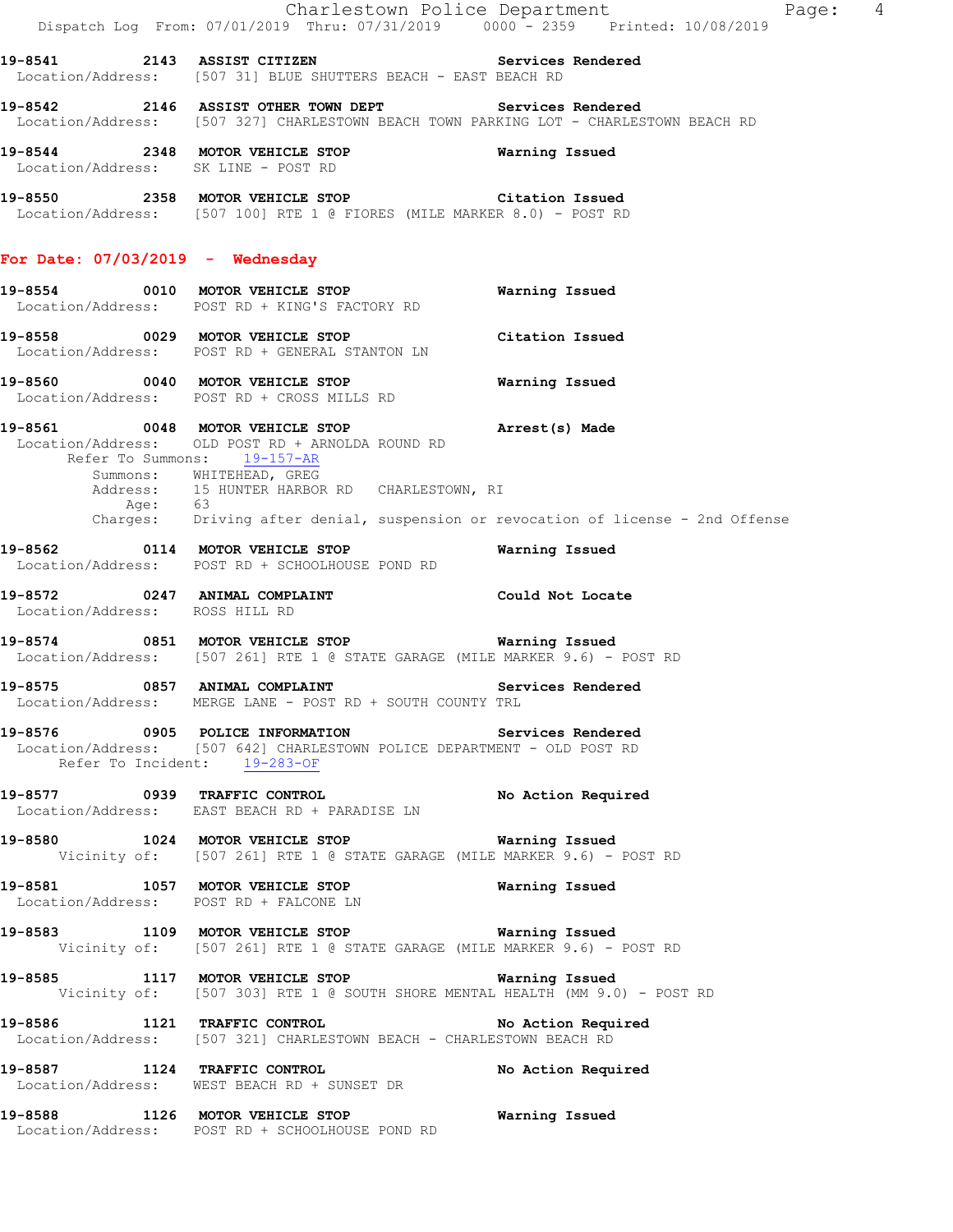|                                    |                                                                                                                                                                                      | Charlestown Police Department<br>Page: 4 |
|------------------------------------|--------------------------------------------------------------------------------------------------------------------------------------------------------------------------------------|------------------------------------------|
|                                    | Dispatch Log From: 07/01/2019 Thru: 07/31/2019 0000 - 2359 Printed: 10/08/2019                                                                                                       |                                          |
|                                    | 19-8541 2143 ASSIST CITIZEN Services Rendered<br>Location/Address: [507 31] BLUE SHUTTERS BEACH - EAST BEACH RD                                                                      |                                          |
|                                    | 19-8542 2146 ASSIST OTHER TOWN DEPT Services Rendered<br>Location/Address: [507 327] CHARLESTOWN BEACH TOWN PARKING LOT - CHARLESTOWN BEACH RD                                       |                                          |
|                                    | 19-8544 2348 MOTOR VEHICLE STOP<br>Location/Address: SK LINE - POST RD                                                                                                               | Warning Issued                           |
|                                    | 19-8550 			 2358 MOTOR VEHICLE STOP 				 Citation Issued<br>Location/Address: [507 100] RTE 1 @ FIORES (MILE MARKER 8.0) - POST RD                                                   |                                          |
| For Date: $07/03/2019$ - Wednesday |                                                                                                                                                                                      |                                          |
|                                    | 19-8554 0010 MOTOR VEHICLE STOP<br>Location/Address: POST RD + KING'S FACTORY RD                                                                                                     | Warning Issued                           |
|                                    | 19-8558 0029 MOTOR VEHICLE STOP<br>Location/Address: POST RD + GENERAL STANTON LN                                                                                                    | Citation Issued                          |
|                                    | 19-8560 0040 MOTOR VEHICLE STOP<br>Location/Address: POST RD + CROSS MILLS RD                                                                                                        | Warning Issued                           |
|                                    | 19-8561 0048 MOTOR VEHICLE STOP <b>Example 19-8561</b> Arrest(s) Made<br>Location/Address: OLD POST RD + ARNOLDA ROUND RD<br>Refer To Summons: 19-157-AR<br>Summons: WHITEHEAD, GREG |                                          |
|                                    | Address: 15 HUNTER HARBOR RD CHARLESTOWN, RI<br>Age: 63<br>Charges: Driving after denial, suspension or revocation of license - 2nd Offense                                          |                                          |
|                                    | 19-8562 0114 MOTOR VEHICLE STOP<br>Location/Address: POST RD + SCHOOLHOUSE POND RD                                                                                                   | Warning Issued                           |
| Location/Address: ROSS HILL RD     | 19-8572 0247 ANIMAL COMPLAINT CONSTANT Could Not Locate                                                                                                                              |                                          |
|                                    | 19-8574 0851 MOTOR VEHICLE STOP <b>Warning Issued</b><br>Location/Address: [507 261] RTE 1 @ STATE GARAGE (MILE MARKER 9.6) - POST RD                                                |                                          |
| 19-8575                            | 0857 ANIMAL COMPLAINT<br>Location/Address: MERGE LANE - POST RD + SOUTH COUNTY TRL                                                                                                   | Services Rendered                        |
| Refer To Incident: 19-283-OF       | 19-8576 		 0905 POLICE INFORMATION 		 Services Rendered<br>Location/Address: [507 642] CHARLESTOWN POLICE DEPARTMENT - OLD POST RD                                                   |                                          |
|                                    | 19-8577 0939 TRAFFIC CONTROL<br>Location/Address: EAST BEACH RD + PARADISE LN                                                                                                        | No Action Required                       |
|                                    | 19-8580 1024 MOTOR VEHICLE STOP 6 Warning Issued<br>Vicinity of: [507 261] RTE 1 @ STATE GARAGE (MILE MARKER 9.6) - POST RD                                                          |                                          |
|                                    | 19-8581 1057 MOTOR VEHICLE STOP 10 Warning Issued<br>Location/Address: POST RD + FALCONE LN                                                                                          |                                          |
|                                    | 19-8583 1109 MOTOR VEHICLE STOP <b>Warning Issued</b><br>Vicinity of: [507 261] RTE 1 @ STATE GARAGE (MILE MARKER 9.6) - POST RD                                                     |                                          |
|                                    | 19-8585 1117 MOTOR VEHICLE STOP <b>WARELL</b> Warning Issued<br>Vicinity of: [507 303] RTE 1 @ SOUTH SHORE MENTAL HEALTH (MM 9.0) - POST RD                                          |                                          |
|                                    | 19-8586 1121 TRAFFIC CONTROL No Action Required<br>Location/Address: [507 321] CHARLESTOWN BEACH - CHARLESTOWN BEACH RD                                                              |                                          |
|                                    | 19-8587 1124 TRAFFIC CONTROL<br>Location/Address: WEST BEACH RD + SUNSET DR                                                                                                          | No Action Required                       |
|                                    | 19-8588 1126 MOTOR VEHICLE STOP 6 Warning Issued<br>Location/Address: POST RD + SCHOOLHOUSE POND RD                                                                                  |                                          |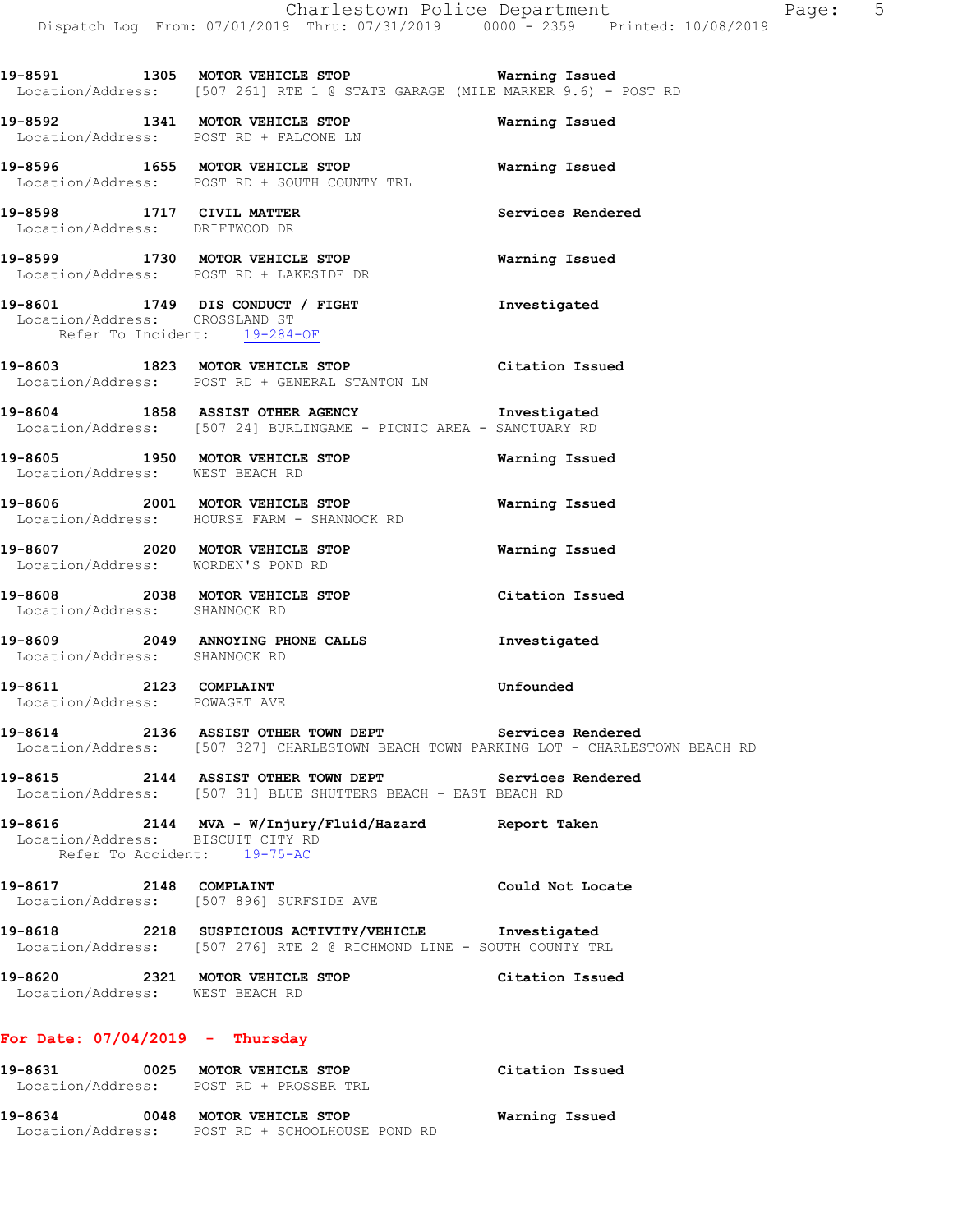**19-8591 1305 MOTOR VEHICLE STOP Warning Issued**  Location/Address: [507 261] RTE 1 @ STATE GARAGE (MILE MARKER 9.6) - POST RD

**19-8592 1341 MOTOR VEHICLE STOP Warning Issued**  Location/Address: POST RD + FALCONE LN

**19-8596 1655 MOTOR VEHICLE STOP Warning Issued**  Location/Address: POST RD + SOUTH COUNTY TRL

**19-8598 1717 CIVIL MATTER Services Rendered**  Location/Address: DRIFTWOOD DR

**19-8599 1730 MOTOR VEHICLE STOP Warning Issued**  Location/Address: POST RD + LAKESIDE DR

**19-8601 1749 DIS CONDUCT / FIGHT Investigated**  Location/Address: CROSSLAND ST Refer To Incident: 19-284-OF

**19-8603 1823 MOTOR VEHICLE STOP Citation Issued**  Location/Address: POST RD + GENERAL STANTON LN

**19-8604 1858 ASSIST OTHER AGENCY Investigated**  Location/Address: [507 24] BURLINGAME - PICNIC AREA - SANCTUARY RD

**19-8605 1950 MOTOR VEHICLE STOP Warning Issued**  Location/Address: WEST BEACH RD

**19-8606 2001 MOTOR VEHICLE STOP Warning Issued**  Location/Address: HOURSE FARM - SHANNOCK RD

**19-8607 2020 MOTOR VEHICLE STOP Warning Issued**  Location/Address: WORDEN'S POND RD

**19-8608 2038 MOTOR VEHICLE STOP Citation Issued**  Location/Address: SHANNOCK RD

**19-8609 2049 ANNOYING PHONE CALLS Investigated**  Location/Address: SHANNOCK RD

**19-8611 2123 COMPLAINT Unfounded**  Location/Address: POWAGET AVE

**19-8614 2136 ASSIST OTHER TOWN DEPT Services Rendered**  Location/Address: [507 327] CHARLESTOWN BEACH TOWN PARKING LOT - CHARLESTOWN BEACH RD

**19-8615 2144 ASSIST OTHER TOWN DEPT Services Rendered**  Location/Address: [507 31] BLUE SHUTTERS BEACH - EAST BEACH RD

**19-8616 2144 MVA - W/Injury/Fluid/Hazard Report Taken**  Location/Address: BISCUIT CITY RD Refer To Accident: 19-75-AC

**19-8617 2148 COMPLAINT Could Not Locate**  Location/Address: [507 896] SURFSIDE AVE

**19-8618 2218 SUSPICIOUS ACTIVITY/VEHICLE Investigated**  Location/Address: [507 276] RTE 2 @ RICHMOND LINE - SOUTH COUNTY TRL

**19-8620 2321 MOTOR VEHICLE STOP Citation Issued**  Location/Address: WEST BEACH RD

#### **For Date: 07/04/2019 - Thursday**

| 19-8631           | 0025 | <b>MOTOR VEHICLE STOP</b>     | Citation Issued |
|-------------------|------|-------------------------------|-----------------|
| Location/Address: |      | POST RD + PROSSER TRL         |                 |
| 19-8634           | 0048 | MOTOR VEHICLE STOP            | Warning Issued  |
| Location/Address: |      | POST RD + SCHOOLHOUSE POND RD |                 |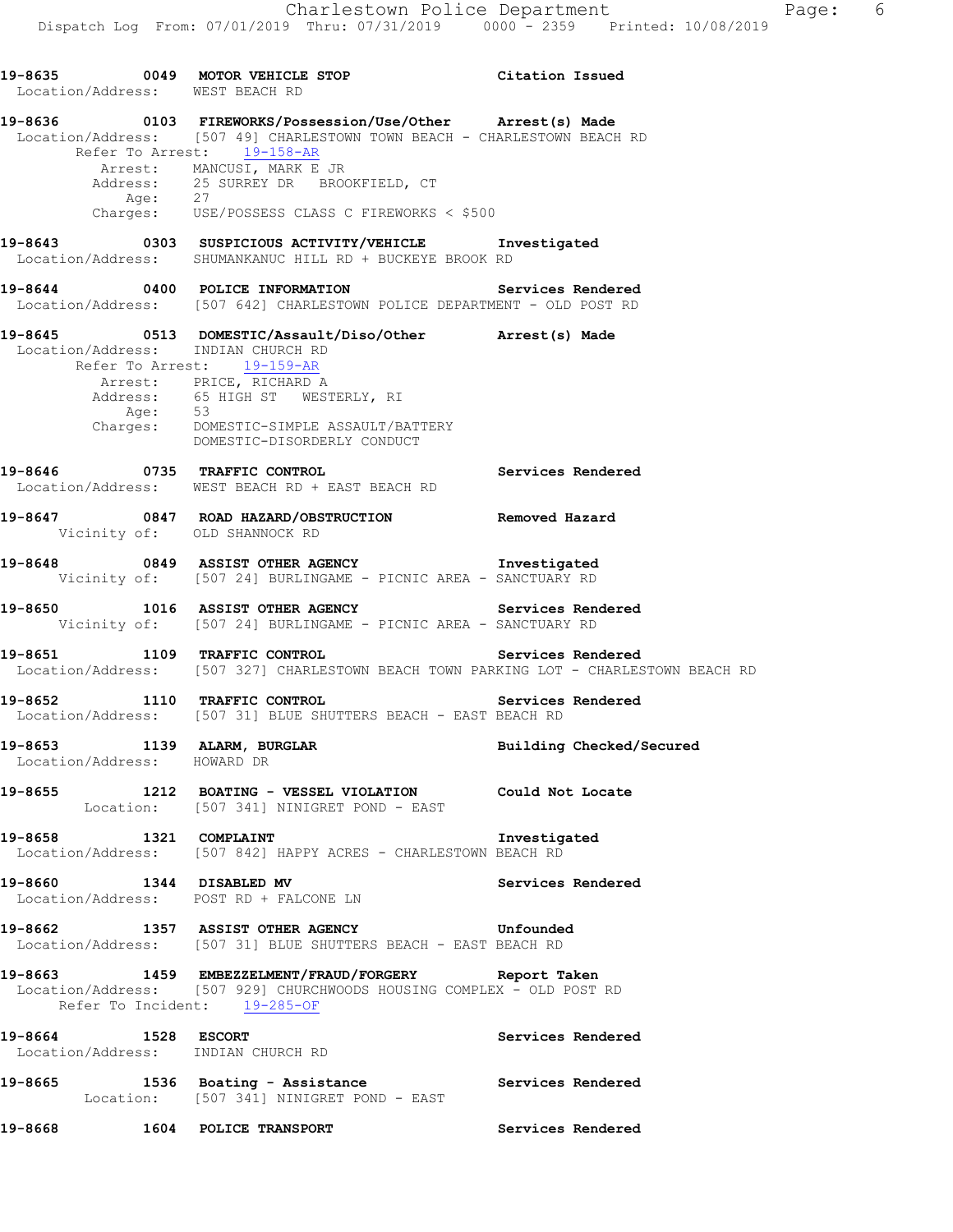**19-8635 0049 MOTOR VEHICLE STOP Citation Issued**  Location/Address: WEST BEACH RD **19-8636 0103 FIREWORKS/Possession/Use/Other Arrest(s) Made**  Location/Address: [507 49] CHARLESTOWN TOWN BEACH - CHARLESTOWN BEACH RD Refer To Arrest: 19-158-AR Arrest: MANCUSI, MARK E JR Address: 25 SURREY DR BROOKFIELD, CT Age: 27 Charges: USE/POSSESS CLASS C FIREWORKS < \$500 **19-8643 0303 SUSPICIOUS ACTIVITY/VEHICLE Investigated**  Location/Address: SHUMANKANUC HILL RD + BUCKEYE BROOK RD **19-8644 0400 POLICE INFORMATION Services Rendered**  Location/Address: [507 642] CHARLESTOWN POLICE DEPARTMENT - OLD POST RD **19-8645 0513 DOMESTIC/Assault/Diso/Other Arrest(s) Made**  Location/Address: INDIAN CHURCH RD Refer To Arrest: 19-159-AR Arrest: PRICE, RICHARD A Address:  $65$  HIGH ST WESTERLY, RI<br> $\frac{\Delta}{100}$ : 53 Age:<br>Charges: DOMESTIC-SIMPLE ASSAULT/BATTERY DOMESTIC-DISORDERLY CONDUCT **19-8646 0735 TRAFFIC CONTROL Services Rendered**  Location/Address: WEST BEACH RD + EAST BEACH RD **19-8647 0847 ROAD HAZARD/OBSTRUCTION Removed Hazard**  Vicinity of: OLD SHANNOCK RD **19-8648 0849 ASSIST OTHER AGENCY Investigated**  Vicinity of: [507 24] BURLINGAME - PICNIC AREA - SANCTUARY RD **19-8650 1016 ASSIST OTHER AGENCY Services Rendered**  Vicinity of: [507 24] BURLINGAME - PICNIC AREA - SANCTUARY RD **19-8651 1109 TRAFFIC CONTROL Services Rendered**  Location/Address: [507 327] CHARLESTOWN BEACH TOWN PARKING LOT - CHARLESTOWN BEACH RD **19-8652 1110 TRAFFIC CONTROL Services Rendered**  Location/Address: [507 31] BLUE SHUTTERS BEACH - EAST BEACH RD **19-8653 1139 ALARM, BURGLAR Building Checked/Secured**  Location/Address: HOWARD DR **19-8655 1212 BOATING - VESSEL VIOLATION Could Not Locate**  Location: [507 341] NINIGRET POND - EAST **19-8658 1321 COMPLAINT Investigated**  Location/Address: [507 842] HAPPY ACRES - CHARLESTOWN BEACH RD **19-8660 1344 DISABLED MV Services Rendered**  Location/Address: POST RD + FALCONE LN **19-8662 1357 ASSIST OTHER AGENCY Unfounded**  Location/Address: [507 31] BLUE SHUTTERS BEACH - EAST BEACH RD **19-8663 1459 EMBEZZELMENT/FRAUD/FORGERY Report Taken**  Location/Address: [507 929] CHURCHWOODS HOUSING COMPLEX - OLD POST RD Refer To Incident: 19-285-OF **19-8664 1528 ESCORT Services Rendered**  Location/Address: INDIAN CHURCH RD **19-8665 1536 Boating - Assistance Services Rendered**  Location: [507 341] NINIGRET POND - EAST **19-8668 1604 POLICE TRANSPORT Services Rendered**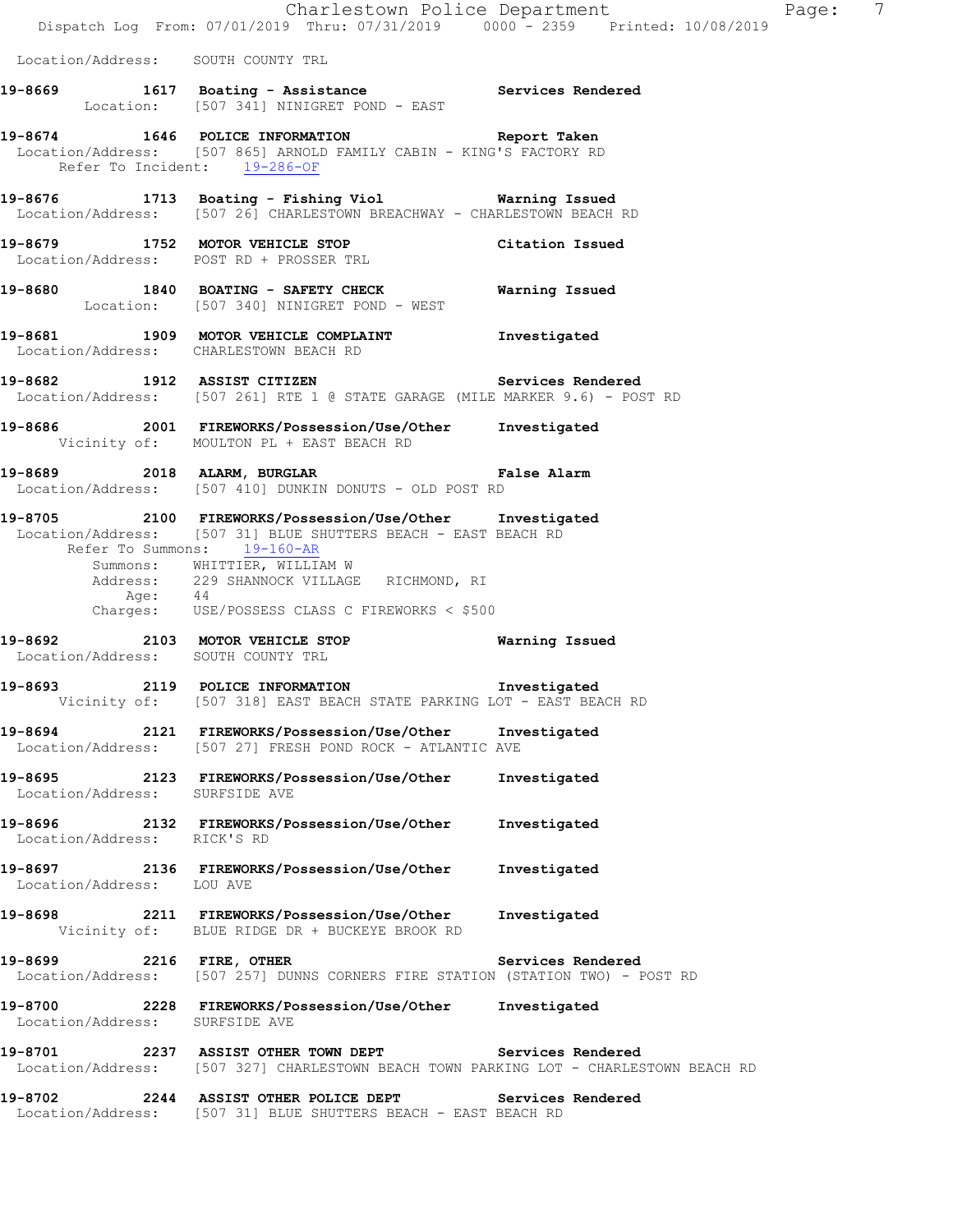Location/Address: SOUTH COUNTY TRL

- 19-8669 1617 Boating Assistance **19-8669** Services Rendered Location: [507 341] NINIGRET POND - EAST
- **19-8674 1646 POLICE INFORMATION Report Taken**  Location/Address: [507 865] ARNOLD FAMILY CABIN - KING'S FACTORY RD Refer To Incident: 19-286-OF
- **19-8676 1713 Boating Fishing Viol Warning Issued**  Location/Address: [507 26] CHARLESTOWN BREACHWAY - CHARLESTOWN BEACH RD
- **19-8679 1752 MOTOR VEHICLE STOP Citation Issued**  Location/Address: POST RD + PROSSER TRL
- **19-8680 1840 BOATING SAFETY CHECK Warning Issued**  Location: [507 340] NINIGRET POND - WEST
- **19-8681 1909 MOTOR VEHICLE COMPLAINT Investigated**  Location/Address: CHARLESTOWN BEACH RD
- **19-8682 1912 ASSIST CITIZEN Services Rendered**  Location/Address: [507 261] RTE 1 @ STATE GARAGE (MILE MARKER 9.6) - POST RD
- **19-8686 2001 FIREWORKS/Possession/Use/Other Investigated**  Vicinity of: MOULTON PL + EAST BEACH RD
- **19-8689 2018 ALARM, BURGLAR False Alarm**  Location/Address: [507 410] DUNKIN DONUTS - OLD POST RD
- **19-8705 2100 FIREWORKS/Possession/Use/Other Investigated**  Location/Address: [507 31] BLUE SHUTTERS BEACH - EAST BEACH RD Refer To Summons: 19-160-AR Summons: WHITTIER, WILLIAM W Address: 229 SHANNOCK VILLAGE RICHMOND, RI Age: 44 Charges: USE/POSSESS CLASS C FIREWORKS < \$500
- **19-8692 2103 MOTOR VEHICLE STOP Warning Issued**  Location/Address: SOUTH COUNTY TRL
- **19-8693 2119 POLICE INFORMATION Investigated**  Vicinity of: [507 318] EAST BEACH STATE PARKING LOT - EAST BEACH RD
- **19-8694 2121 FIREWORKS/Possession/Use/Other Investigated**  Location/Address: [507 27] FRESH POND ROCK - ATLANTIC AVE
- **19-8695 2123 FIREWORKS/Possession/Use/Other Investigated**  Location/Address: SURFSIDE AVE
- **19-8696 2132 FIREWORKS/Possession/Use/Other Investigated**  Location/Address: RICK'S RD
- **19-8697 2136 FIREWORKS/Possession/Use/Other Investigated**  Location/Address: LOU AVE
- **19-8698 2211 FIREWORKS/Possession/Use/Other Investigated**  Vicinity of: BLUE RIDGE DR + BUCKEYE BROOK RD
- 19-8699 **2216 FIRE, OTHER 19-8699 2216 2216 FIRE, OTHER** Location/Address: [507 257] DUNNS CORNERS FIRE STATION (STATION TWO) - POST RD
- **19-8700 2228 FIREWORKS/Possession/Use/Other Investigated**  Location/Address: SURFSIDE AVE
- **19-8701 2237 ASSIST OTHER TOWN DEPT Services Rendered**  Location/Address: [507 327] CHARLESTOWN BEACH TOWN PARKING LOT - CHARLESTOWN BEACH RD
- **19-8702 2244 ASSIST OTHER POLICE DEPT Services Rendered**  Location/Address: [507 31] BLUE SHUTTERS BEACH - EAST BEACH RD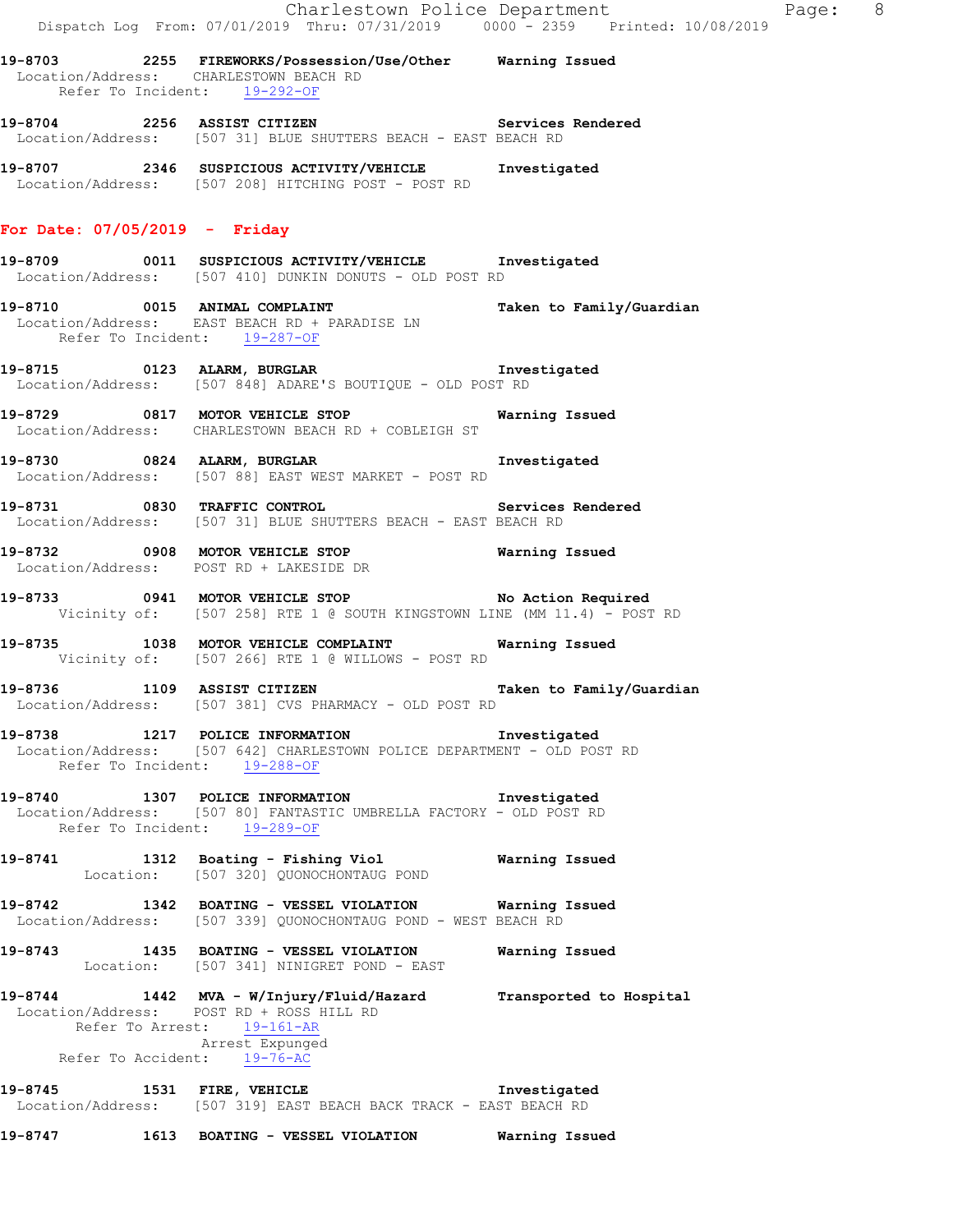- **19-8703 2255 FIREWORKS/Possession/Use/Other Warning Issued**  Location/Address: CHARLESTOWN BEACH RD Refer To Incident: 19-292-OF
- **19-8704 2256 ASSIST CITIZEN Services Rendered**  Location/Address: [507 31] BLUE SHUTTERS BEACH - EAST BEACH RD
- **19-8707 2346 SUSPICIOUS ACTIVITY/VEHICLE Investigated**  Location/Address: [507 208] HITCHING POST - POST RD

#### **For Date: 07/05/2019 - Friday**

- **19-8709 0011 SUSPICIOUS ACTIVITY/VEHICLE Investigated**  Location/Address: [507 410] DUNKIN DONUTS - OLD POST RD
- **19-8710 0015 ANIMAL COMPLAINT Taken to Family/Guardian**  Location/Address: EAST BEACH RD + PARADISE LN Refer To Incident: 19-287-OF
- **19-8715 0123 ALARM, BURGLAR Investigated**  Location/Address: [507 848] ADARE'S BOUTIQUE - OLD POST RD
- **19-8729 0817 MOTOR VEHICLE STOP Warning Issued**  Location/Address: CHARLESTOWN BEACH RD + COBLEIGH ST
- **19-8730 0824 ALARM, BURGLAR Investigated**  Location/Address: [507 88] EAST WEST MARKET - POST RD
- **19-8731 0830 TRAFFIC CONTROL Services Rendered**  Location/Address: [507 31] BLUE SHUTTERS BEACH - EAST BEACH RD
- **19-8732 0908 MOTOR VEHICLE STOP Warning Issued**  Location/Address: POST RD + LAKESIDE DR
- **19-8733 0941 MOTOR VEHICLE STOP No Action Required**  Vicinity of: [507 258] RTE 1 @ SOUTH KINGSTOWN LINE (MM 11.4) - POST RD
- **19-8735 1038 MOTOR VEHICLE COMPLAINT Warning Issued**  Vicinity of: [507 266] RTE 1 @ WILLOWS - POST RD
- **19-8736 1109 ASSIST CITIZEN Taken to Family/Guardian**  Location/Address: [507 381] CVS PHARMACY - OLD POST RD
- **19-8738 1217 POLICE INFORMATION Investigated**  Location/Address: [507 642] CHARLESTOWN POLICE DEPARTMENT - OLD POST RD Refer To Incident: 19-288-OF
- **19-8740 1307 POLICE INFORMATION Investigated**  Location/Address: [507 80] FANTASTIC UMBRELLA FACTORY - OLD POST RD Refer To Incident: 19-289-OF
- **19-8741 1312 Boating Fishing Viol Warning Issued**  Location: [507 320] QUONOCHONTAUG POND
- **19-8742 1342 BOATING VESSEL VIOLATION Warning Issued**  Location/Address: [507 339] QUONOCHONTAUG POND - WEST BEACH RD
- **19-8743 1435 BOATING VESSEL VIOLATION Warning Issued**  Location: [507 341] NINIGRET POND - EAST
- **19-8744 1442 MVA W/Injury/Fluid/Hazard Transported to Hospital**  Location/Address: POST RD + ROSS HILL RD Refer To Arrest: 19-161-AR Arrest Expunged Refer To Accident: 19-76-AC
- **19-8745 1531 FIRE, VEHICLE Investigated**  Location/Address: [507 319] EAST BEACH BACK TRACK - EAST BEACH RD
- **19-8747 1613 BOATING VESSEL VIOLATION Warning Issued**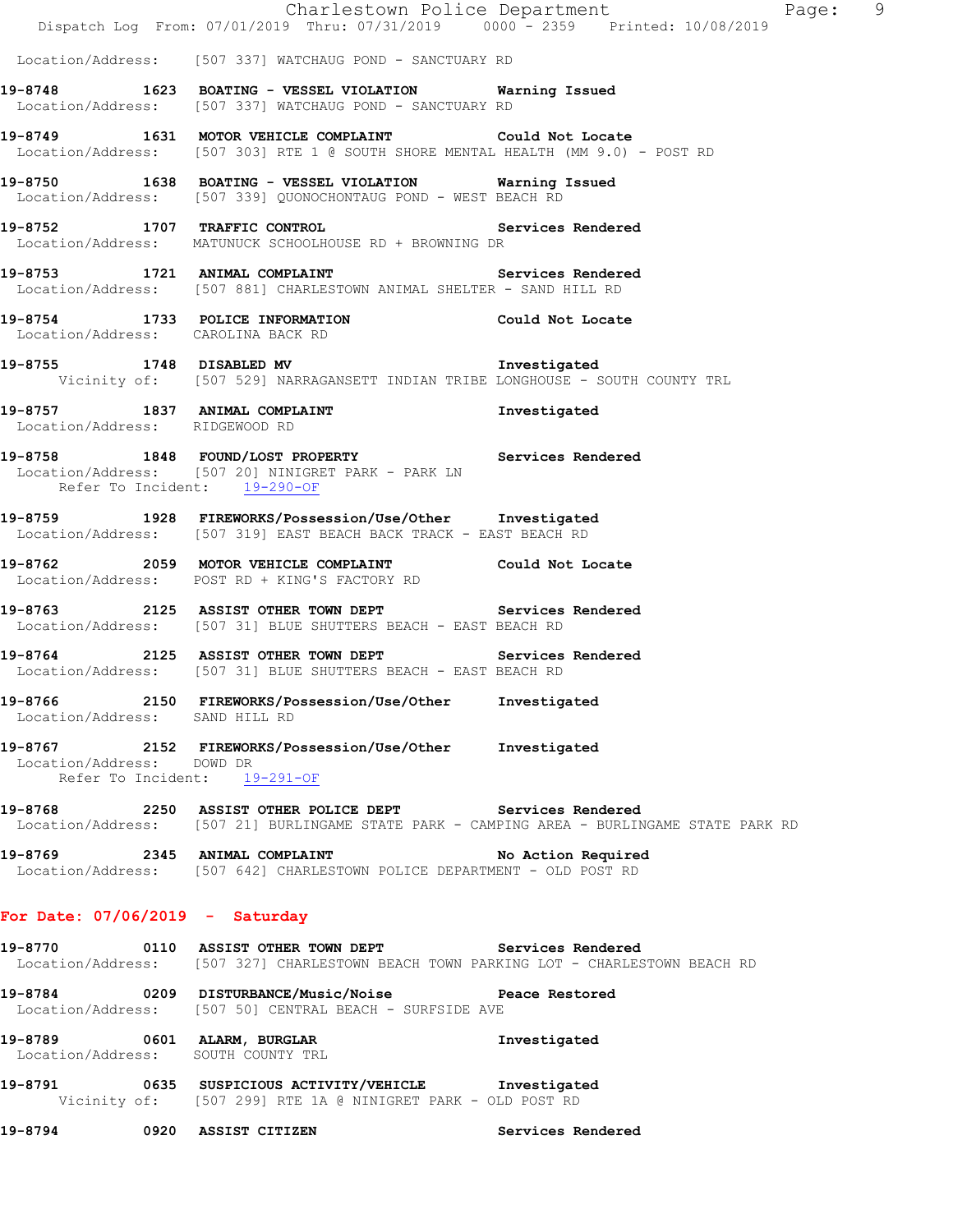|                                   | 19-8794 0920 ASSIST CITIZEN                                                                                                                           | Services Rendered                     |  |
|-----------------------------------|-------------------------------------------------------------------------------------------------------------------------------------------------------|---------------------------------------|--|
|                                   | 19-8791 0635 SUSPICIOUS ACTIVITY/VEHICLE Investigated<br>Vicinity of: [507 299] RTE 1A @ NINIGRET PARK - OLD POST RD                                  |                                       |  |
|                                   | 19-8789 0601 ALARM, BURGLAR<br>Location/Address: SOUTH COUNTY TRL                                                                                     | Investigated                          |  |
|                                   | 19-8784 0209 DISTURBANCE/Music/Noise Peace Restored<br>Location/Address: [507 50] CENTRAL BEACH - SURFSIDE AVE                                        |                                       |  |
|                                   | 19-8770 0110 ASSIST OTHER TOWN DEPT Services Rendered<br>Location/Address: [507 327] CHARLESTOWN BEACH TOWN PARKING LOT - CHARLESTOWN BEACH RD        |                                       |  |
| For Date: $07/06/2019$ - Saturday |                                                                                                                                                       |                                       |  |
|                                   | 19-8769 2345 ANIMAL COMPLAINT No Action Required<br>Location/Address: [507 642] CHARLESTOWN POLICE DEPARTMENT - OLD POST RD                           |                                       |  |
|                                   | 19-8768 2250 ASSIST OTHER POLICE DEPT Services Rendered<br>Location/Address: [507 21] BURLINGAME STATE PARK - CAMPING AREA - BURLINGAME STATE PARK RD |                                       |  |
| Location/Address: DOWD DR         | 19-8767 2152 FIREWORKS/Possession/Use/Other Investigated<br>Refer To Incident: 19-291-OF                                                              |                                       |  |
| Location/Address: SAND HILL RD    | 19-8766 2150 FIREWORKS/Possession/Use/Other Investigated                                                                                              |                                       |  |
|                                   | 19-8764 2125 ASSIST OTHER TOWN DEPT Services Rendered<br>Location/Address: [507 31] BLUE SHUTTERS BEACH - EAST BEACH RD                               |                                       |  |
|                                   | 19-8763 2125 ASSIST OTHER TOWN DEPT Services Rendered<br>Location/Address: [507 31] BLUE SHUTTERS BEACH - EAST BEACH RD                               |                                       |  |
|                                   | 19-8762 2059 MOTOR VEHICLE COMPLAINT Could Not Locate<br>Location/Address: POST RD + KING'S FACTORY RD                                                |                                       |  |
|                                   | 19-8759 1928 FIREWORKS/Possession/Use/Other Investigated<br>Location/Address: [507 319] EAST BEACH BACK TRACK - EAST BEACH RD                         |                                       |  |
| Refer To Incident: 19-290-OF      | 19-8758 1848 FOUND/LOST PROPERTY Services Rendered<br>Location/Address: [507 20] NINIGRET PARK - PARK LN                                              |                                       |  |
| Location/Address: RIDGEWOOD RD    | 19-8757 1837 ANIMAL COMPLAINT 19-8757 Investigated Location/Address: RIDGEWOOD RD                                                                     |                                       |  |
|                                   | 19-8755 1748 DISABLED MV 19-8755<br>Vicinity of: [507 529] NARRAGANSETT INDIAN TRIBE LONGHOUSE - SOUTH COUNTY TRL                                     |                                       |  |
|                                   | 19-8754 1733 POLICE INFORMATION Could Not Locate<br>Location/Address: CAROLINA BACK RD                                                                |                                       |  |
|                                   | 19-8753 1721 ANIMAL COMPLAINT Services Rendered<br>Location/Address: [507 881] CHARLESTOWN ANIMAL SHELTER - SAND HILL RD                              |                                       |  |
|                                   | 19-8752 1707 TRAFFIC CONTROL Services Rendered<br>Location/Address: MATUNUCK SCHOOLHOUSE RD + BROWNING DR                                             |                                       |  |
|                                   | 19-8750 1638 BOATING - VESSEL VIOLATION Warning Issued<br>Location/Address: [507 339] QUONOCHONTAUG POND - WEST BEACH RD                              |                                       |  |
|                                   | 19-8749 1631 MOTOR VEHICLE COMPLAINT Could Not Locate<br>Location/Address: [507 303] RTE 1 @ SOUTH SHORE MENTAL HEALTH (MM 9.0) - POST RD             |                                       |  |
|                                   | 19-8748 1623 BOATING - VESSEL VIOLATION Warning Issued<br>Location/Address: [507 337] WATCHAUG POND - SANCTUARY RD                                    |                                       |  |
|                                   | Location/Address: [507 337] WATCHAUG POND - SANCTUARY RD                                                                                              |                                       |  |
|                                   | Dispatch Log From: 07/01/2019 Thru: 07/31/2019 0000 <sup>-</sup> 2359 Printed: 10/08/2019                                                             | Charlestown Police Department Fage: 9 |  |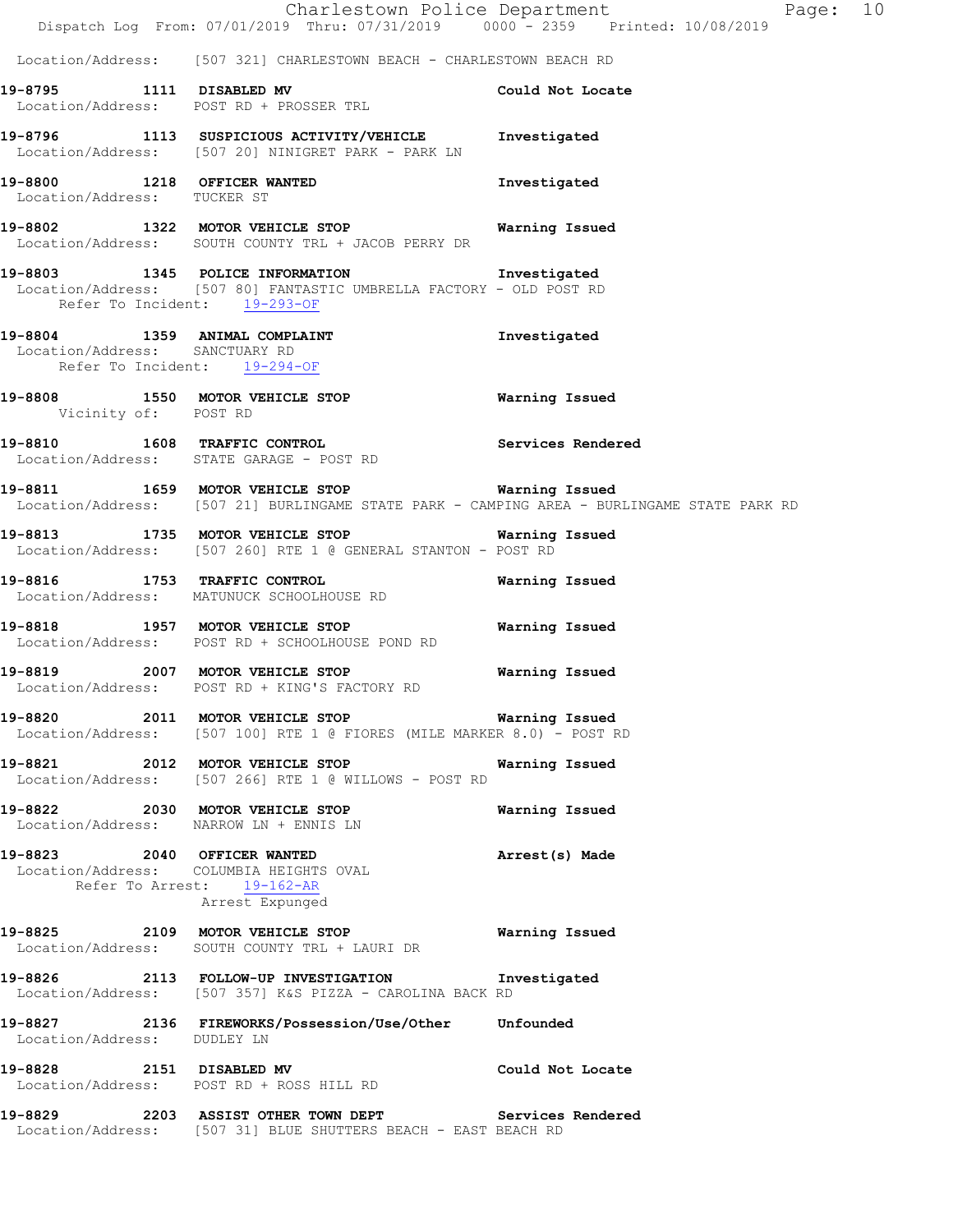|                                | Dispatch Log From: 07/01/2019 Thru: 07/31/2019 0000 - 2359 Printed: 10/08/2019                                           | Charlestown Police Department<br>Page: 10                                                  |  |
|--------------------------------|--------------------------------------------------------------------------------------------------------------------------|--------------------------------------------------------------------------------------------|--|
|                                | Location/Address: [507 321] CHARLESTOWN BEACH - CHARLESTOWN BEACH RD                                                     |                                                                                            |  |
|                                | 19-8795 1111 DISABLED MV<br>Location/Address: POST RD + PROSSER TRL                                                      | Could Not Locate                                                                           |  |
|                                | 19-8796 1113 SUSPICIOUS ACTIVITY/VEHICLE Investigated<br>Location/Address: [507 20] NINIGRET PARK - PARK LN              |                                                                                            |  |
| Location/Address: TUCKER ST    | 19-8800 1218 OFFICER WANTED                                                                                              | Investigated                                                                               |  |
|                                | 19-8802 1322 MOTOR VEHICLE STOP 6 Warning Issued<br>Location/Address: SOUTH COUNTY TRL + JACOB PERRY DR                  |                                                                                            |  |
| Refer To Incident: 19-293-OF   | 19-8803 1345 POLICE INFORMATION 1nvestigated<br>Location/Address: [507 80] FANTASTIC UMBRELLA FACTORY - OLD POST RD      |                                                                                            |  |
| Location/Address: SANCTUARY RD | 19-8804 1359 ANIMAL COMPLAINT<br>Refer To Incident: 19-294-OF                                                            | Investigated                                                                               |  |
| Vicinity of: POST RD           | 19-8808 1550 MOTOR VEHICLE STOP 6 Warning Issued                                                                         |                                                                                            |  |
|                                | <b>19-8810</b> 1608 TRAFFIC CONTROL <b>19-8810</b> Services Rendered<br>Location/Address: STATE GARAGE - POST RD         |                                                                                            |  |
|                                | 19-8811 1659 MOTOR VEHICLE STOP 19-8811 Warning Issued                                                                   | Location/Address: [507 21] BURLINGAME STATE PARK - CAMPING AREA - BURLINGAME STATE PARK RD |  |
|                                | 19-8813 1735 MOTOR VEHICLE STOP 6 Warning Issued<br>Location/Address: [507 260] RTE 1 @ GENERAL STANTON - POST RD        |                                                                                            |  |
|                                | 19-8816 1753 TRAFFIC CONTROL<br>Location/Address: MATUNUCK SCHOOLHOUSE RD                                                | Warning Issued                                                                             |  |
|                                | 19-8818 1957 MOTOR VEHICLE STOP<br>Location/Address: POST RD + SCHOOLHOUSE POND RD                                       | Warning Issued                                                                             |  |
|                                | Location/Address: POST RD + KING'S FACTORY RD                                                                            |                                                                                            |  |
|                                | 19-8820 2011 MOTOR VEHICLE STOP Warning Issued<br>Location/Address: [507 100] RTE 1 @ FIORES (MILE MARKER 8.0) - POST RD |                                                                                            |  |
|                                | 19-8821 2012 MOTOR VEHICLE STOP<br>Location/Address: [507 266] RTE 1 @ WILLOWS - POST RD                                 | Warning Issued                                                                             |  |
|                                | 19-8822 2030 MOTOR VEHICLE STOP<br>Location/Address: NARROW LN + ENNIS LN                                                | Warning Issued                                                                             |  |
|                                | 19-8823 2040 OFFICER WANTED<br>Location/Address: COLUMBIA HEIGHTS OVAL<br>Refer To Arrest: 19-162-AR<br>Arrest Expunged  | Arrest(s) Made                                                                             |  |
|                                | 19-8825 2109 MOTOR VEHICLE STOP<br>Location/Address: SOUTH COUNTY TRL + LAURI DR                                         | Warning Issued                                                                             |  |
|                                | 19-8826 2113 FOLLOW-UP INVESTIGATION<br>Location/Address: [507 357] K&S PIZZA - CAROLINA BACK RD                         | Investigated                                                                               |  |
| Location/Address: DUDLEY LN    | 19-8827 2136 FIREWORKS/Possession/Use/Other Unfounded                                                                    |                                                                                            |  |
| 19-8828 2151 DISABLED MV       | Location/Address: POST RD + ROSS HILL RD                                                                                 | Could Not Locate                                                                           |  |
|                                | 19-8829 2203 ASSIST OTHER TOWN DEPT Services Rendered<br>Location/Address: [507 31] BLUE SHUTTERS BEACH - EAST BEACH RD  |                                                                                            |  |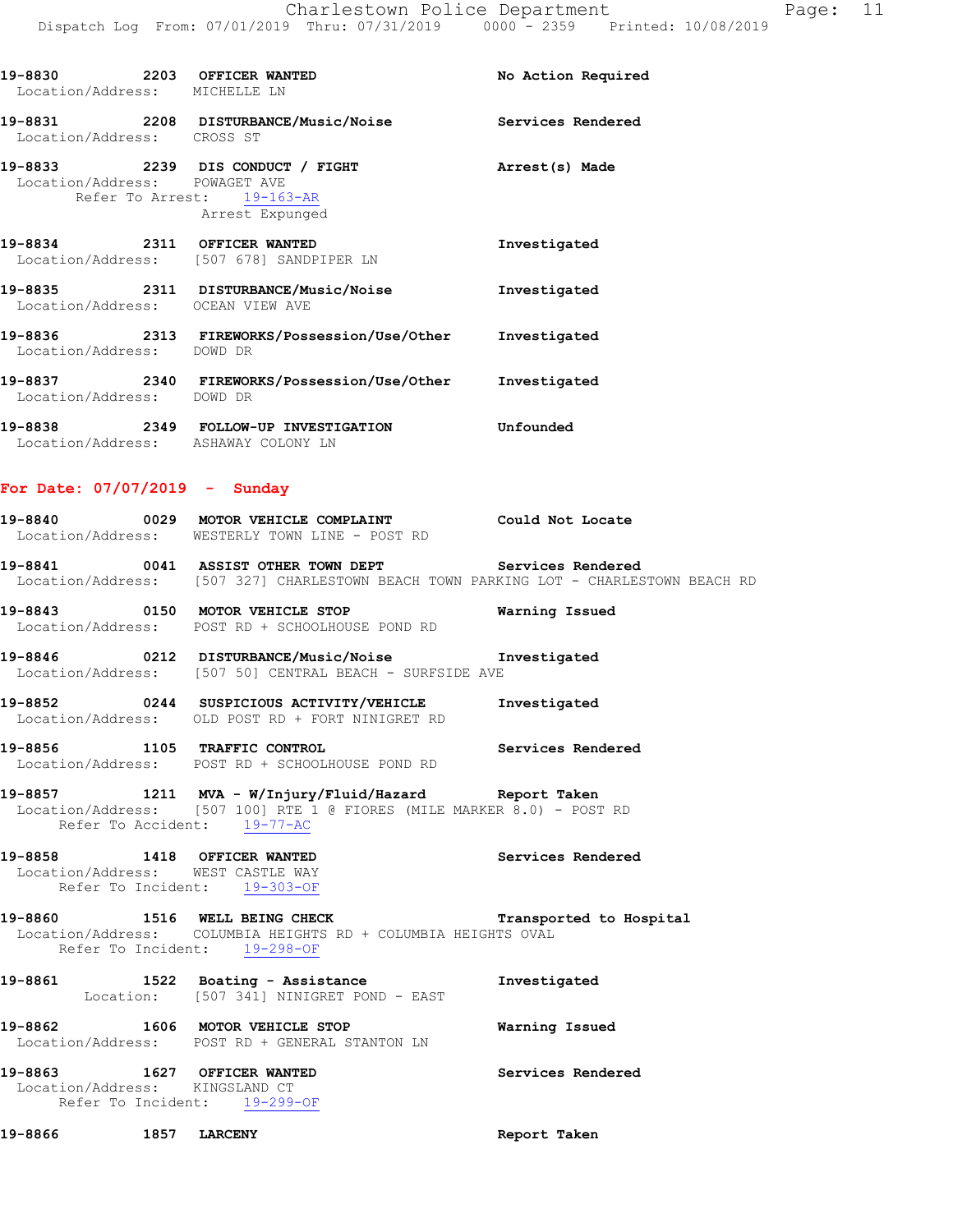| 19-8830 2203 OFFICER WANTED<br>Location/Address: MICHELLE LN |                                               | No Action Required |
|--------------------------------------------------------------|-----------------------------------------------|--------------------|
| Location/Address: CROSS ST                                   | 19-8831 2208 DISTURBANCE/Music/Noise          | Services Rendered  |
| Location/Address: POWAGET AVE                                | Refer To Arrest: 19-163-AR<br>Arrest Expunged | Arrest(s) Made     |
| 19-8834 2311 OFFICER WANTED                                  | Location/Address: [507 678] SANDPIPER LN      | Investigated       |
| Location/Address: OCEAN VIEW AVE                             | 19-8835 2311 DISTURBANCE/Music/Noise          | Investigated       |
| Location/Address: DOWD DR                                    |                                               | Investigated       |
| Location/Address: DOWD DR                                    | 19-8837 2340 FIREWORKS/Possession/Use/Other   | Investigated       |
| Location/Address: ASHAWAY COLONY LN                          | 19-8838 2349 FOLLOW-UP INVESTIGATION          | Unfounded          |

#### **For Date: 07/07/2019 - Sunday**

| 19-8840           |  | 0029 MOTOR VEHICLE COMPLAINT | Could Not Locate |  |
|-------------------|--|------------------------------|------------------|--|
| Location/Address: |  | WESTERLY TOWN LINE - POST RD |                  |  |

**19-8841 0041 ASSIST OTHER TOWN DEPT Services Rendered**  Location/Address: [507 327] CHARLESTOWN BEACH TOWN PARKING LOT - CHARLESTOWN BEACH RD

**19-8843 0150 MOTOR VEHICLE STOP Warning Issued**  Location/Address: POST RD + SCHOOLHOUSE POND RD

**19-8846 0212 DISTURBANCE/Music/Noise Investigated**  Location/Address: [507 50] CENTRAL BEACH - SURFSIDE AVE

**19-8852 0244 SUSPICIOUS ACTIVITY/VEHICLE Investigated**  Location/Address: OLD POST RD + FORT NINIGRET RD

**19-8856 1105 TRAFFIC CONTROL Services Rendered**  Location/Address: POST RD + SCHOOLHOUSE POND RD

**19-8857 1211 MVA - W/Injury/Fluid/Hazard Report Taken**  Location/Address: [507 100] RTE 1 @ FIORES (MILE MARKER 8.0) - POST RD Refer To Accident: 19-77-AC

**19-8858 1418 OFFICER WANTED Services Rendered**  Location/Address: WEST CASTLE WAY Refer To Incident: 19-303-OF

#### **19-8860 1516 WELL BEING CHECK Transported to Hospital**  Location/Address: COLUMBIA HEIGHTS RD + COLUMBIA HEIGHTS OVAL Refer To Incident: 19-298-OF

**19-8861 1522 Boating - Assistance Investigated**  Location: [507 341] NINIGRET POND - EAST

**19-8862 1606 MOTOR VEHICLE STOP Warning Issued**  Location/Address: POST RD + GENERAL STANTON LN

**19-8863 1627 OFFICER WANTED Services Rendered**  Location/Address: KINGSLAND CT Refer To Incident: 19-299-OF

**19-8866 1857 LARCENY Report Taken**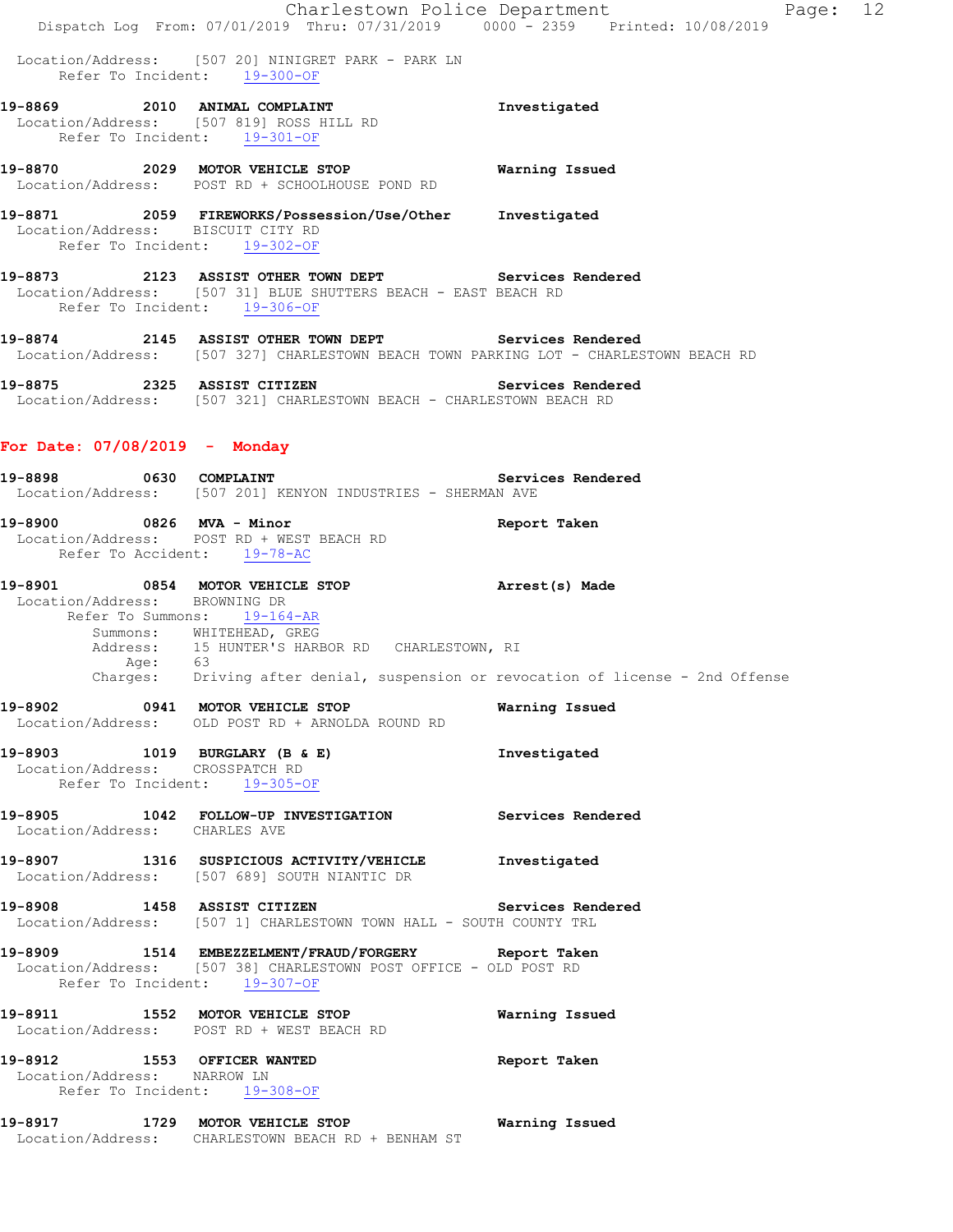|                                                            | Charlestown Police Department                                                                                                                                                                                                               | Page: 12          |  |
|------------------------------------------------------------|---------------------------------------------------------------------------------------------------------------------------------------------------------------------------------------------------------------------------------------------|-------------------|--|
|                                                            | Dispatch Log From: 07/01/2019 Thru: 07/31/2019 0000 <sup>-</sup> -2359 Printed: 10/08/2019                                                                                                                                                  |                   |  |
|                                                            | Location/Address: [507 20] NINIGRET PARK - PARK LN<br>Refer To Incident: 19-300-OF                                                                                                                                                          |                   |  |
|                                                            | 19-8869 2010 ANIMAL COMPLAINT<br>Location/Address: [507 819] ROSS HILL RD<br>Refer To Incident: 19-301-OF                                                                                                                                   | Investigated      |  |
|                                                            | 19-8870 2029 MOTOR VEHICLE STOP<br>Location/Address: POST RD + SCHOOLHOUSE POND RD                                                                                                                                                          | Warning Issued    |  |
| Location/Address: BISCUIT CITY RD                          | 19-8871 2059 FIREWORKS/Possession/Use/Other Investigated<br>Refer To Incident: 19-302-OF                                                                                                                                                    |                   |  |
|                                                            | 19-8873 2123 ASSIST OTHER TOWN DEPT Services Rendered<br>Location/Address: [507 31] BLUE SHUTTERS BEACH - EAST BEACH RD<br>Refer To Incident: 19-306-OF                                                                                     |                   |  |
|                                                            | 19-8874 2145 ASSIST OTHER TOWN DEPT Services Rendered<br>Location/Address: [507 327] CHARLESTOWN BEACH TOWN PARKING LOT - CHARLESTOWN BEACH RD                                                                                              |                   |  |
|                                                            | 19-8875 2325 ASSIST CITIZEN<br>Location/Address: [507 321] CHARLESTOWN BEACH - CHARLESTOWN BEACH RD                                                                                                                                         | Services Rendered |  |
| For Date: $07/08/2019$ - Monday                            |                                                                                                                                                                                                                                             |                   |  |
| 19-8898                                                    | 0630 COMPLAINT<br>Location/Address: [507 201] KENYON INDUSTRIES - SHERMAN AVE                                                                                                                                                               | Services Rendered |  |
| 19-8900 0826 MVA - Minor                                   | Location/Address: POST RD + WEST BEACH RD<br>Refer To Accident: 19-78-AC                                                                                                                                                                    | Report Taken      |  |
| Location/Address: BROWNING DR                              | 19-8901 0854 MOTOR VEHICLE STOP<br>Refer To Summons: 19-164-AR<br>Summons: WHITEHEAD, GREG<br>Address: 15 HUNTER'S HARBOR RD CHARLESTOWN, RI<br>Age: 63<br>Charges: Driving after denial, suspension or revocation of license - 2nd Offense | Arrest(s) Made    |  |
|                                                            | 19-8902 0941 MOTOR VEHICLE STOP<br>Location/Address: OLD POST RD + ARNOLDA ROUND RD                                                                                                                                                         | Warning Issued    |  |
| Location/Address: CROSSPATCH RD                            | 19-8903 1019 BURGLARY (B & E)<br>Refer To Incident: 19-305-OF                                                                                                                                                                               | Investigated      |  |
| Location/Address: CHARLES AVE                              | 19-8905 1042 FOLLOW-UP INVESTIGATION Services Rendered                                                                                                                                                                                      |                   |  |
|                                                            | 19-8907 1316 SUSPICIOUS ACTIVITY/VEHICLE Investigated<br>Location/Address: [507 689] SOUTH NIANTIC DR                                                                                                                                       |                   |  |
|                                                            | 19-8908 1458 ASSIST CITIZEN Services Rendered<br>Location/Address: [507 1] CHARLESTOWN TOWN HALL - SOUTH COUNTY TRL                                                                                                                         |                   |  |
|                                                            | 19-8909 1514 EMBEZZELMENT/FRAUD/FORGERY Report Taken<br>Location/Address: [507 38] CHARLESTOWN POST OFFICE - OLD POST RD<br>Refer To Incident: 19-307-OF                                                                                    |                   |  |
|                                                            | 19-8911 1552 MOTOR VEHICLE STOP<br>Location/Address: POST RD + WEST BEACH RD                                                                                                                                                                | Warning Issued    |  |
| 19-8912 1553 OFFICER WANTED<br>Location/Address: NARROW LN | Refer To Incident: 19-308-OF                                                                                                                                                                                                                | Report Taken      |  |
|                                                            | 19-8917 1729 MOTOR VEHICLE STOP 6 Warning Issued<br>Location/Address: CHARLESTOWN BEACH RD + BENHAM ST                                                                                                                                      |                   |  |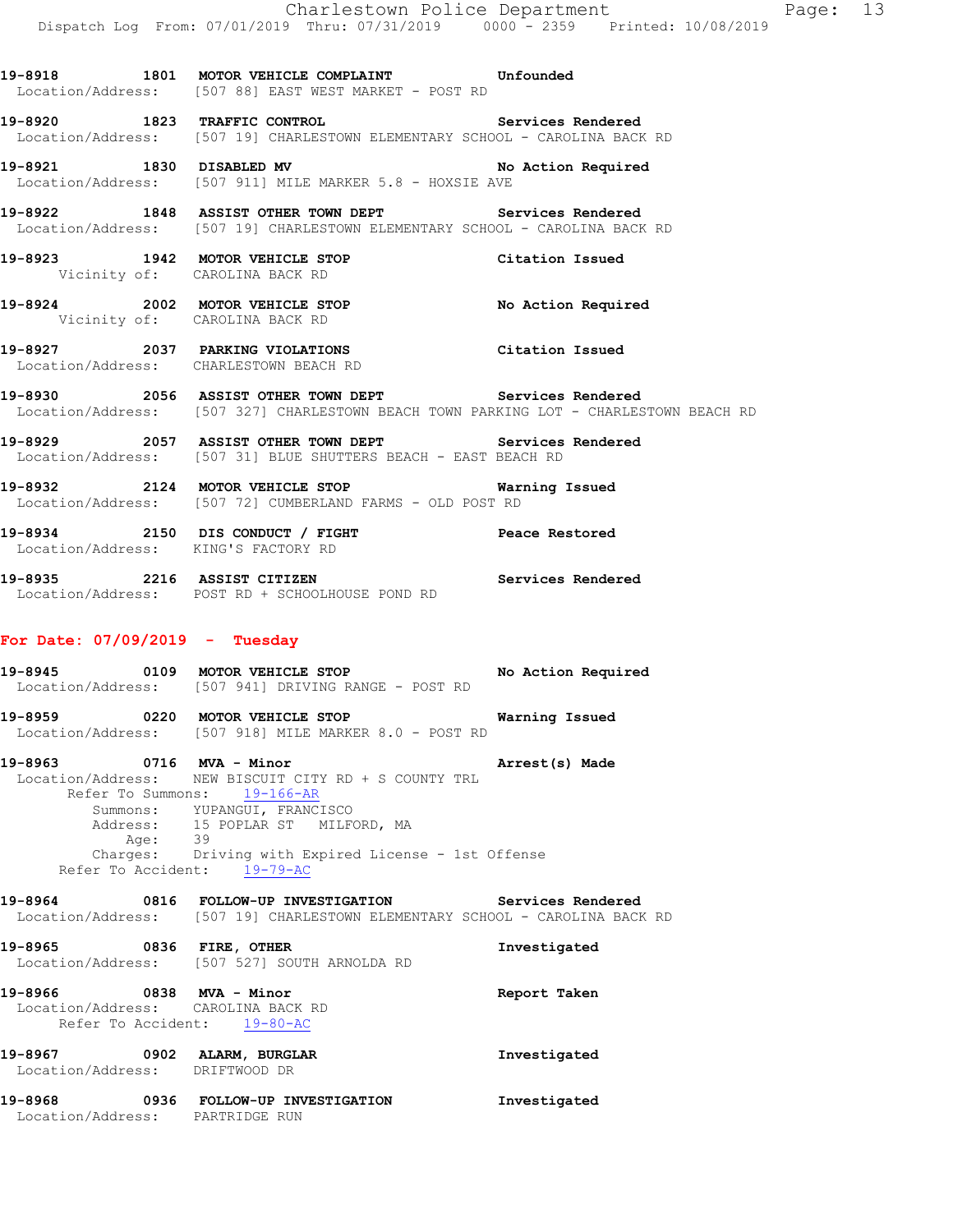19-8921 1830 DISABLED MV **No Action Required**  Location/Address: [507 911] MILE MARKER 5.8 - HOXSIE AVE **19-8922 1848 ASSIST OTHER TOWN DEPT Services Rendered**  Location/Address: [507 19] CHARLESTOWN ELEMENTARY SCHOOL - CAROLINA BACK RD **19-8923 1942 MOTOR VEHICLE STOP Citation Issued**  Vicinity of: CAROLINA BACK RD **19-8924 2002 MOTOR VEHICLE STOP No Action Required**  Vicinity of: CAROLINA BACK RD **19-8927 2037 PARKING VIOLATIONS Citation Issued**  Location/Address: CHARLESTOWN BEACH RD **19-8930 2056 ASSIST OTHER TOWN DEPT Services Rendered**  Location/Address: [507 327] CHARLESTOWN BEACH TOWN PARKING LOT - CHARLESTOWN BEACH RD **19-8929 2057 ASSIST OTHER TOWN DEPT Services Rendered**  Location/Address: [507 31] BLUE SHUTTERS BEACH - EAST BEACH RD **19-8932 2124 MOTOR VEHICLE STOP Warning Issued**  Location/Address: [507 72] CUMBERLAND FARMS - OLD POST RD **19-8934 2150 DIS CONDUCT / FIGHT Peace Restored** 

**19-8918 1801 MOTOR VEHICLE COMPLAINT Unfounded** 

**19-8920 1823 TRAFFIC CONTROL Services Rendered**  Location/Address: [507 19] CHARLESTOWN ELEMENTARY SCHOOL - CAROLINA BACK RD

Location/Address: [507 88] EAST WEST MARKET - POST RD

**19-8935 2216 ASSIST CITIZEN Services Rendered**  Location/Address: POST RD + SCHOOLHOUSE POND RD

#### **For Date: 07/09/2019 - Tuesday**

Location/Address: KING'S FACTORY RD

**19-8945 0109 MOTOR VEHICLE STOP No Action Required**  Location/Address: [507 941] DRIVING RANGE - POST RD

**19-8959 0220 MOTOR VEHICLE STOP Warning Issued**  Location/Address: [507 918] MILE MARKER 8.0 - POST RD

**19-8963 0716 MVA - Minor Arrest(s) Made**  Location/Address: NEW BISCUIT CITY RD + S COUNTY TRL Refer To Summons: 19-166-AR Summons: YUPANGUI, FRANCISCO Address: 15 POPLAR ST MILFORD, MA<br>Age: 39 Age: 39 Charges: Driving with Expired License - 1st Offense Refer To Accident: 19-79-AC

**19-8964 0816 FOLLOW-UP INVESTIGATION Services Rendered**  Location/Address: [507 19] CHARLESTOWN ELEMENTARY SCHOOL - CAROLINA BACK RD **19-8965 0836 FIRE, OTHER Investigated**  Location/Address: [507 527] SOUTH ARNOLDA RD

**19-8966 0838 MVA - Minor Report Taken**  Location/Address: CAROLINA BACK RD Refer To Accident: 19-80-AC **19-8967 0902 ALARM, BURGLAR Investigated**  Location/Address: DRIFTWOOD DR

**19-8968 0936 FOLLOW-UP INVESTIGATION Investigated**  Location/Address: PARTRIDGE RUN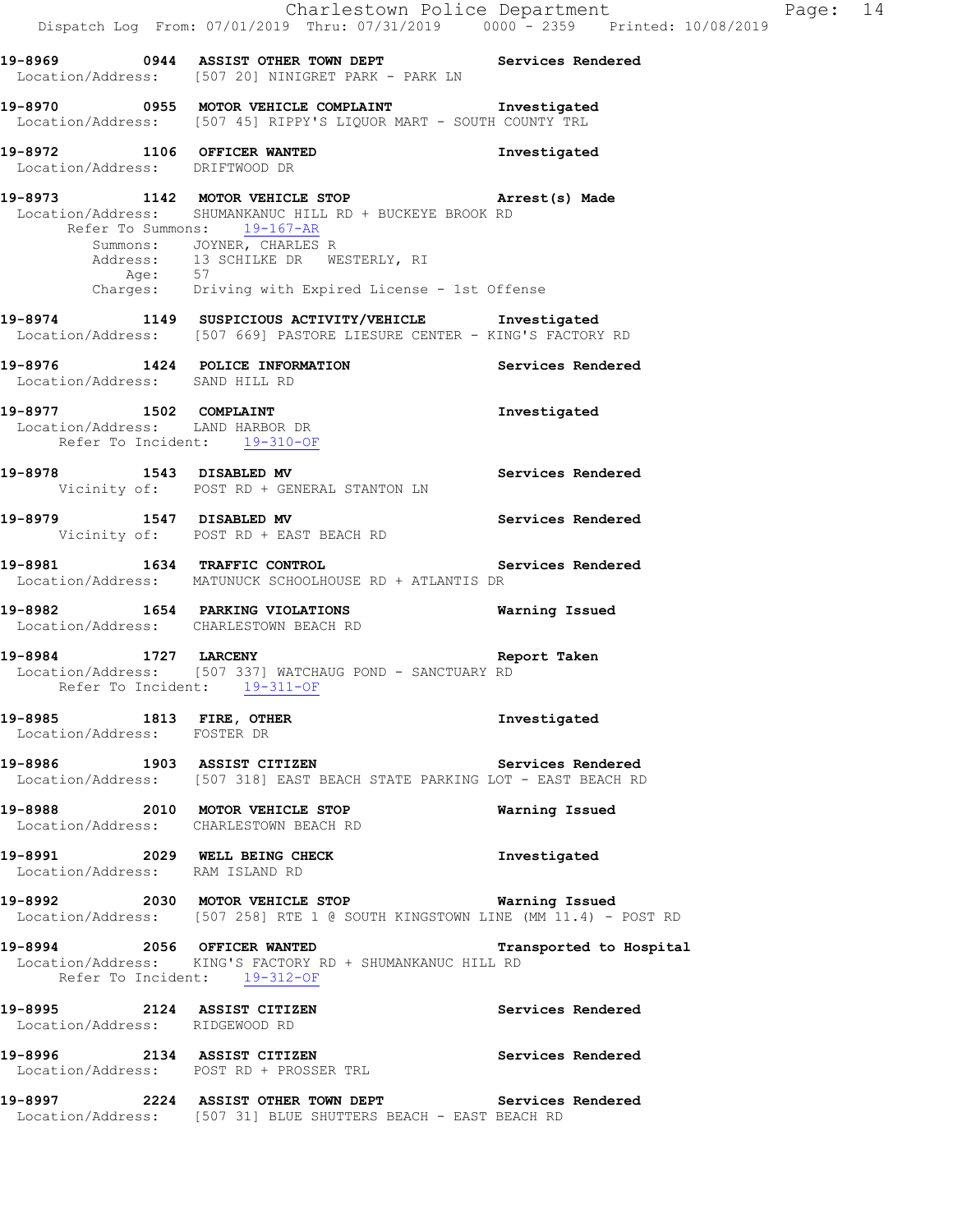**19-8973 1142 MOTOR VEHICLE STOP Arrest(s) Made**  Location/Address: SHUMANKANUC HILL RD + BUCKEYE BROOK RD Refer To Summons: 19-167-AR Summons: JOYNER, CHARLES R Address: 13 SCHILKE DR WESTERLY, RI Age: 57 Charges: Driving with Expired License - 1st Offense

**19-8974 1149 SUSPICIOUS ACTIVITY/VEHICLE Investigated**  Location/Address: [507 669] PASTORE LIESURE CENTER - KING'S FACTORY RD

**19-8976 1424 POLICE INFORMATION Services Rendered**  Location/Address: SAND HILL RD

**19-8977 1502 COMPLAINT Investigated**  Location/Address: LAND HARBOR DR Refer To Incident: 19-310-OF

**19-8978 1543 DISABLED MV Services Rendered**  Vicinity of: POST RD + GENERAL STANTON LN

**19-8979 1547 DISABLED MV Services Rendered**  Vicinity of: POST RD + EAST BEACH RD

**19-8981 1634 TRAFFIC CONTROL Services Rendered**  Location/Address: MATUNUCK SCHOOLHOUSE RD + ATLANTIS DR

**19-8982 1654 PARKING VIOLATIONS Warning Issued**  Location/Address: CHARLESTOWN BEACH RD

**19-8984 1727 LARCENY Report Taken**  Location/Address: [507 337] WATCHAUG POND - SANCTUARY RD Refer To Incident: 19-311-OF

**19-8985 1813 FIRE, OTHER Investigated**  Location/Address: FOSTER DR

**19-8986 1903 ASSIST CITIZEN Services Rendered**  Location/Address: [507 318] EAST BEACH STATE PARKING LOT - EAST BEACH RD

**19-8988 2010 MOTOR VEHICLE STOP Warning Issued**  Location/Address: CHARLESTOWN BEACH RD

**19-8991 2029 WELL BEING CHECK Investigated**  Location/Address: RAM ISLAND RD

**19-8992 2030 MOTOR VEHICLE STOP Warning Issued**  Location/Address: [507 258] RTE 1 @ SOUTH KINGSTOWN LINE (MM 11.4) - POST RD

**19-8994 2056 OFFICER WANTED Transported to Hospital**  Location/Address: KING'S FACTORY RD + SHUMANKANUC HILL RD Refer To Incident: 19-312-OF

**19-8995 2124 ASSIST CITIZEN Services Rendered**  Location/Address: RIDGEWOOD RD

**19-8996 2134 ASSIST CITIZEN Services Rendered**  Location/Address: POST RD + PROSSER TRL

**19-8997 2224 ASSIST OTHER TOWN DEPT Services Rendered**  Location/Address: [507 31] BLUE SHUTTERS BEACH - EAST BEACH RD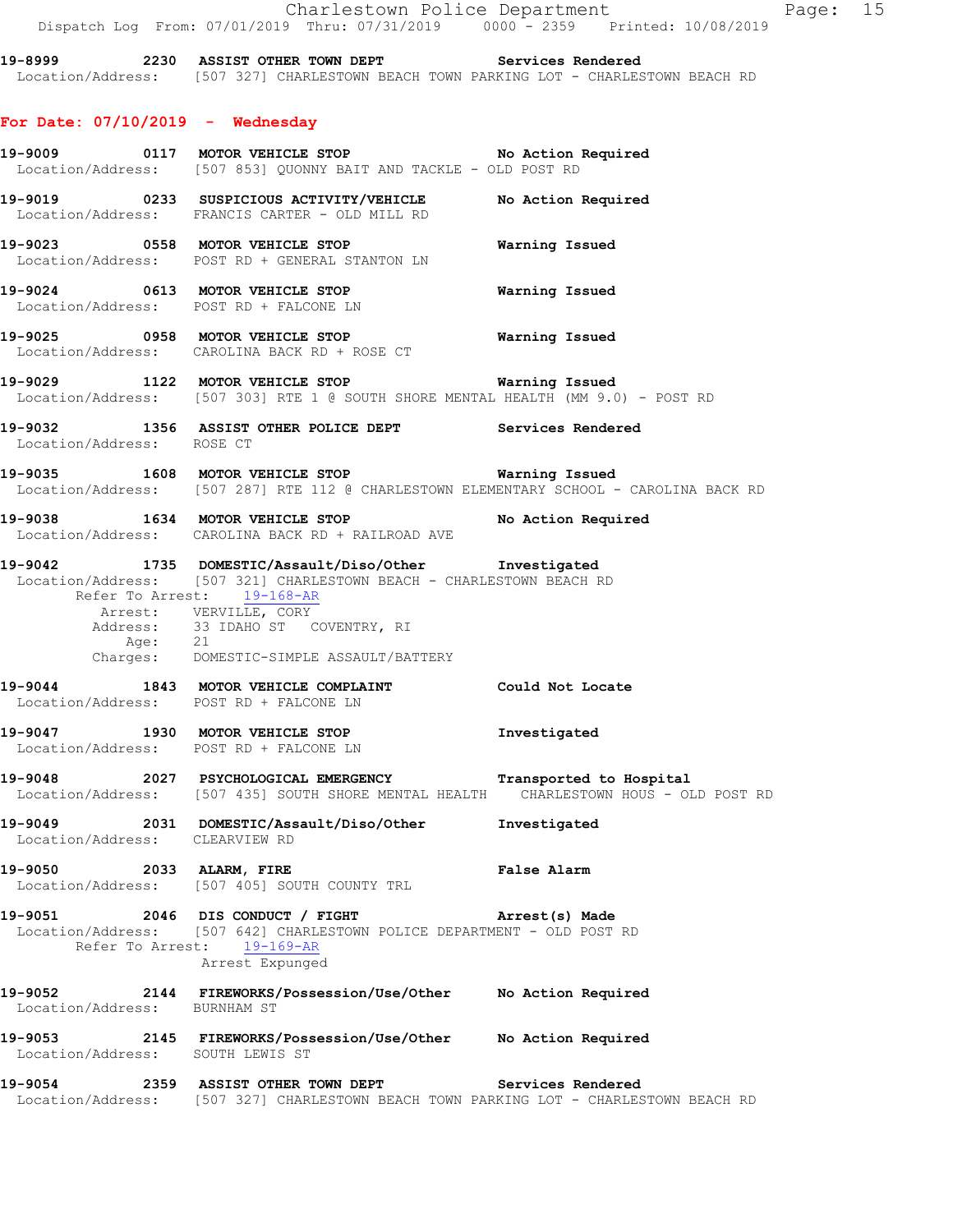|                                    | Dispatch Log From: 07/01/2019 Thru: 07/31/2019                0000 - 2359                Printed: 10/08/2019                                                                                                                                                                      |                |
|------------------------------------|-----------------------------------------------------------------------------------------------------------------------------------------------------------------------------------------------------------------------------------------------------------------------------------|----------------|
|                                    | 19-8999 2230 ASSIST OTHER TOWN DEPT Services Rendered<br>Location/Address: [507 327] CHARLESTOWN BEACH TOWN PARKING LOT - CHARLESTOWN BEACH RD                                                                                                                                    |                |
| For Date: $07/10/2019$ - Wednesday |                                                                                                                                                                                                                                                                                   |                |
|                                    | 19-9009 0117 MOTOR VEHICLE STOP No Action Required<br>Location/Address: [507 853] QUONNY BAIT AND TACKLE - OLD POST RD                                                                                                                                                            |                |
|                                    | 19-9019 		 0233 SUSPICIOUS ACTIVITY/VEHICLE 		 No Action Required<br>Location/Address: FRANCIS CARTER - OLD MILL RD                                                                                                                                                               |                |
|                                    | Location/Address: POST RD + GENERAL STANTON LN                                                                                                                                                                                                                                    |                |
|                                    | 19-9024 0613 MOTOR VEHICLE STOP <b>Warning Issued</b><br>Location/Address: POST RD + FALCONE LN                                                                                                                                                                                   |                |
|                                    | 19-9025 0958 MOTOR VEHICLE STOP<br>Location/Address: CAROLINA BACK RD + ROSE CT                                                                                                                                                                                                   | Warning Issued |
|                                    | 19-9029 1122 MOTOR VEHICLE STOP <b>Warning Issued</b><br>Location/Address: [507 303] RTE 1 @ SOUTH SHORE MENTAL HEALTH (MM 9.0) - POST RD                                                                                                                                         |                |
| Location/Address: ROSE CT          | 19-9032 1356 ASSIST OTHER POLICE DEPT Services Rendered                                                                                                                                                                                                                           |                |
|                                    | 19-9035 1608 MOTOR VEHICLE STOP <b>Warning Issued</b><br>Location/Address: [507 287] RTE 112 @ CHARLESTOWN ELEMENTARY SCHOOL - CAROLINA BACK RD                                                                                                                                   |                |
|                                    | 19-9038 1634 MOTOR VEHICLE STOP No Action Required<br>Location/Address: CAROLINA BACK RD + RAILROAD AVE                                                                                                                                                                           |                |
|                                    | 19-9042 1735 DOMESTIC/Assault/Diso/Other Investigated<br>Location/Address: [507 321] CHARLESTOWN BEACH - CHARLESTOWN BEACH RD<br>Refer To Arrest: 19-168-AR<br>Arrest: VERVILLE, CORY<br>Address: 33 IDAHO ST COVENTRY, RI<br>Age: 21<br>Charges: DOMESTIC-SIMPLE ASSAULT/BATTERY |                |
|                                    | 19-9044 1843 MOTOR VEHICLE COMPLAINT Could Not Locate<br>Location/Address: POST RD + FALCONE LN                                                                                                                                                                                   |                |
|                                    | 19-9047 1930 MOTOR VEHICLE STOP<br>Location/Address: POST RD + FALCONE LN                                                                                                                                                                                                         | Investigated   |
|                                    | 19-9048 2027 PSYCHOLOGICAL EMERGENCY Transported to Hospital<br>Location/Address: [507 435] SOUTH SHORE MENTAL HEALTH CHARLESTOWN HOUS - OLD POST RD                                                                                                                              |                |
| Location/Address: CLEARVIEW RD     | 19-9049 2031 DOMESTIC/Assault/Diso/Other                                                                                                                                                                                                                                          | Investigated   |
| 19-9050 2033 ALARM, FIRE           | Location/Address: [507 405] SOUTH COUNTY TRL                                                                                                                                                                                                                                      | False Alarm    |
|                                    | 19-9051 2046 DIS CONDUCT / FIGHT Arrest(s) Made<br>Location/Address: [507 642] CHARLESTOWN POLICE DEPARTMENT - OLD POST RD<br>Refer To Arrest: 19-169-AR<br>Arrest Expunged                                                                                                       |                |
| Location/Address: BURNHAM ST       | 19-9052 2144 FIREWORKS/Possession/Use/Other No Action Required                                                                                                                                                                                                                    |                |
| Location/Address: SOUTH LEWIS ST   | 19-9053 2145 FIREWORKS/Possession/Use/Other No Action Required                                                                                                                                                                                                                    |                |
|                                    |                                                                                                                                                                                                                                                                                   |                |

**19-9054 2359 ASSIST OTHER TOWN DEPT Services Rendered**  Location/Address: [507 327] CHARLESTOWN BEACH TOWN PARKING LOT - CHARLESTOWN BEACH RD

Charlestown Police Department Fage: 15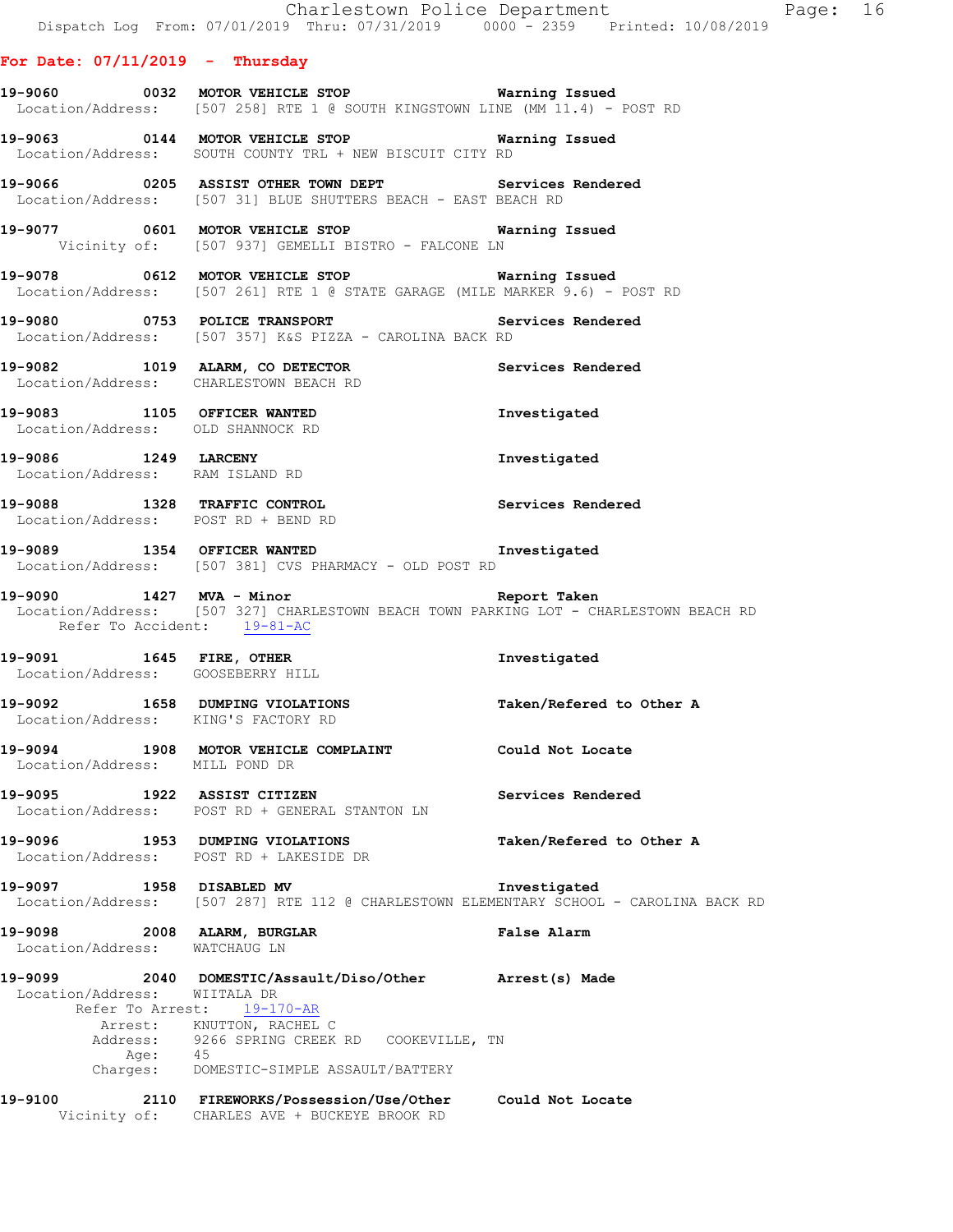|                                   |                                                                                                                                                                     | Dispatch Log From: 07/01/2019 Thru: 07/31/2019 0000 - 2359 Printed: 10/08/2019                                                      |
|-----------------------------------|---------------------------------------------------------------------------------------------------------------------------------------------------------------------|-------------------------------------------------------------------------------------------------------------------------------------|
| For Date: $07/11/2019$ - Thursday |                                                                                                                                                                     |                                                                                                                                     |
|                                   |                                                                                                                                                                     | 19-9060 0032 MOTOR VEHICLE STOP Warning Issued<br>Location/Address: [507 258] RTE 1 @ SOUTH KINGSTOWN LINE (MM 11.4) - POST RD      |
|                                   | 19-9063   0144   MOTOR VEHICLE STOP   Warning Issued<br>Location/Address: SOUTH COUNTY TRL + NEW BISCUIT CITY RD                                                    |                                                                                                                                     |
|                                   | 19-9066 0205 ASSIST OTHER TOWN DEPT Services Rendered Location/Address: [507 31] BLUE SHUTTERS BEACH - EAST BEACH RD                                                |                                                                                                                                     |
|                                   | 19-9077 0601 MOTOR VEHICLE STOP <b>Warning Issued</b><br>Vicinity of: [507 937] GEMELLI BISTRO - FALCONE LN                                                         |                                                                                                                                     |
|                                   | 19-9078 0612 MOTOR VEHICLE STOP <b>Warning Issued</b>                                                                                                               | Location/Address: [507 261] RTE 1 @ STATE GARAGE (MILE MARKER 9.6) - POST RD                                                        |
|                                   | Location/Address: [507 357] K&S PIZZA - CAROLINA BACK RD                                                                                                            |                                                                                                                                     |
|                                   | 19-9082 1019 ALARM, CO DETECTOR 19-9082 Services Rendered<br>Location/Address: CHARLESTOWN BEACH RD                                                                 |                                                                                                                                     |
|                                   | 19-9083 1105 OFFICER WANTED<br>Location/Address: OLD SHANNOCK RD                                                                                                    | Investigated                                                                                                                        |
|                                   | 19-9086 1249 LARCENY<br>Location/Address: RAM ISLAND RD                                                                                                             | Investigated                                                                                                                        |
|                                   | 19-9088 1328 TRAFFIC CONTROL<br>Location/Address: POST RD + BEND RD                                                                                                 | Services Rendered                                                                                                                   |
|                                   | 19-9089 1354 OFFICER WANTED<br>Location/Address: [507 381] CVS PHARMACY - OLD POST RD                                                                               | Investigated                                                                                                                        |
| Refer To Accident: 19-81-AC       |                                                                                                                                                                     | 19-9090 1427 MVA - Minor Nine Report Taken<br>Location/Address: [507 327] CHARLESTOWN BEACH TOWN PARKING LOT - CHARLESTOWN BEACH RD |
|                                   | 19-9091 1645 FIRE, OTHER 10 Investigated<br>Location/Address: GOOSEBERRY HILL                                                                                       |                                                                                                                                     |
|                                   | Location/Address: KING'S FACTORY RD                                                                                                                                 | 19-9092 1658 DUMPING VIOLATIONS Taken/Refered to Other A                                                                            |
| Location/Address: MILL POND DR    | 19-9094 1908 MOTOR VEHICLE COMPLAINT Could Not Locate                                                                                                               |                                                                                                                                     |
|                                   | 19-9095 1922 ASSIST CITIZEN<br>Location/Address: POST RD + GENERAL STANTON LN                                                                                       | Services Rendered                                                                                                                   |
|                                   | 19-9096 1953 DUMPING VIOLATIONS<br>Location/Address: POST RD + LAKESIDE DR                                                                                          | Taken/Refered to Other A                                                                                                            |
| 19-9097 1958 DISABLED MV          |                                                                                                                                                                     | Investigated<br>Location/Address: [507 287] RTE 112 @ CHARLESTOWN ELEMENTARY SCHOOL - CAROLINA BACK RD                              |
| Location/Address: WATCHAUG LN     | 19-9098 2008 ALARM, BURGLAR                                                                                                                                         | False Alarm                                                                                                                         |
| Location/Address: WIITALA DR      | 19-9099  2040 DOMESTIC/Assault/Diso/Other Arrest(s) Made<br>Refer To Arrest: 19-170-AR<br>Arrest: KNUTTON, RACHEL C<br>Address: 9266 SPRING CREEK RD COOKEVILLE, TN |                                                                                                                                     |
|                                   | Age: 45<br>Charges: DOMESTIC-SIMPLE ASSAULT/BATTERY                                                                                                                 |                                                                                                                                     |

**19-9100 2110 FIREWORKS/Possession/Use/Other Could Not Locate**  Vicinity of: CHARLES AVE + BUCKEYE BROOK RD

Charlestown Police Department Fage: 16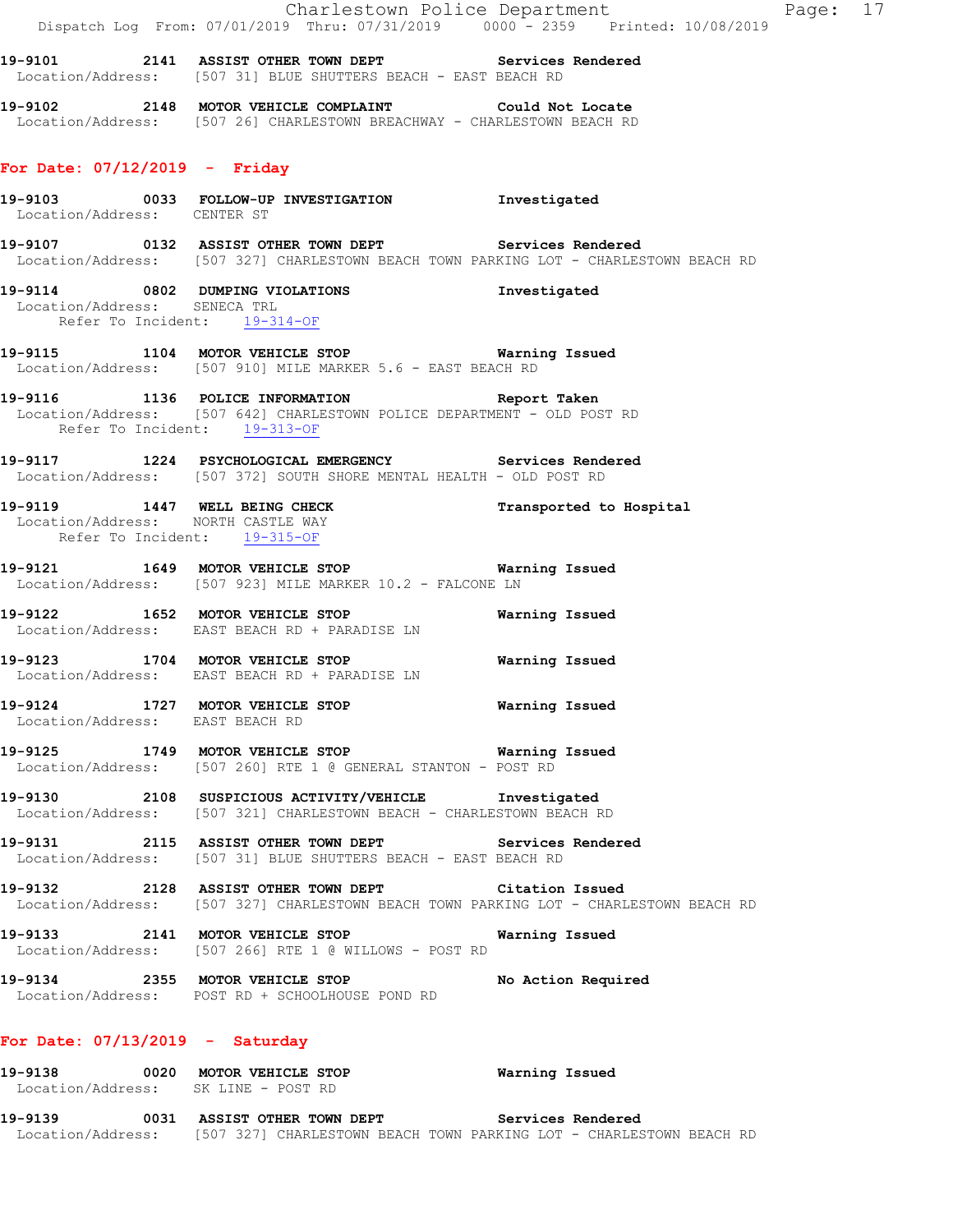Charlestown Police Department Fage: 17 Dispatch Log From: 07/01/2019 Thru: 07/31/2019 0000 - 2359 Printed: 10/08/2019 **19-9101 2141 ASSIST OTHER TOWN DEPT Services Rendered**  Location/Address: [507 31] BLUE SHUTTERS BEACH - EAST BEACH RD **19-9102 2148 MOTOR VEHICLE COMPLAINT Could Not Locate**  Location/Address: [507 26] CHARLESTOWN BREACHWAY - CHARLESTOWN BEACH RD **For Date: 07/12/2019 - Friday 19-9103 0033 FOLLOW-UP INVESTIGATION Investigated**  Location/Address: CENTER ST **19-9107 0132 ASSIST OTHER TOWN DEPT Services Rendered**  Location/Address: [507 327] CHARLESTOWN BEACH TOWN PARKING LOT - CHARLESTOWN BEACH RD **19-9114 0802 DUMPING VIOLATIONS Investigated**  Location/Address: SENECA TRL Refer To Incident: 19-314-OF **19-9115 1104 MOTOR VEHICLE STOP Warning Issued**  Location/Address: [507 910] MILE MARKER 5.6 - EAST BEACH RD **19-9116 1136 POLICE INFORMATION Report Taken**  Location/Address: [507 642] CHARLESTOWN POLICE DEPARTMENT - OLD POST RD Refer To Incident: 19-313-OF **19-9117 1224 PSYCHOLOGICAL EMERGENCY Services Rendered**  Location/Address: [507 372] SOUTH SHORE MENTAL HEALTH - OLD POST RD **19-9119 1447 WELL BEING CHECK Transported to Hospital**  Location/Address: NORTH CASTLE WAY Refer To Incident: 19-315-OF **19-9121 1649 MOTOR VEHICLE STOP Warning Issued**  Location/Address: [507 923] MILE MARKER 10.2 - FALCONE LN **19-9122 1652 MOTOR VEHICLE STOP Warning Issued**  Location/Address: EAST BEACH RD + PARADISE LN **19-9123 1704 MOTOR VEHICLE STOP Warning Issued**  Location/Address: EAST BEACH RD + PARADISE LN **19-9124 1727 MOTOR VEHICLE STOP Warning Issued**  Location/Address: EAST BEACH RD **19-9125 1749 MOTOR VEHICLE STOP Warning Issued**  Location/Address: [507 260] RTE 1 @ GENERAL STANTON - POST RD **19-9130 2108 SUSPICIOUS ACTIVITY/VEHICLE Investigated**  Location/Address: [507 321] CHARLESTOWN BEACH - CHARLESTOWN BEACH RD **19-9131 2115 ASSIST OTHER TOWN DEPT Services Rendered**  Location/Address: [507 31] BLUE SHUTTERS BEACH - EAST BEACH RD **19-9132 2128 ASSIST OTHER TOWN DEPT Citation Issued**  Location/Address: [507 327] CHARLESTOWN BEACH TOWN PARKING LOT - CHARLESTOWN BEACH RD **19-9133 2141 MOTOR VEHICLE STOP Warning Issued**  Location/Address: [507 266] RTE 1 @ WILLOWS - POST RD **19-9134 2355 MOTOR VEHICLE STOP No Action Required**  Location/Address: POST RD + SCHOOLHOUSE POND RD

#### **For Date: 07/13/2019 - Saturday**

| 19-9138           | 0020 | MOTOR VEHICLE STOP     | Warning Issued                                                      |                   |  |
|-------------------|------|------------------------|---------------------------------------------------------------------|-------------------|--|
| Location/Address: |      | SK LINE – POST RD      |                                                                     |                   |  |
| 19-9139           | 0031 | ASSIST OTHER TOWN DEPT |                                                                     | Services Rendered |  |
| Location/Address: |      |                        | [507 327] CHARLESTOWN BEACH TOWN PARKING LOT - CHARLESTOWN BEACH RD |                   |  |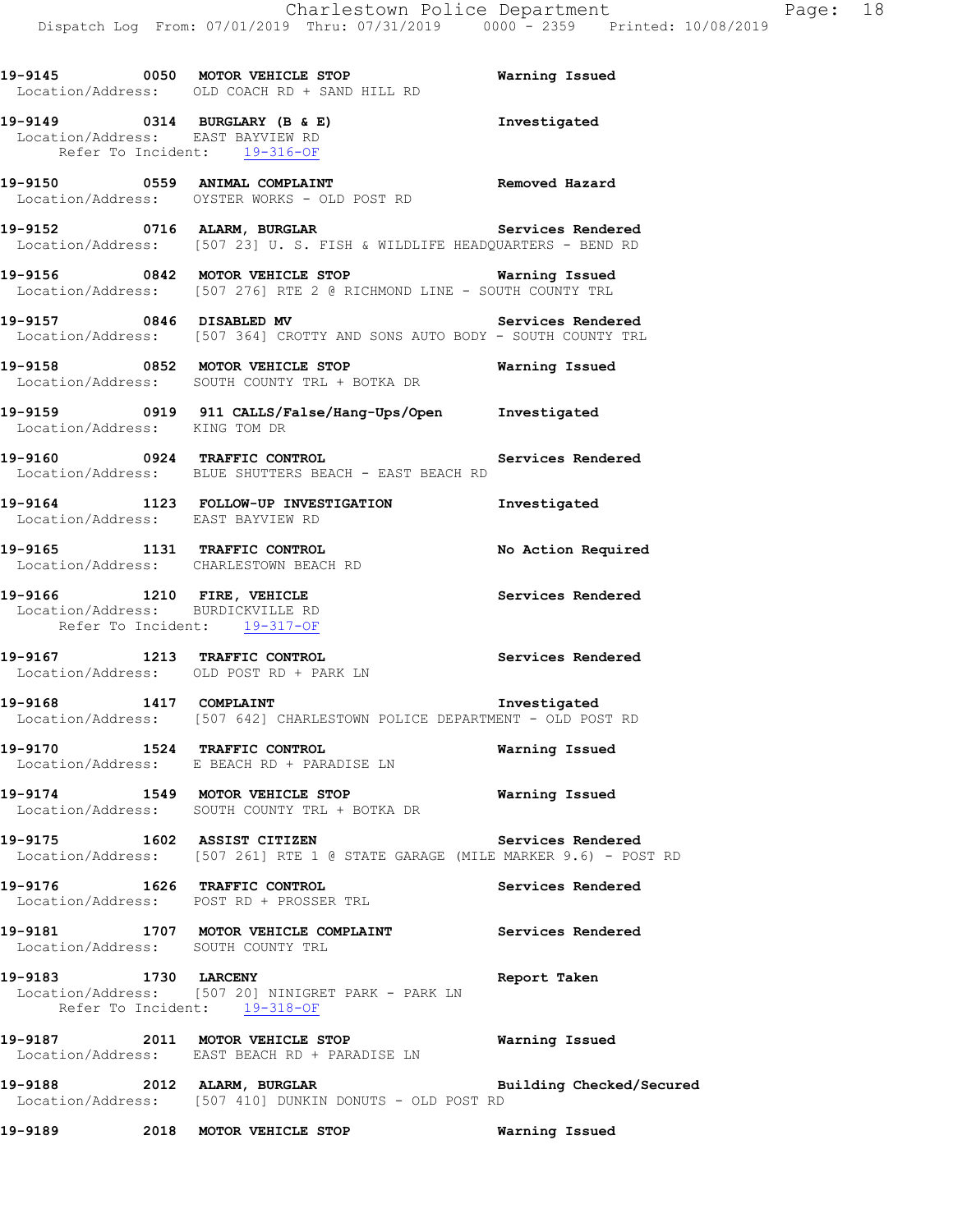**19-9145 0050 MOTOR VEHICLE STOP Warning Issued**  Location/Address: OLD COACH RD + SAND HILL RD **19-9149 0314 BURGLARY (B & E) Investigated**  Location/Address: EAST BAYVIEW RD Refer To Incident: 19-316-OF **19-9150 0559 ANIMAL COMPLAINT Removed Hazard**  Location/Address: OYSTER WORKS - OLD POST RD **19-9152 0716 ALARM, BURGLAR Services Rendered**  Location/Address: [507 23] U. S. FISH & WILDLIFE HEADQUARTERS - BEND RD **19-9156 0842 MOTOR VEHICLE STOP Warning Issued**  Location/Address: [507 276] RTE 2 @ RICHMOND LINE - SOUTH COUNTY TRL **19-9157 0846 DISABLED MV Services Rendered**  Location/Address: [507 364] CROTTY AND SONS AUTO BODY - SOUTH COUNTY TRL **19-9158 0852 MOTOR VEHICLE STOP Warning Issued**  Location/Address: SOUTH COUNTY TRL + BOTKA DR **19-9159 0919 911 CALLS/False/Hang-Ups/Open Investigated**  Location/Address: KING TOM DR **19-9160 0924 TRAFFIC CONTROL Services Rendered**  Location/Address: BLUE SHUTTERS BEACH - EAST BEACH RD **19-9164 1123 FOLLOW-UP INVESTIGATION Investigated**  Location/Address: EAST BAYVIEW RD **19-9165 1131 TRAFFIC CONTROL No Action Required**  Location/Address: CHARLESTOWN BEACH RD 19-9166 1210 FIRE, VEHICLE **19-9166** Services Rendered Location/Address: BURDICKVILLE RD Refer To Incident: 19-317-OF **19-9167 1213 TRAFFIC CONTROL Services Rendered**  Location/Address: OLD POST RD + PARK LN **19-9168 1417 COMPLAINT Investigated**  Location/Address: [507 642] CHARLESTOWN POLICE DEPARTMENT - OLD POST RD **19-9170 1524 TRAFFIC CONTROL Warning Issued**  Location/Address: E BEACH RD + PARADISE LN **19-9174 1549 MOTOR VEHICLE STOP Warning Issued**  Location/Address: SOUTH COUNTY TRL + BOTKA DR **19-9175 1602 ASSIST CITIZEN Services Rendered**  Location/Address: [507 261] RTE 1 @ STATE GARAGE (MILE MARKER 9.6) - POST RD **19-9176 1626 TRAFFIC CONTROL Services Rendered**  Location/Address: POST RD + PROSSER TRL **19-9181 1707 MOTOR VEHICLE COMPLAINT Services Rendered**  Location/Address: SOUTH COUNTY TRL **19-9183 1730 LARCENY Report Taken**  Location/Address: [507 20] NINIGRET PARK - PARK LN Refer To Incident: 19-318-OF **19-9187 2011 MOTOR VEHICLE STOP Warning Issued**  EAST BEACH RD + PARADISE LN **19-9188 2012 ALARM, BURGLAR Building Checked/Secured**  Location/Address: [507 410] DUNKIN DONUTS - OLD POST RD **19-9189 2018 MOTOR VEHICLE STOP Warning Issued**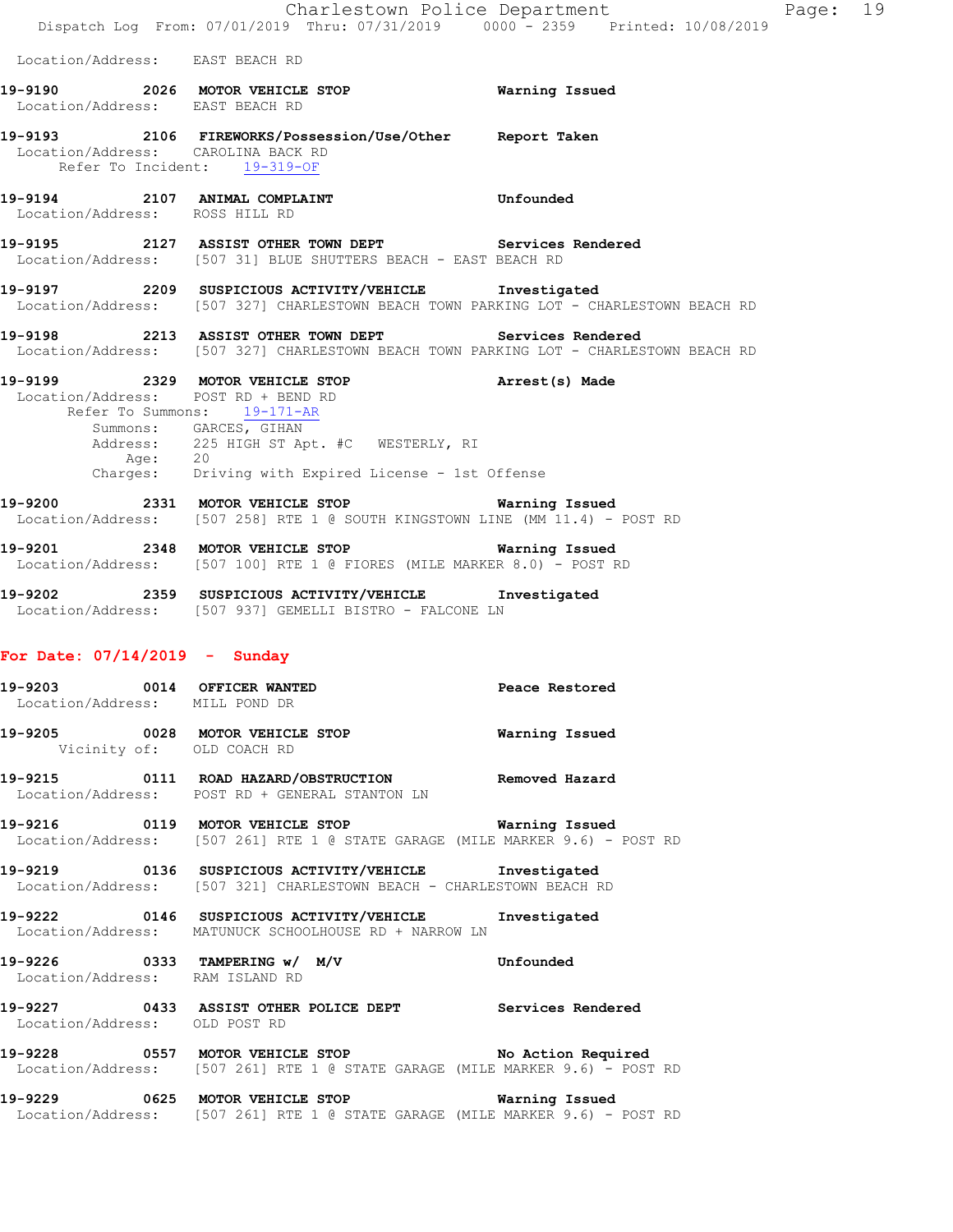Charlestown Police Department Page: 19 Dispatch Log From: 07/01/2019 Thru: 07/31/2019 0000 - 2359 Printed: 10/08/2019 Location/Address: EAST BEACH RD **19-9190 2026 MOTOR VEHICLE STOP Warning Issued**  Location/Address: EAST BEACH RD **19-9193 2106 FIREWORKS/Possession/Use/Other Report Taken**  Location/Address: CAROLINA BACK RD Refer To Incident: 19-319-OF **19-9194 2107 ANIMAL COMPLAINT Unfounded**  Location/Address: ROSS HILL RD **19-9195 2127 ASSIST OTHER TOWN DEPT Services Rendered**  Location/Address: [507 31] BLUE SHUTTERS BEACH - EAST BEACH RD **19-9197 2209 SUSPICIOUS ACTIVITY/VEHICLE Investigated**  Location/Address: [507 327] CHARLESTOWN BEACH TOWN PARKING LOT - CHARLESTOWN BEACH RD **19-9198 2213 ASSIST OTHER TOWN DEPT Services Rendered**  Location/Address: [507 327] CHARLESTOWN BEACH TOWN PARKING LOT - CHARLESTOWN BEACH RD **19-9199 2329 MOTOR VEHICLE STOP Arrest(s) Made**  Location/Address: POST RD + BEND RD Refer To Summons: 19-171-AR Summons: GARCES, GIHAN 225 HIGH ST Apt. #C WESTERLY, RI Address: 225<br>Age: 20 Charges: Driving with Expired License - 1st Offense **19-9200 2331 MOTOR VEHICLE STOP Warning Issued**  Location/Address: [507 258] RTE 1 @ SOUTH KINGSTOWN LINE (MM 11.4) - POST RD **19-9201 2348 MOTOR VEHICLE STOP Warning Issued**  Location/Address: [507 100] RTE 1 @ FIORES (MILE MARKER 8.0) - POST RD **19-9202 2359 SUSPICIOUS ACTIVITY/VEHICLE Investigated**  Location/Address: [507 937] GEMELLI BISTRO - FALCONE LN **For Date: 07/14/2019 - Sunday 19-9203 0014 OFFICER WANTED Peace Restored**  Location/Address: MILL POND DR **19-9205 0028 MOTOR VEHICLE STOP Warning Issued**  Vicinity of: OLD COACH RD **19-9215 0111 ROAD HAZARD/OBSTRUCTION Removed Hazard**  Location/Address: POST RD + GENERAL STANTON LN **19-9216 0119 MOTOR VEHICLE STOP Warning Issued**  Location/Address: [507 261] RTE 1 @ STATE GARAGE (MILE MARKER 9.6) - POST RD **19-9219 0136 SUSPICIOUS ACTIVITY/VEHICLE Investigated**  Location/Address: [507 321] CHARLESTOWN BEACH - CHARLESTOWN BEACH RD

**19-9222 0146 SUSPICIOUS ACTIVITY/VEHICLE Investigated**  Location/Address: MATUNUCK SCHOOLHOUSE RD + NARROW LN

**19-9226 0333 TAMPERING w/ M/V Unfounded**  Location/Address: RAM ISLAND RD

**19-9227 0433 ASSIST OTHER POLICE DEPT Services Rendered**  Location/Address: OLD POST RD

**19-9228 0557 MOTOR VEHICLE STOP No Action Required**  Location/Address: [507 261] RTE 1 @ STATE GARAGE (MILE MARKER 9.6) - POST RD

**19-9229 0625 MOTOR VEHICLE STOP Warning Issued**  Location/Address: [507 261] RTE 1 @ STATE GARAGE (MILE MARKER 9.6) - POST RD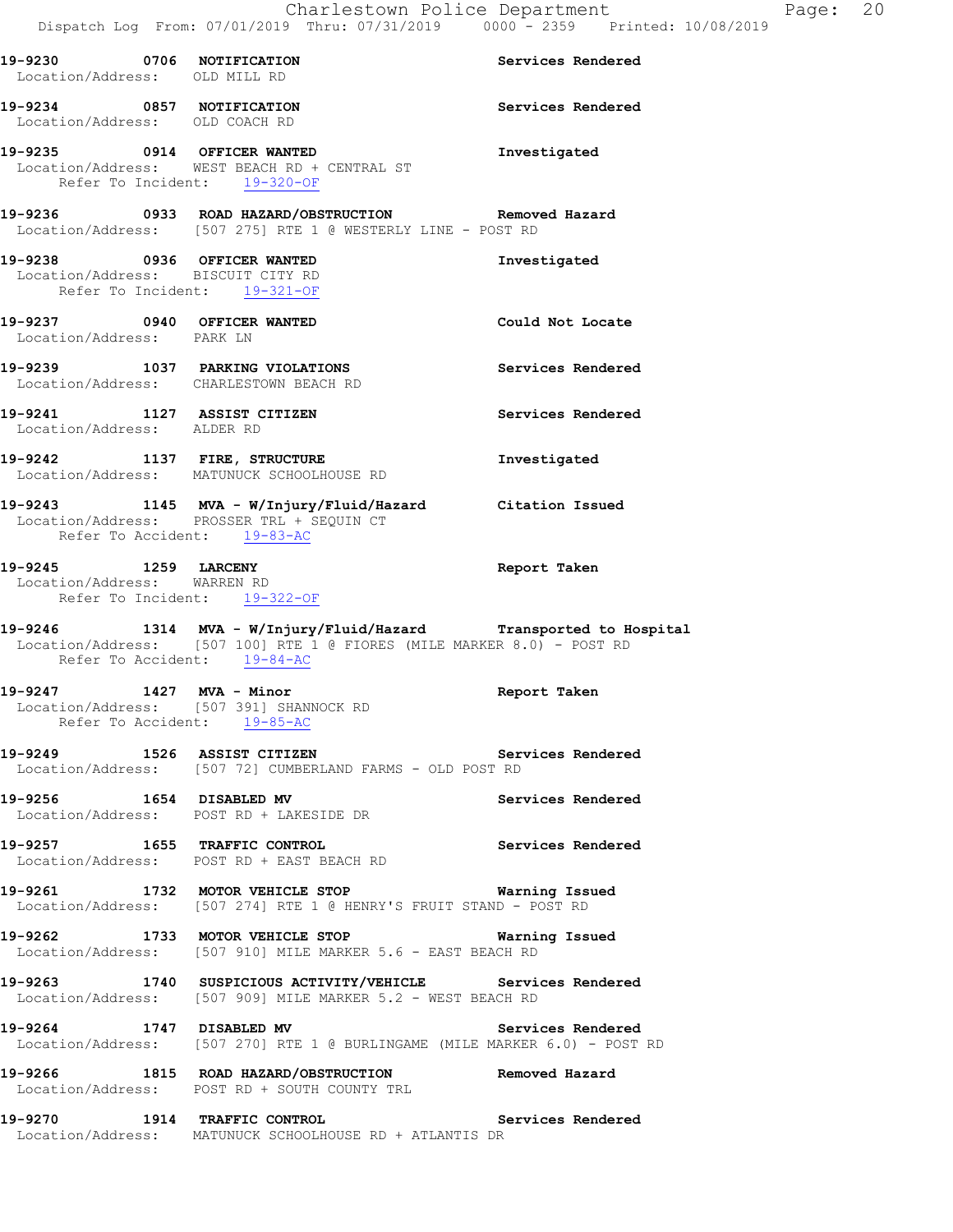| 19-9230 0706 NOTIFICATION      |                                                                                                                    | Services Rendered |
|--------------------------------|--------------------------------------------------------------------------------------------------------------------|-------------------|
| Location/Address: OLD MILL RD  |                                                                                                                    |                   |
| 19-9234 0857 NOTIFICATION      |                                                                                                                    | Services Rendered |
| Location/Address: OLD COACH RD |                                                                                                                    |                   |
|                                | 19-9235 0914 OFFICER WANTED                                                                                        | Investigated      |
|                                | Location/Address: WEST BEACH RD + CENTRAL ST                                                                       |                   |
|                                | Refer To Incident: 19-320-OF                                                                                       |                   |
|                                |                                                                                                                    |                   |
|                                | 19-9236 0933 ROAD HAZARD/OBSTRUCTION Removed Hazard<br>Location/Address: [507 275] RTE 1 @ WESTERLY LINE - POST RD |                   |
|                                |                                                                                                                    |                   |
|                                | 19-9238 0936 OFFICER WANTED<br>Location/Address: BISCUIT CITY RD                                                   | Investigated      |
|                                | Refer To Incident: $19-321-OF$                                                                                     |                   |
|                                |                                                                                                                    |                   |
|                                | 19-9237 0940 OFFICER WANTED                                                                                        | Could Not Locate  |
| Location/Address: PARK LN      |                                                                                                                    |                   |
|                                | 19-9239 1037 PARKING VIOLATIONS                                                                                    | Services Rendered |
|                                | Location/Address: CHARLESTOWN BEACH RD                                                                             |                   |
|                                | 19-9241 1127 ASSIST CITIZEN                                                                                        | Services Rendered |
| Location/Address: ALDER RD     |                                                                                                                    |                   |
|                                |                                                                                                                    |                   |
|                                | 19-9242 1137 FIRE, STRUCTURE<br>Location/Address: MATUNUCK SCHOOLHOUSE RD                                          | Investigated      |
|                                |                                                                                                                    |                   |
|                                | 19-9243 1145 MVA - W/Injury/Fluid/Hazard Citation Issued<br>Location/Address: PROSSER TRL + SEQUIN CT              |                   |
|                                |                                                                                                                    |                   |
|                                | Refer To Accident: 19-83-AC                                                                                        |                   |
| 19-9245 1259 LARCENY           |                                                                                                                    | Report Taken      |
| Location/Address: WARREN RD    |                                                                                                                    |                   |
|                                | Refer To Incident: 19-322-OF                                                                                       |                   |
|                                | 19-9246 1314 MVA - W/Injury/Fluid/Hazard Transported to Hospital                                                   |                   |
|                                | Location/Address: [507 100] RTE 1 @ FIORES (MILE MARKER 8.0) - POST RD                                             |                   |
|                                | Refer To Accident: 19-84-AC                                                                                        |                   |
|                                |                                                                                                                    | Report Taken      |
|                                | 19-9247 1427 MVA - Minor<br>Location/Address: [507 391] SHANNOCK RD                                                |                   |
|                                | Refer To Accident: 19-85-AC                                                                                        |                   |
|                                | 19-9249 1526 ASSIST CITIZEN                                                                                        | Services Rendered |
|                                | Location/Address: [507 72] CUMBERLAND FARMS - OLD POST RD                                                          |                   |
|                                | 19-9256 1654 DISABLED MV                                                                                           |                   |
|                                | Location/Address: POST RD + LAKESIDE DR                                                                            | Services Rendered |
|                                |                                                                                                                    |                   |
|                                | 19-9257 1655 TRAFFIC CONTROL                                                                                       | Services Rendered |
|                                | Location/Address: POST RD + EAST BEACH RD                                                                          |                   |
|                                | 19-9261 1732 MOTOR VEHICLE STOP 6 Warning Issued                                                                   |                   |
|                                | Location/Address: [507 274] RTE 1 @ HENRY'S FRUIT STAND - POST RD                                                  |                   |
|                                | 19-9262 1733 MOTOR VEHICLE STOP                                                                                    | Warning Issued    |
|                                | Location/Address: [507 910] MILE MARKER 5.6 - EAST BEACH RD                                                        |                   |
|                                |                                                                                                                    |                   |
|                                | 19-9263 1740 SUSPICIOUS ACTIVITY/VEHICLE Services Rendered                                                         |                   |
|                                | Location/Address: [507 909] MILE MARKER 5.2 - WEST BEACH RD                                                        |                   |
| 19-9264 1747 DISABLED MV       |                                                                                                                    | Services Rendered |
|                                | Location/Address: [507 270] RTE 1 @ BURLINGAME (MILE MARKER 6.0) - POST RD                                         |                   |
|                                |                                                                                                                    |                   |
|                                | 19-9266 1815 ROAD HAZARD/OBSTRUCTION Removed Hazard Location/Address: POST RD + SOUTH COUNTY TRL                   |                   |
|                                |                                                                                                                    |                   |
|                                | 19-9270 1914 TRAFFIC CONTROL<br>Location/Address: MATUNUCK SCHOOLHOUSE RD + ATLANTIS DR                            | Services Rendered |
|                                |                                                                                                                    |                   |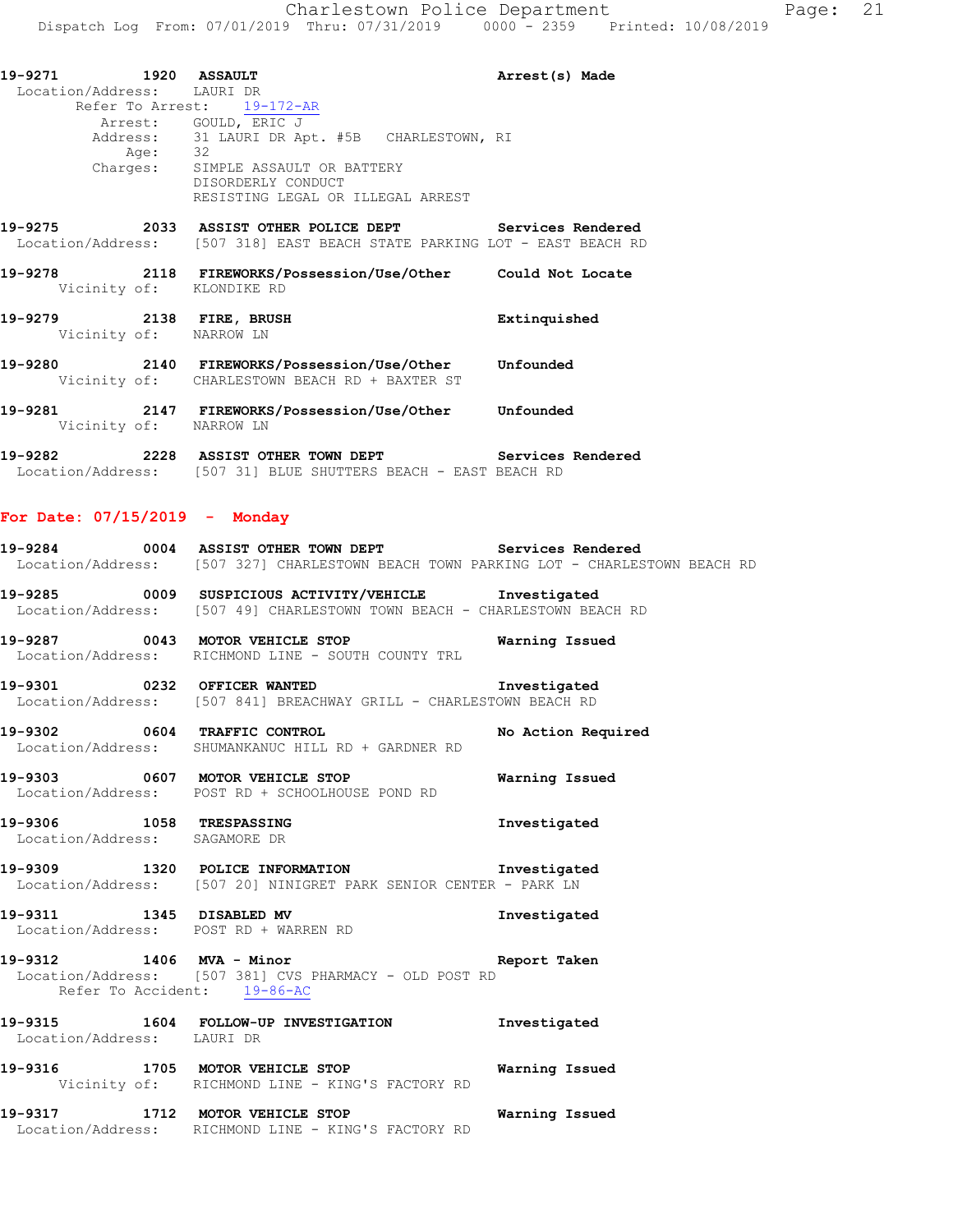**19-9271 1920 ASSAULT Arrest(s) Made**  Location/Address: LAURI DR Refer To Arrest:  $19-172-AR$ Arrest: GOULD, ERIC J Address: 31 LAURI DR Apt. #5B CHARLESTOWN, RI uutess: 31<br>Age: 32 Charges: SIMPLE ASSAULT OR BATTERY DISORDERLY CONDUCT RESISTING LEGAL OR ILLEGAL ARREST **19-9275 2033 ASSIST OTHER POLICE DEPT Services Rendered**  Location/Address: [507 318] EAST BEACH STATE PARKING LOT - EAST BEACH RD **19-9278 2118 FIREWORKS/Possession/Use/Other Could Not Locate**  Vicinity of: KLONDIKE RD **19-9279 2138 FIRE, BRUSH Extinquished**  Vicinity of: NARROW LN

- **19-9280 2140 FIREWORKS/Possession/Use/Other Unfounded**  Vicinity of: CHARLESTOWN BEACH RD + BAXTER ST **19-9281 2147 FIREWORKS/Possession/Use/Other Unfounded**
- Vicinity of: NARROW LN
- **19-9282 2228 ASSIST OTHER TOWN DEPT Services Rendered**  Location/Address: [507 31] BLUE SHUTTERS BEACH - EAST BEACH RD

#### **For Date: 07/15/2019 - Monday**

| 19-9284<br>0004   | <b>ASSIST OTHER TOWN DEPT</b> | Services Rendered                                                   |
|-------------------|-------------------------------|---------------------------------------------------------------------|
| Location/Address: |                               | [507 327] CHARLESTOWN BEACH TOWN PARKING LOT - CHARLESTOWN BEACH RD |

**19-9285 0009 SUSPICIOUS ACTIVITY/VEHICLE Investigated**  Location/Address: [507 49] CHARLESTOWN TOWN BEACH - CHARLESTOWN BEACH RD

**19-9287 0043 MOTOR VEHICLE STOP Warning Issued**  Location/Address: RICHMOND LINE - SOUTH COUNTY TRL

**19-9301 0232 OFFICER WANTED Investigated**  Location/Address: [507 841] BREACHWAY GRILL - CHARLESTOWN BEACH RD

**19-9302 0604 TRAFFIC CONTROL No Action Required**  Location/Address: SHUMANKANUC HILL RD + GARDNER RD

**19-9303 0607 MOTOR VEHICLE STOP Warning Issued**  Location/Address: POST RD + SCHOOLHOUSE POND RD

**19-9306 1058 TRESPASSING Investigated**  Location/Address: SAGAMORE DR

**19-9309 1320 POLICE INFORMATION Investigated**  Location/Address: [507 20] NINIGRET PARK SENIOR CENTER - PARK LN

**19-9311 1345 DISABLED MV Investigated**  Location/Address: POST RD + WARREN RD

**19-9312 1406 MVA - Minor Report Taken**  Location/Address: [507 381] CVS PHARMACY - OLD POST RD Refer To Accident: 19-86-AC

**19-9315 1604 FOLLOW-UP INVESTIGATION Investigated**  Location/Address: LAURI DR

**19-9316 1705 MOTOR VEHICLE STOP Warning Issued**  Vicinity of: RICHMOND LINE - KING'S FACTORY RD

**19-9317 1712 MOTOR VEHICLE STOP Warning Issued**  Location/Address: RICHMOND LINE - KING'S FACTORY RD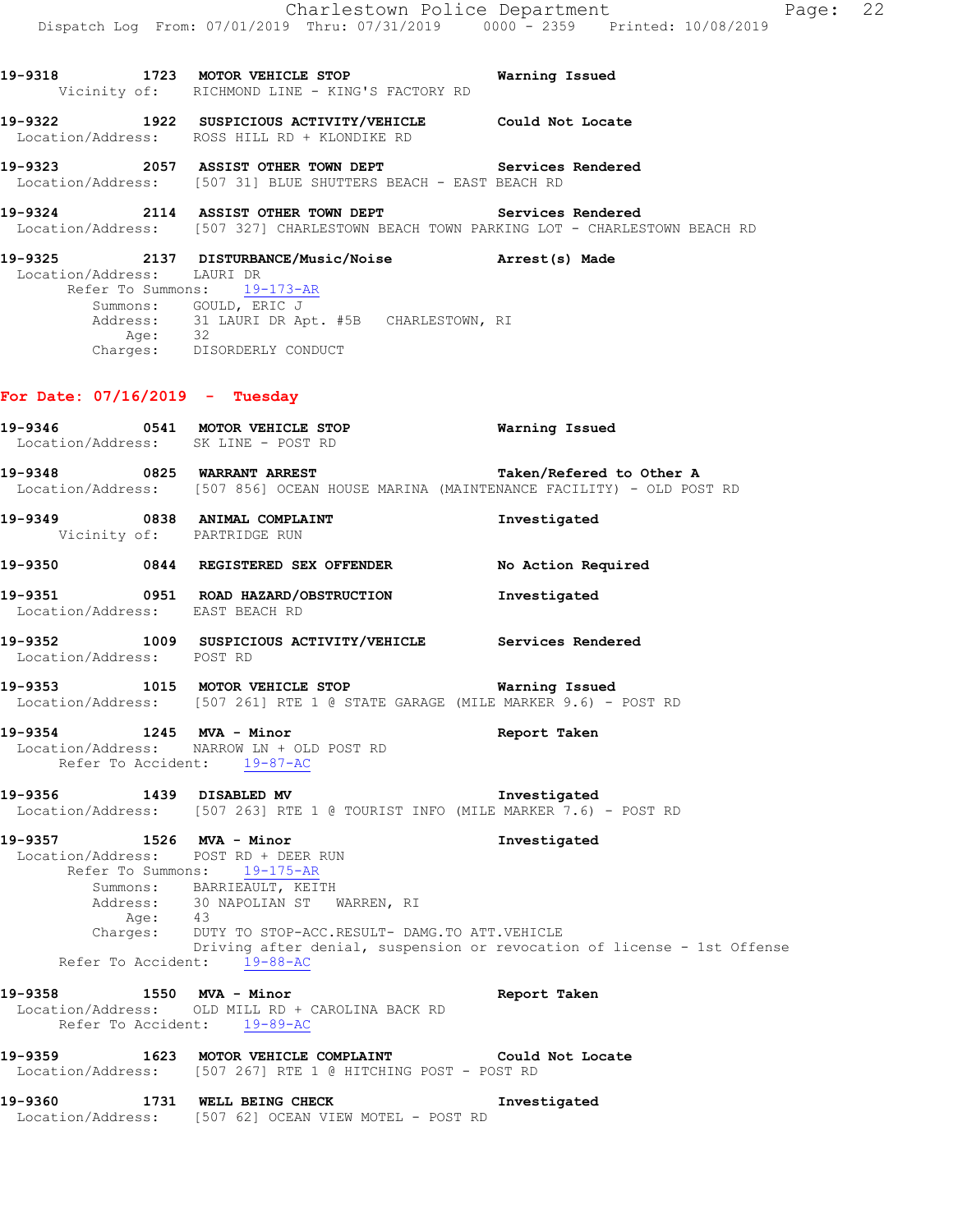- **19-9318 1723 MOTOR VEHICLE STOP Warning Issued**  Vicinity of: RICHMOND LINE - KING'S FACTORY RD
- **19-9322 1922 SUSPICIOUS ACTIVITY/VEHICLE Could Not Locate**  Location/Address: ROSS HILL RD + KLONDIKE RD
- **19-9323 2057 ASSIST OTHER TOWN DEPT Services Rendered**  Location/Address: [507 31] BLUE SHUTTERS BEACH - EAST BEACH RD
- **19-9324 2114 ASSIST OTHER TOWN DEPT Services Rendered**  Location/Address: [507 327] CHARLESTOWN BEACH TOWN PARKING LOT - CHARLESTOWN BEACH RD
- **19-9325 2137 DISTURBANCE/Music/Noise Arrest(s) Made**  Location/Address: LAURI DR Refer To Summons: 19-173-AR Summons: GOULD, ERIC J Address: 31 LAURI DR Apt. #5B CHARLESTOWN, RI Age: 32 Charges: DISORDERLY CONDUCT

## **For Date: 07/16/2019 - Tuesday**

**19-9346 0541 MOTOR VEHICLE STOP Warning Issued**  Location/Address: SK LINE - POST RD **19-9348 0825 WARRANT ARREST Taken/Refered to Other A**  Location/Address: [507 856] OCEAN HOUSE MARINA (MAINTENANCE FACILITY) - OLD POST RD **19-9349 0838 ANIMAL COMPLAINT Investigated**  Vicinity of: PARTRIDGE RUN **19-9350 0844 REGISTERED SEX OFFENDER No Action Required 19-9351 0951 ROAD HAZARD/OBSTRUCTION Investigated**  Location/Address: EAST BEACH RD **19-9352 1009 SUSPICIOUS ACTIVITY/VEHICLE Services Rendered**  Location/Address: POST RD **19-9353 1015 MOTOR VEHICLE STOP Warning Issued**  Location/Address: [507 261] RTE 1 @ STATE GARAGE (MILE MARKER 9.6) - POST RD **19-9354 1245 MVA - Minor Report Taken**  Location/Address: NARROW LN + OLD POST RD Refer To Accident: 19-87-AC **19-9356 1439 DISABLED MV Investigated**  Location/Address: [507 263] RTE 1 @ TOURIST INFO (MILE MARKER 7.6) - POST RD **19-9357 1526 MVA - Minor Investigated**  Location/Address: POST RD + DEER RUN Refer To Summons: 19-175-AR Summons: BARRIEAULT, KEITH Address: 30 NAPOLIAN ST WARREN, RI Age: 43 Charges: DUTY TO STOP-ACC.RESULT- DAMG.TO ATT.VEHICLE Driving after denial, suspension or revocation of license - 1st Offense Refer To Accident: 19-88-AC **19-9358 1550 MVA - Minor Report Taken**  Location/Address: OLD MILL RD + CAROLINA BACK RD Refer To Accident: 19-89-AC **19-9359 1623 MOTOR VEHICLE COMPLAINT Could Not Locate**  Location/Address: [507 267] RTE 1 @ HITCHING POST - POST RD **19-9360 1731 WELL BEING CHECK Investigated** 

Location/Address: [507 62] OCEAN VIEW MOTEL - POST RD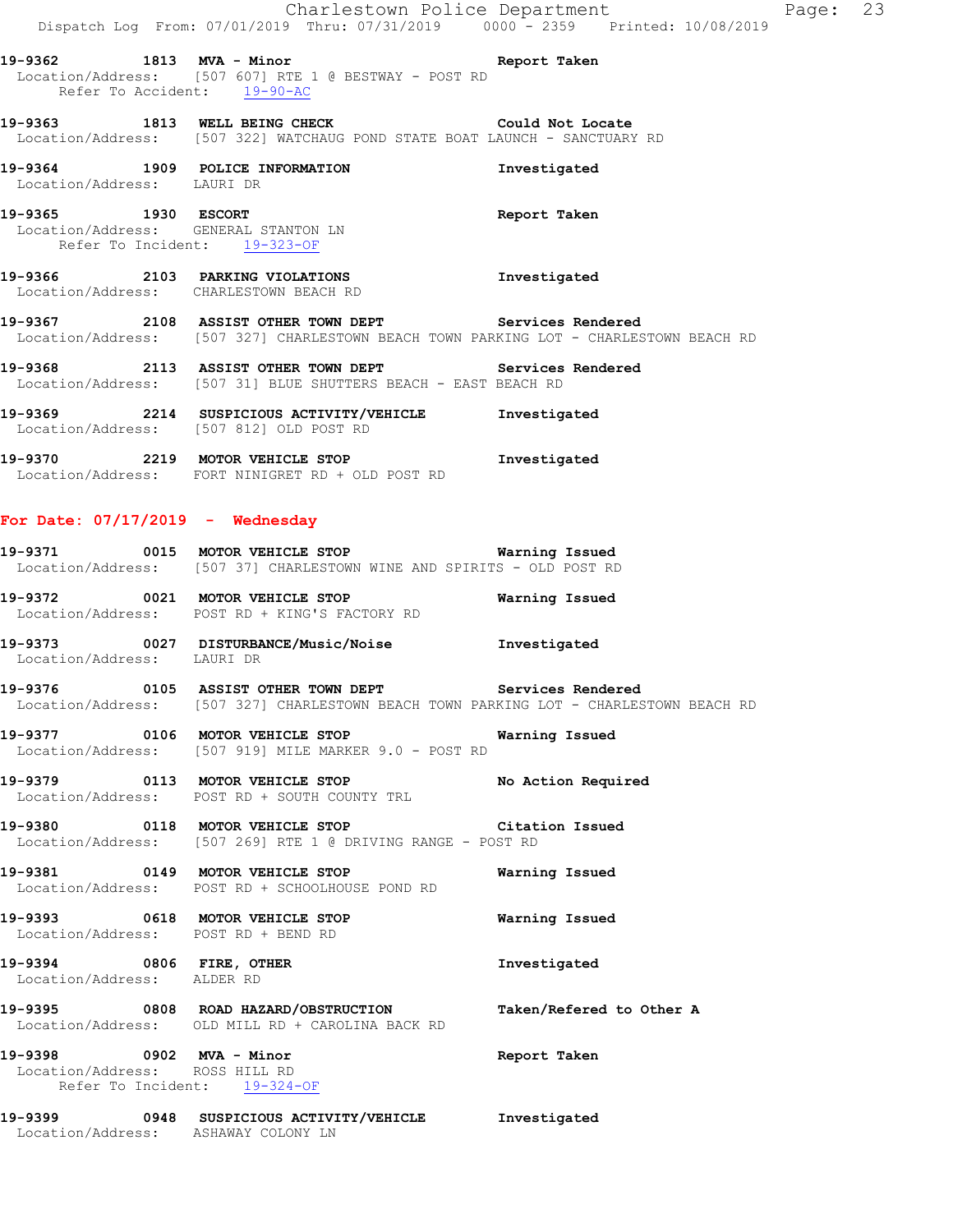|                                                            | Dispatch Log From: 07/01/2019 Thru: 07/31/2019 0000 - 2359 Printed: 10/08/2019                                                                       | Charlestown Police Department<br>P |
|------------------------------------------------------------|------------------------------------------------------------------------------------------------------------------------------------------------------|------------------------------------|
|                                                            |                                                                                                                                                      | Report Taken                       |
|                                                            | 19-9362 1813 MVA - Minor<br>Location/Address: [507 607] RTE 1 @ BESTWAY - POST RD<br>Refer To Accident: 19-90-AC                                     |                                    |
|                                                            | 19-9363 1813 WELL BEING CHECK COULD Not Locate<br>Location/Address: [507 322] WATCHAUG POND STATE BOAT LAUNCH - SANCTUARY RD                         |                                    |
| Location/Address: LAURI DR                                 | 19-9364 1909 POLICE INFORMATION                                                                                                                      | Investigated                       |
|                                                            | 19-9365 1930 ESCORT<br>Location/Address: GENERAL STANTON LN<br>Refer To Incident: 19-323-OF                                                          | Report Taken                       |
|                                                            | 19-9366 2103 PARKING VIOLATIONS<br>Location/Address: CHARLESTOWN BEACH RD                                                                            | Investigated                       |
|                                                            | 19-9367 2108 ASSIST OTHER TOWN DEPT Services Rendered<br>Location/Address: [507 327] CHARLESTOWN BEACH TOWN PARKING LOT - CHARLESTOWN BEACH RD       |                                    |
|                                                            | 19-9368 2113 ASSIST OTHER TOWN DEPT Services Rendered<br>Location/Address: [507 31] BLUE SHUTTERS BEACH - EAST BEACH RD                              |                                    |
|                                                            | 19-9369 2214 SUSPICIOUS ACTIVITY/VEHICLE Investigated<br>Location/Address: [507 812] OLD POST RD                                                     |                                    |
|                                                            | 19-9370 2219 MOTOR VEHICLE STOP 1nvestigated<br>Location/Address: FORT NINIGRET RD + OLD POST RD                                                     |                                    |
| For Date: $07/17/2019$ - Wednesday                         |                                                                                                                                                      |                                    |
|                                                            | 19-9371 0015 MOTOR VEHICLE STOP <b>Warning Issued</b><br>Location/Address: [507 37] CHARLESTOWN WINE AND SPIRITS - OLD POST RD                       |                                    |
|                                                            | 19-9372              0021   MOTOR VEHICLE STOP                         Warning Issued<br>Location/Address: POST RD + KING'S FACTORY RD               |                                    |
| Location/Address: LAURI DR                                 | 19-9373 0027 DISTURBANCE/Music/Noise 1nvestigated                                                                                                    |                                    |
|                                                            | 19-9376 		 0105 ASSIST OTHER TOWN DEPT 		 Services Rendered<br>Location/Address: [507 327] CHARLESTOWN BEACH TOWN PARKING LOT - CHARLESTOWN BEACH RD |                                    |
|                                                            | 19-9377 0106 MOTOR VEHICLE STOP<br>Location/Address: [507 919] MILE MARKER 9.0 - POST RD                                                             | Warning Issued                     |
|                                                            | 19-9379 0113 MOTOR VEHICLE STOP<br>Location/Address: POST RD + SOUTH COUNTY TRL                                                                      | No Action Required                 |
|                                                            | 19-9380 0118 MOTOR VEHICLE STOP Citation Issued<br>Location/Address: [507 269] RTE 1 @ DRIVING RANGE - POST RD                                       |                                    |
|                                                            | 19-9381 0149 MOTOR VEHICLE STOP<br>Location/Address: POST RD + SCHOOLHOUSE POND RD                                                                   | Warning Issued                     |
|                                                            | 19-9393 0618 MOTOR VEHICLE STOP<br>Location/Address: POST RD + BEND RD                                                                               | Warning Issued                     |
| 19-9394 0806 FIRE, OTHER<br>Location/Address: ALDER RD     |                                                                                                                                                      | Investigated                       |
|                                                            | 19-9395 0808 ROAD HAZARD/OBSTRUCTION<br>Location/Address: OLD MILL RD + CAROLINA BACK RD                                                             | Taken/Refered to Other A           |
| 19-9398 0902 MVA - Minor<br>Location/Address: ROSS HILL RD |                                                                                                                                                      | Report Taken                       |

**19-9399 0948 SUSPICIOUS ACTIVITY/VEHICLE Investigated**  Location/Address: ASHAWAY COLONY LN

Refer To Incident: 19-324-OF

# Page: 23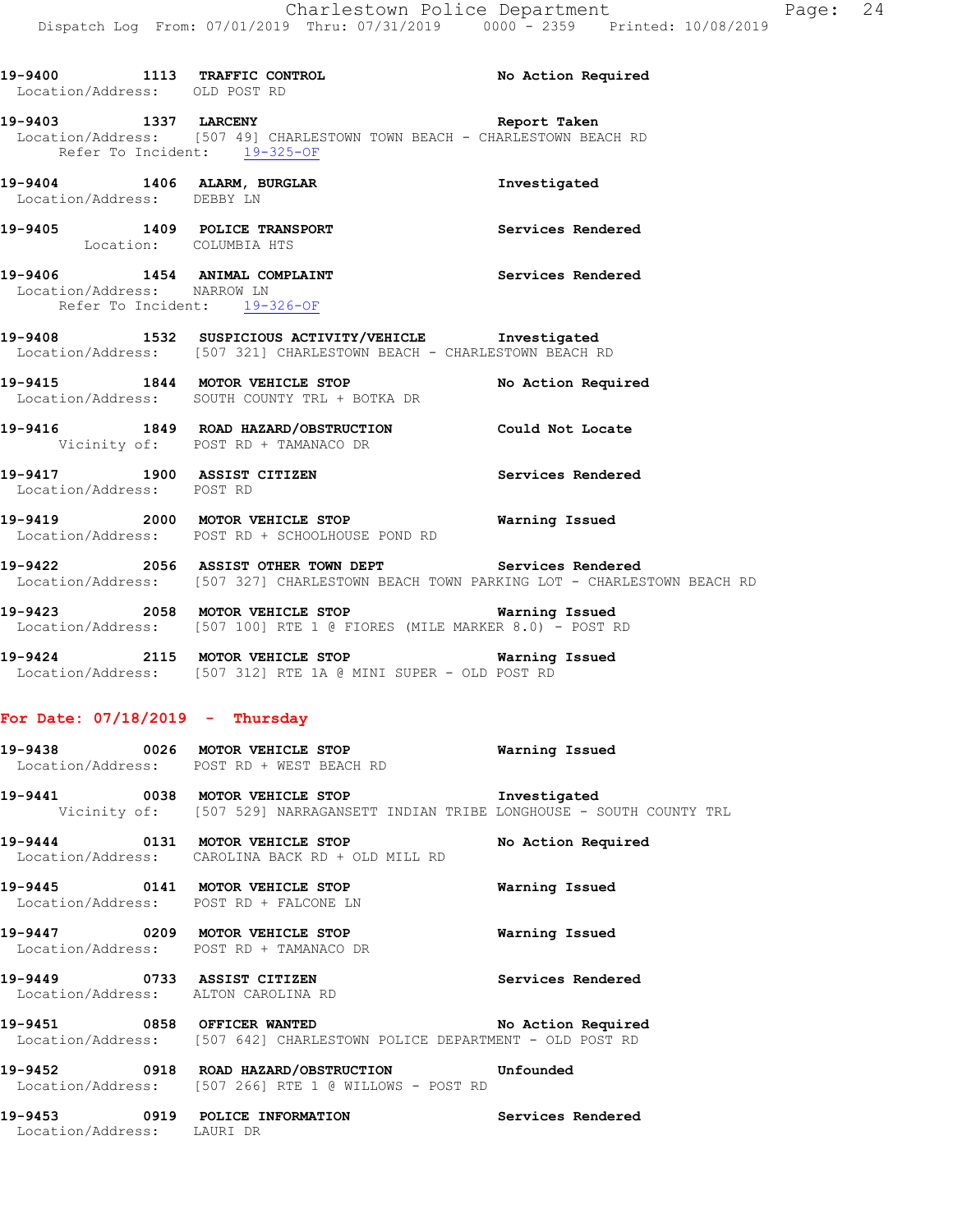| Location/Address: OLD POST RD     | 19-9400 1113 TRAFFIC CONTROL No Action Required                                                                                                |                    |
|-----------------------------------|------------------------------------------------------------------------------------------------------------------------------------------------|--------------------|
|                                   | 19-9403 1337 LARCENY<br>Location/Address: [507 49] CHARLESTOWN TOWN BEACH - CHARLESTOWN BEACH RD<br>Refer To Incident: 19-325-OF               | Report Taken       |
| Location/Address: DEBBY LN        | 19-9404 1406 ALARM, BURGLAR 1.1 Investigated                                                                                                   |                    |
| Location: COLUMBIA HTS            | 19-9405 1409 POLICE TRANSPORT Services Rendered                                                                                                |                    |
| Location/Address: NARROW LN       | 19-9406 1454 ANIMAL COMPLAINT Services Rendered<br>Refer To Incident: 19-326-OF                                                                |                    |
|                                   | 19-9408 1532 SUSPICIOUS ACTIVITY/VEHICLE Investigated<br>Location/Address: [507 321] CHARLESTOWN BEACH - CHARLESTOWN BEACH RD                  |                    |
|                                   | 19-9415 1844 MOTOR VEHICLE STOP No Action Required<br>Location/Address: SOUTH COUNTY TRL + BOTKA DR                                            |                    |
|                                   | 19-9416 1849 ROAD HAZARD/OBSTRUCTION Could Not Locate<br>Vicinity of: POST RD + TAMANACO DR                                                    |                    |
| Location/Address: POST RD         | 19-9417 1900 ASSIST CITIZEN                                                                                                                    | Services Rendered  |
|                                   | 19-9419 2000 MOTOR VEHICLE STOP Warning Issued<br>Location/Address: POST RD + SCHOOLHOUSE POND RD                                              |                    |
|                                   | 19-9422 2056 ASSIST OTHER TOWN DEPT Services Rendered<br>Location/Address: [507 327] CHARLESTOWN BEACH TOWN PARKING LOT - CHARLESTOWN BEACH RD |                    |
|                                   | 19-9423 2058 MOTOR VEHICLE STOP <b>WATER WATER</b><br>Location/Address: [507 100] RTE 1 @ FIORES (MILE MARKER 8.0) - POST RD                   |                    |
|                                   | 19-9424 2115 MOTOR VEHICLE STOP <b>Warning Issued</b><br>Location/Address: [507 312] RTE 1A @ MINI SUPER - OLD POST RD                         |                    |
| For Date: $07/18/2019$ - Thursday |                                                                                                                                                |                    |
|                                   | 19-9438 0026 MOTOR VEHICLE STOP <b>Warning Issued</b><br>Location/Address: POST RD + WEST BEACH RD                                             |                    |
|                                   | 19-9441 0038 MOTOR VEHICLE STOP Investigated<br>Vicinity of: [507 529] NARRAGANSETT INDIAN TRIBE LONGHOUSE - SOUTH COUNTY TRL                  |                    |
|                                   | 19-9444 0131 MOTOR VEHICLE STOP<br>Location/Address: CAROLINA BACK RD + OLD MILL RD                                                            | No Action Required |
|                                   | 19-9445 0141 MOTOR VEHICLE STOP<br>Location/Address: POST RD + FALCONE LN                                                                      | Warning Issued     |
|                                   | 19-9447 0209 MOTOR VEHICLE STOP<br>Location/Address: POST RD + TAMANACO DR                                                                     | Warning Issued     |
| 19-9449 0733 ASSIST CITIZEN       | Location/Address: ALTON CAROLINA RD                                                                                                            | Services Rendered  |

**19-9451 0858 OFFICER WANTED No Action Required**  Location/Address: [507 642] CHARLESTOWN POLICE DEPARTMENT - OLD POST RD

**19-9452 0918 ROAD HAZARD/OBSTRUCTION Unfounded**  Location/Address: [507 266] RTE 1 @ WILLOWS - POST RD

**19-9453 0919 POLICE INFORMATION Services Rendered**  Location/Address: LAURI DR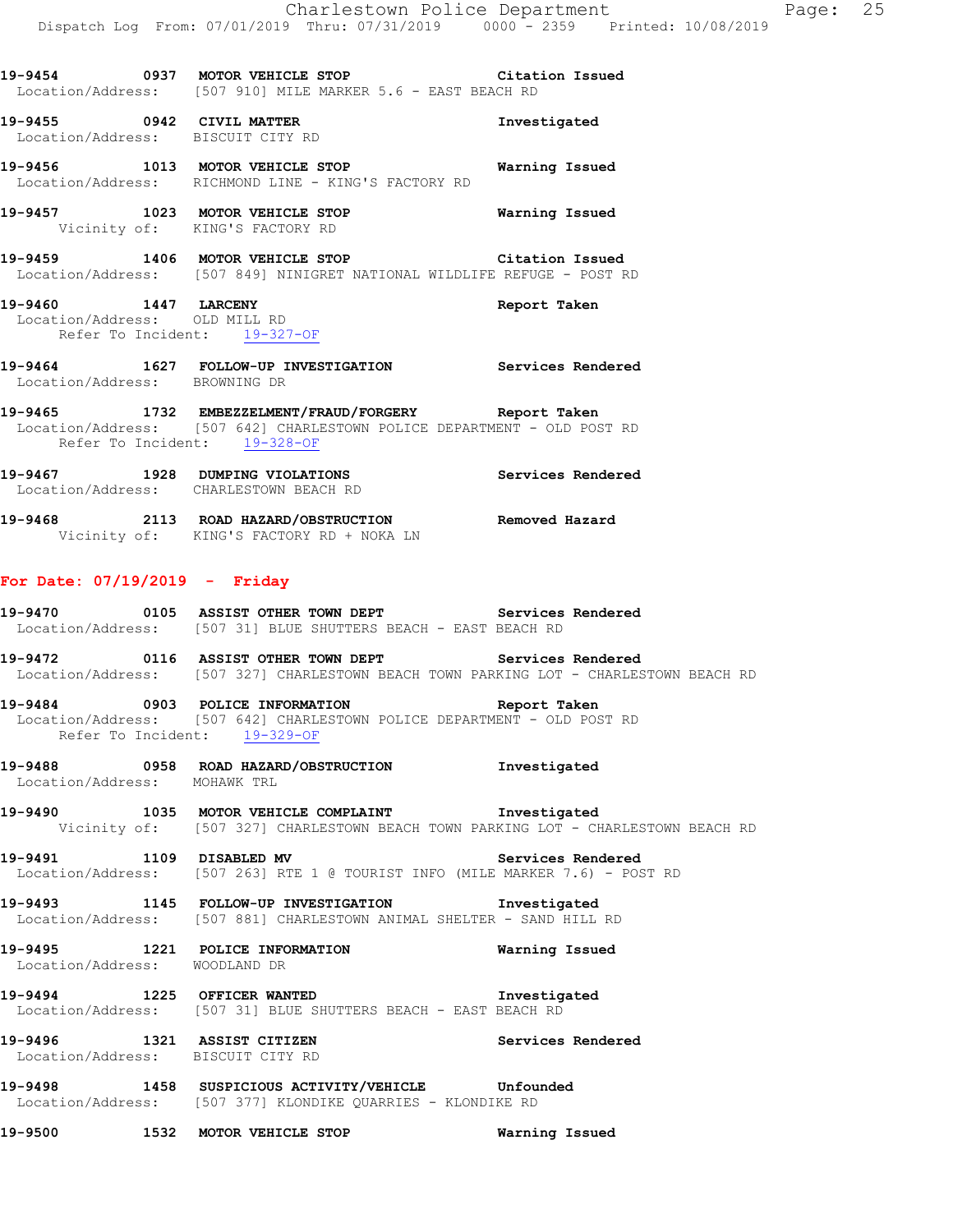**19-9454 0937 MOTOR VEHICLE STOP Citation Issued**  Location/Address: [507 910] MILE MARKER 5.6 - EAST BEACH RD

**19-9455 0942 CIVIL MATTER Investigated**  Location/Address: BISCUIT CITY RD

**19-9456 1013 MOTOR VEHICLE STOP Warning Issued**  Location/Address: RICHMOND LINE - KING'S FACTORY RD

**19-9457 1023 MOTOR VEHICLE STOP Warning Issued**  Vicinity of: KING'S FACTORY RD

**19-9459 1406 MOTOR VEHICLE STOP Citation Issued**  Location/Address: [507 849] NINIGRET NATIONAL WILDLIFE REFUGE - POST RD

**19-9460 1447 LARCENY Report Taken**  Location/Address: OLD MILL RD Refer To Incident: 19-327-OF

**19-9464 1627 FOLLOW-UP INVESTIGATION Services Rendered**  Location/Address: BROWNING DR

**19-9465 1732 EMBEZZELMENT/FRAUD/FORGERY Report Taken**  Location/Address: [507 642] CHARLESTOWN POLICE DEPARTMENT - OLD POST RD Refer To Incident: 19-328-OF

**19-9467 1928 DUMPING VIOLATIONS Services Rendered**  Location/Address: CHARLESTOWN BEACH RD

**19-9468 2113 ROAD HAZARD/OBSTRUCTION Removed Hazard**  Vicinity of: KING'S FACTORY RD + NOKA LN

#### **For Date: 07/19/2019 - Friday**

**19-9470 0105 ASSIST OTHER TOWN DEPT Services Rendered**  Location/Address: [507 31] BLUE SHUTTERS BEACH - EAST BEACH RD

**19-9472 0116 ASSIST OTHER TOWN DEPT Services Rendered**  Location/Address: [507 327] CHARLESTOWN BEACH TOWN PARKING LOT - CHARLESTOWN BEACH RD

**19-9484 0903 POLICE INFORMATION Report Taken**  Location/Address: [507 642] CHARLESTOWN POLICE DEPARTMENT - OLD POST RD Refer To Incident: 19-329-OF

**19-9488 0958 ROAD HAZARD/OBSTRUCTION Investigated**  Location/Address: MOHAWK TRL

**19-9490 1035 MOTOR VEHICLE COMPLAINT Investigated**  Vicinity of: [507 327] CHARLESTOWN BEACH TOWN PARKING LOT - CHARLESTOWN BEACH RD

**19-9491 1109 DISABLED MV Services Rendered**  Location/Address: [507 263] RTE 1 @ TOURIST INFO (MILE MARKER 7.6) - POST RD

**19-9493 1145 FOLLOW-UP INVESTIGATION Investigated**  Location/Address: [507 881] CHARLESTOWN ANIMAL SHELTER - SAND HILL RD

**19-9495 1221 POLICE INFORMATION Warning Issued**  Location/Address: WOODLAND DR

**19-9494 1225 OFFICER WANTED Investigated**  Location/Address: [507 31] BLUE SHUTTERS BEACH - EAST BEACH RD

**19-9496 1321 ASSIST CITIZEN Services Rendered**  Location/Address: BISCUIT CITY RD

**19-9498 1458 SUSPICIOUS ACTIVITY/VEHICLE Unfounded**  Location/Address: [507 377] KLONDIKE QUARRIES - KLONDIKE RD

**19-9500 1532 MOTOR VEHICLE STOP Warning Issued**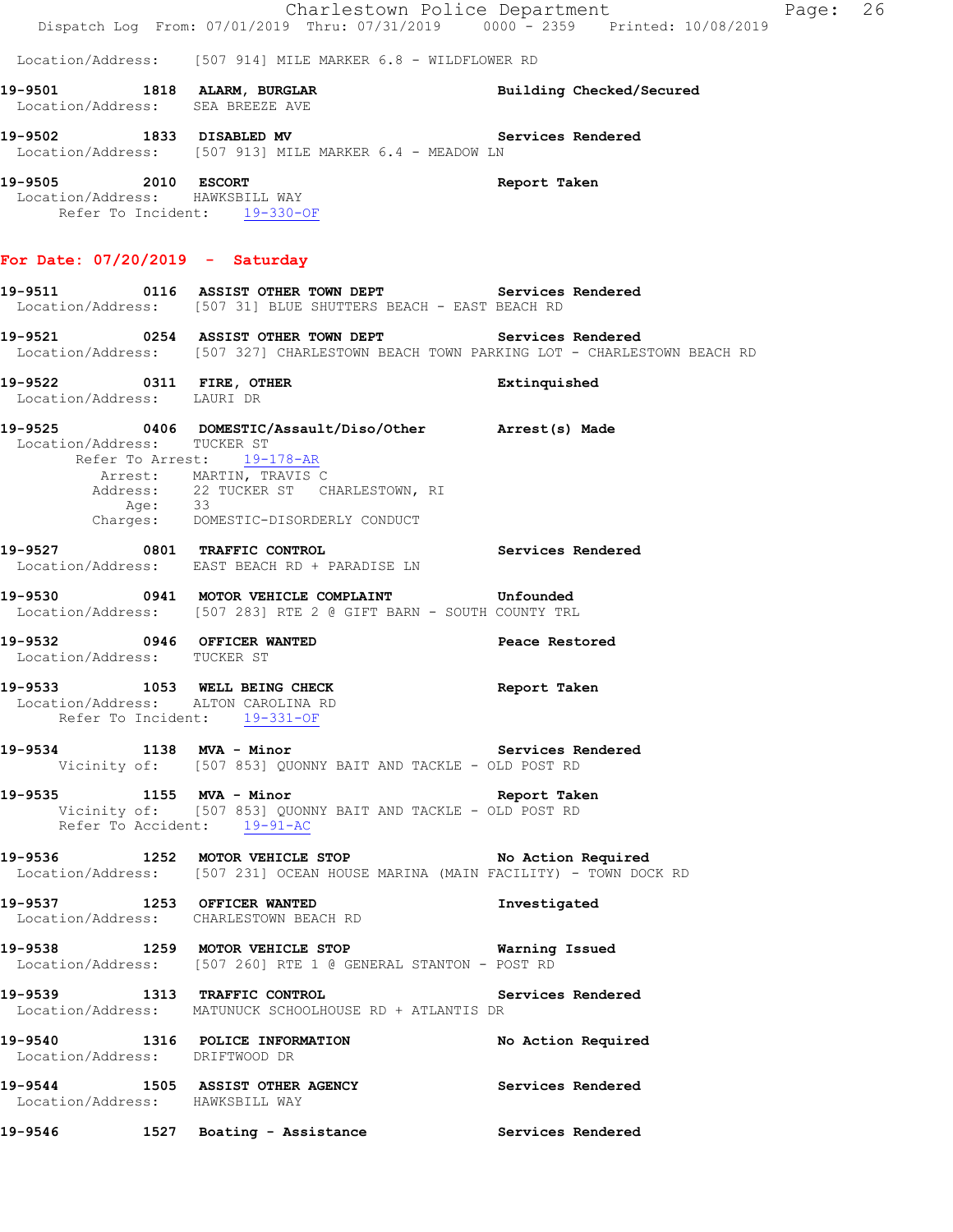Charlestown Police Department Fage: 26 Dispatch Log From: 07/01/2019 Thru: 07/31/2019 0000 - 2359 Printed: 10/08/2019 Location/Address: [507 914] MILE MARKER 6.8 - WILDFLOWER RD **19-9501 1818 ALARM, BURGLAR Building Checked/Secured**  Location/Address: SEA BREEZE AVE **19-9502 1833 DISABLED MV Services Rendered**  Location/Address: [507 913] MILE MARKER 6.4 - MEADOW LN **19-9505 2010 ESCORT Report Taken**  Location/Address: HAWKSBILL WAY Refer To Incident: 19-330-OF **For Date: 07/20/2019 - Saturday 19-9511 0116 ASSIST OTHER TOWN DEPT Services Rendered**  Location/Address: [507 31] BLUE SHUTTERS BEACH - EAST BEACH RD **19-9521 0254 ASSIST OTHER TOWN DEPT Services Rendered**  Location/Address: [507 327] CHARLESTOWN BEACH TOWN PARKING LOT - CHARLESTOWN BEACH RD **19-9522 0311 FIRE, OTHER Extinquished**  Location/Address: LAURI DR **19-9525 0406 DOMESTIC/Assault/Diso/Other Arrest(s) Made**  Location/Address: TUCKER ST Refer To Arrest: 19-178-AR Arrest: MARTIN, TRAVIS C Address: 22 TUCKER ST CHARLESTOWN, RI Age: 33 Charges: DOMESTIC-DISORDERLY CONDUCT **19-9527 0801 TRAFFIC CONTROL Services Rendered**  Location/Address: EAST BEACH RD + PARADISE LN **19-9530 0941 MOTOR VEHICLE COMPLAINT Unfounded**  Location/Address: [507 283] RTE 2 @ GIFT BARN - SOUTH COUNTY TRL 19-9532 0946 OFFICER WANTED **Peace Restored**  Location/Address: TUCKER ST **19-9533 1053 WELL BEING CHECK Report Taken**  Location/Address: ALTON CAROLINA RD Refer To Incident: 19-331-OF 19-9534 1138 MVA - Minor **Services Rendered**  Vicinity of: [507 853] QUONNY BAIT AND TACKLE - OLD POST RD **19-9535 1155 MVA - Minor Report Taken**  Vicinity of: [507 853] QUONNY BAIT AND TACKLE - OLD POST RD Refer To Accident: 19-91-AC **19-9536 1252 MOTOR VEHICLE STOP No Action Required**  Location/Address: [507 231] OCEAN HOUSE MARINA (MAIN FACILITY) - TOWN DOCK RD **19-9537 1253 OFFICER WANTED Investigated**  Location/Address: CHARLESTOWN BEACH RD **19-9538 1259 MOTOR VEHICLE STOP Warning Issued**  Location/Address: [507 260] RTE 1 @ GENERAL STANTON - POST RD **19-9539 1313 TRAFFIC CONTROL Services Rendered**  Location/Address: MATUNUCK SCHOOLHOUSE RD + ATLANTIS DR **19-9540 1316 POLICE INFORMATION No Action Required**  Location/Address: DRIFTWOOD DR **19-9544 1505 ASSIST OTHER AGENCY Services Rendered**  Location/Address: HAWKSBILL WAY **19-9546 1527 Boating - Assistance Services Rendered**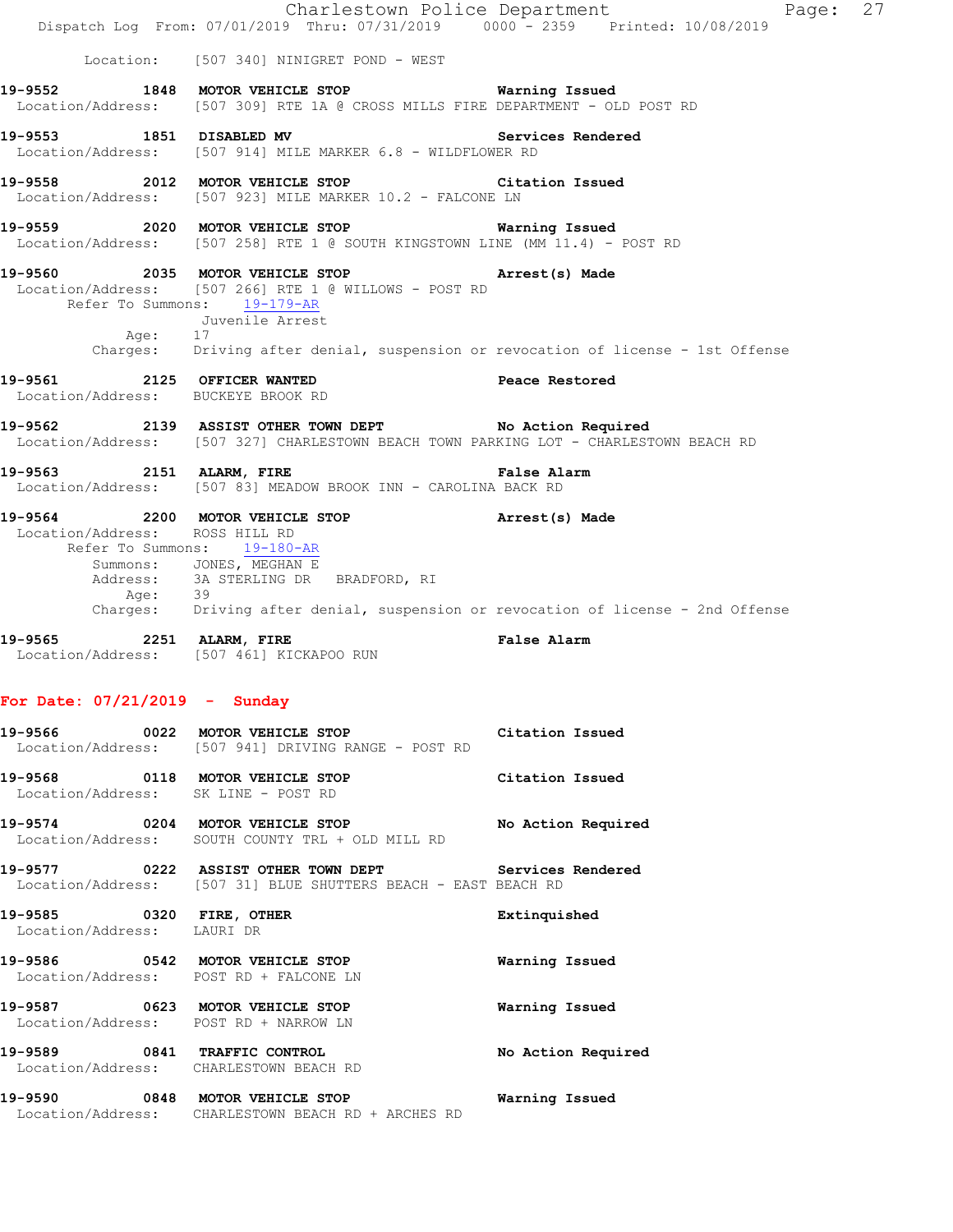|                                           | Dispatch Log From: 07/01/2019 Thru: 07/31/2019 0000 <sup>-</sup> 2359 Printed: 10/08/2019                                                                                                                                                     | Charlestown Police Department<br>Page: 27 |  |
|-------------------------------------------|-----------------------------------------------------------------------------------------------------------------------------------------------------------------------------------------------------------------------------------------------|-------------------------------------------|--|
|                                           | Location: [507 340] NINIGRET POND - WEST                                                                                                                                                                                                      |                                           |  |
|                                           | 19-9552 1848 MOTOR VEHICLE STOP 6 Warning Issued<br>Location/Address: [507 309] RTE 1A @ CROSS MILLS FIRE DEPARTMENT - OLD POST RD                                                                                                            |                                           |  |
|                                           | 19-9553 1851 DISABLED MV<br>Location/Address: [507 914] MILE MARKER 6.8 - WILDFLOWER RD                                                                                                                                                       | Services Rendered                         |  |
|                                           | 19-9558 2012 MOTOR VEHICLE STOP<br>Location/Address: [507 923] MILE MARKER 10.2 - FALCONE LN                                                                                                                                                  | Citation Issued                           |  |
|                                           | 19-9559 2020 MOTOR VEHICLE STOP <b>Warning Issued</b><br>Location/Address: [507 258] RTE 1 @ SOUTH KINGSTOWN LINE (MM 11.4) - POST RD                                                                                                         |                                           |  |
| Age: $17$                                 | 19-9560 2035 MOTOR VEHICLE STOP Arrest(s) Made<br>Location/Address: [507 266] RTE 1 @ WILLOWS - POST RD<br>Refer To Summons: 19-179-AR<br>Juvenile Arrest                                                                                     |                                           |  |
|                                           | Charges: Driving after denial, suspension or revocation of license - 1st Offense                                                                                                                                                              |                                           |  |
| Location/Address: BUCKEYE BROOK RD        | 19-9561 2125 OFFICER WANTED                                                                                                                                                                                                                   | Peace Restored                            |  |
|                                           | 19-9562 2139 ASSIST OTHER TOWN DEPT No Action Required<br>Location/Address: [507 327] CHARLESTOWN BEACH TOWN PARKING LOT - CHARLESTOWN BEACH RD                                                                                               |                                           |  |
|                                           | 19-9563 2151 ALARM, FIRE<br>Location/Address: [507 83] MEADOW BROOK INN - CAROLINA BACK RD                                                                                                                                                    | False Alarm                               |  |
| Location/Address: ROSS HILL RD<br>Age: 39 | 19-9564 2200 MOTOR VEHICLE STOP <b>Arrest</b> (s) Made<br>Refer To Summons: 19-180-AR<br>Summons: JONES, MEGHAN E<br>Address: 3A STERLING DR BRADFORD, RI<br>Charges: Driving after denial, suspension or revocation of license - 2nd Offense |                                           |  |
|                                           | 19-9565 2251 ALARM, FIRE<br>Location/Address: [507 461] KICKAPOO RUN                                                                                                                                                                          | False Alarm                               |  |
| For Date: $07/21/2019$ - Sunday           |                                                                                                                                                                                                                                               |                                           |  |
|                                           | 19-9566 0022 MOTOR VEHICLE STOP Citation Issued<br>Location/Address: [507 941] DRIVING RANGE - POST RD                                                                                                                                        |                                           |  |
| Location/Address: SK LINE - POST RD       | 19-9568 0118 MOTOR VEHICLE STOP Citation Issued                                                                                                                                                                                               |                                           |  |
|                                           | 19-9574 0204 MOTOR VEHICLE STOP No Action Required<br>Location/Address: SOUTH COUNTY TRL + OLD MILL RD                                                                                                                                        |                                           |  |
|                                           | 19-9577 0222 ASSIST OTHER TOWN DEPT Services Rendered<br>Location/Address: [507 31] BLUE SHUTTERS BEACH - EAST BEACH RD                                                                                                                       |                                           |  |
| Location/Address: LAURI DR                | 19-9585 0320 FIRE, OTHER                                                                                                                                                                                                                      | Extinquished                              |  |
|                                           | 19-9586 0542 MOTOR VEHICLE STOP<br>Location/Address: POST RD + FALCONE LN                                                                                                                                                                     | Warning Issued                            |  |
| Location/Address: POST RD + NARROW LN     | 19-9587 0623 MOTOR VEHICLE STOP                                                                                                                                                                                                               | Warning Issued                            |  |
|                                           | 19-9589 0841 TRAFFIC CONTROL<br>Location/Address: CHARLESTOWN BEACH RD                                                                                                                                                                        | No Action Required                        |  |
|                                           | 19-9590 0848 MOTOR VEHICLE STOP <b>Warning Issued</b><br>Location/Address: CHARLESTOWN BEACH RD + ARCHES RD                                                                                                                                   |                                           |  |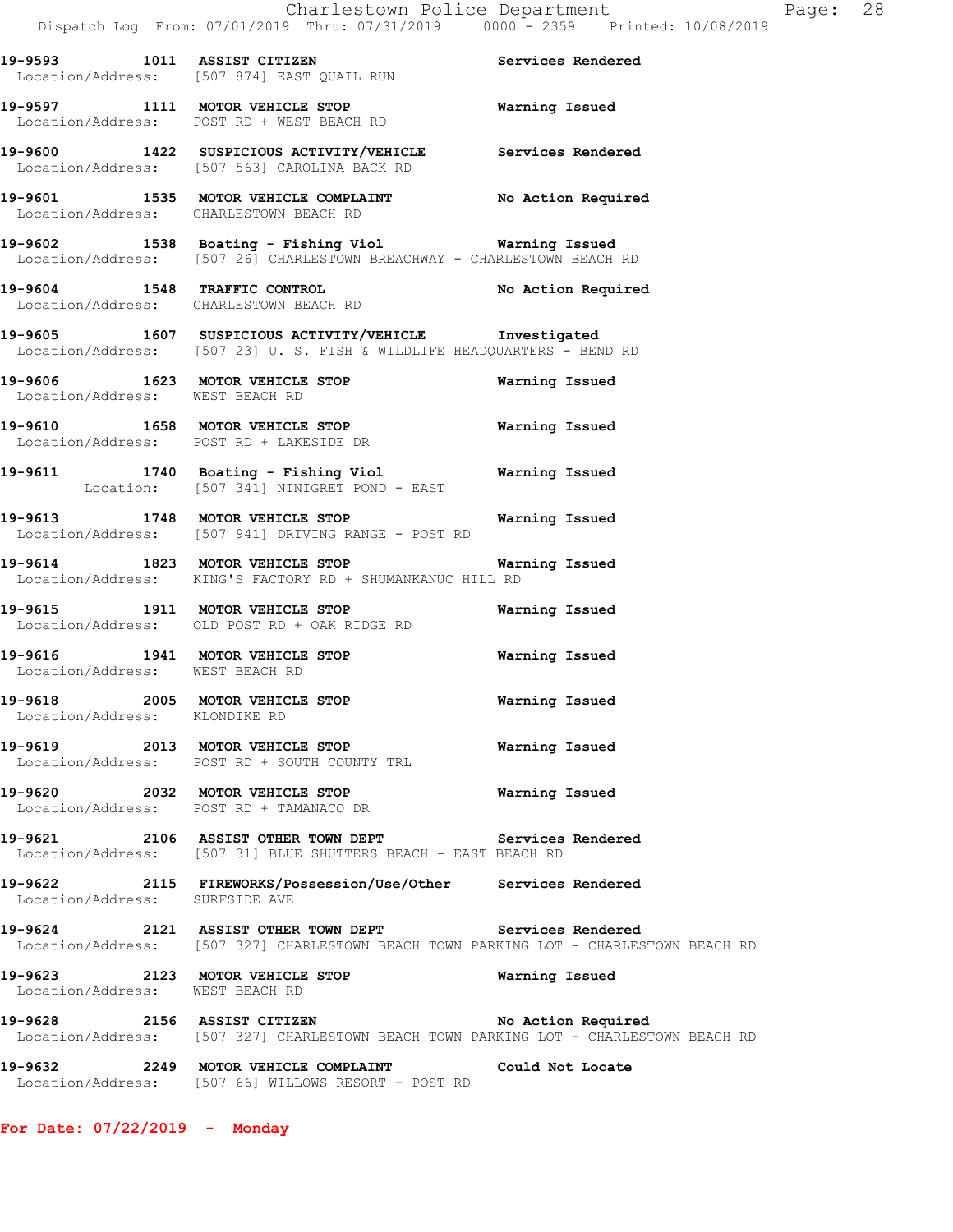**19-9593 1011 ASSIST CITIZEN Services Rendered** 

 Location/Address: [507 874] EAST QUAIL RUN **19-9597 1111 MOTOR VEHICLE STOP Warning Issued**  Location/Address: POST RD + WEST BEACH RD **19-9600 1422 SUSPICIOUS ACTIVITY/VEHICLE Services Rendered**  Location/Address: [507 563] CAROLINA BACK RD **19-9601 1535 MOTOR VEHICLE COMPLAINT No Action Required**  Location/Address: CHARLESTOWN BEACH RD **19-9602 1538 Boating - Fishing Viol Warning Issued**  Location/Address: [507 26] CHARLESTOWN BREACHWAY - CHARLESTOWN BEACH RD **19-9604 1548 TRAFFIC CONTROL No Action Required**  Location/Address: CHARLESTOWN BEACH RD **19-9605 1607 SUSPICIOUS ACTIVITY/VEHICLE Investigated**  Location/Address: [507 23] U. S. FISH & WILDLIFE HEADQUARTERS - BEND RD **19-9606 1623 MOTOR VEHICLE STOP Warning Issued**  Location/Address: WEST BEACH RD **19-9610 1658 MOTOR VEHICLE STOP Warning Issued**  Location/Address: POST RD + LAKESIDE DR **19-9611 1740 Boating - Fishing Viol Warning Issued**  Location: [507 341] NINIGRET POND - EAST **19-9613 1748 MOTOR VEHICLE STOP Warning Issued**  Location/Address: [507 941] DRIVING RANGE - POST RD **19-9614 1823 MOTOR VEHICLE STOP Warning Issued Location/Address:** KING'S FACTORY RD + SHUMANKANUC HILL RD KING'S FACTORY RD + SHUMANKANUC HILL RD **19-9615 1911 MOTOR VEHICLE STOP Warning Issued**  Location/Address: OLD POST RD + OAK RIDGE RD **19-9616 1941 MOTOR VEHICLE STOP Warning Issued**  Location/Address: WEST BEACH RD **19-9618 2005 MOTOR VEHICLE STOP Warning Issued**  Location/Address: KLONDIKE RD **19-9619 2013 MOTOR VEHICLE STOP Warning Issued**  Location/Address: POST RD + SOUTH COUNTY TRL **19-9620 2032 MOTOR VEHICLE STOP Warning Issued**  Location/Address: POST RD + TAMANACO DR **19-9621 2106 ASSIST OTHER TOWN DEPT Services Rendered**  Location/Address: [507 31] BLUE SHUTTERS BEACH - EAST BEACH RD **19-9622 2115 FIREWORKS/Possession/Use/Other Services Rendered**  Location/Address: SURFSIDE AVE **19-9624 2121 ASSIST OTHER TOWN DEPT Services Rendered**  Location/Address: [507 327] CHARLESTOWN BEACH TOWN PARKING LOT - CHARLESTOWN BEACH RD **19-9623 2123 MOTOR VEHICLE STOP Warning Issued**  Location/Address: WEST BEACH RD 19-9628 2156 ASSIST CITIZEN No Action Required Location/Address: [507 327] CHARLESTOWN BEACH TOWN PARKING LOT - CHARLESTOWN BEACH RD **19-9632 2249 MOTOR VEHICLE COMPLAINT Could Not Locate**  Location/Address: [507 66] WILLOWS RESORT - POST RD

**For Date: 07/22/2019 - Monday**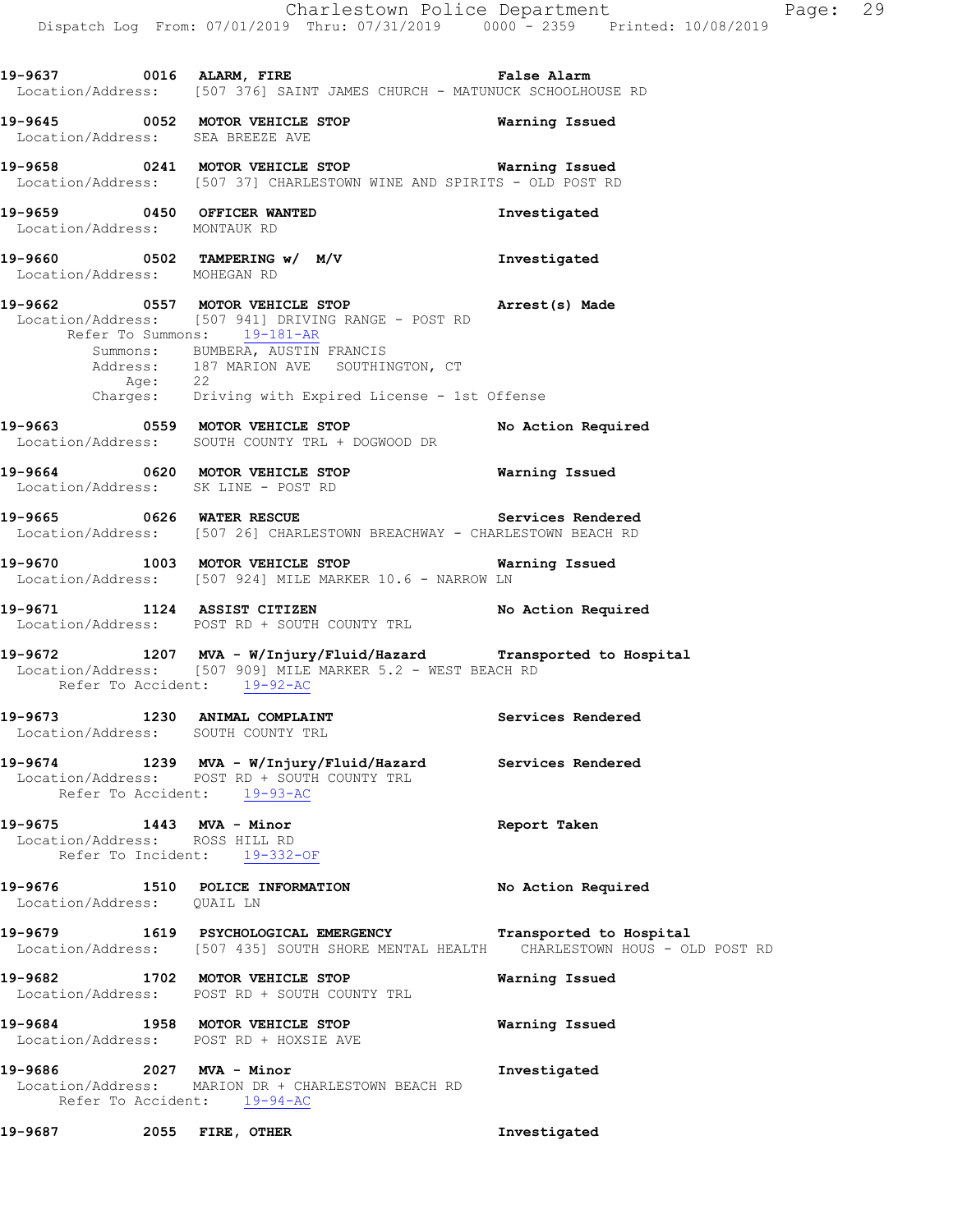**19-9645 0052 MOTOR VEHICLE STOP Warning Issued**  Location/Address: SEA BREEZE AVE

**19-9658 0241 MOTOR VEHICLE STOP Warning Issued**  Location/Address: [507 37] CHARLESTOWN WINE AND SPIRITS - OLD POST RD

**19-9659 0450 OFFICER WANTED Investigated**  Location/Address: MONTAUK RD

**19-9660 0502 TAMPERING w/ M/V Investigated**  Location/Address: MOHEGAN RD

**19-9662 0557 MOTOR VEHICLE STOP Arrest(s) Made**  Location/Address: [507 941] DRIVING RANGE - POST RD Refer To Summons: 19-181-AR Summons: BUMBERA, AUSTIN FRANCIS Address: 187 MARION AVE SOUTHINGTON, CT Age: 22 Charges: Driving with Expired License - 1st Offense

**19-9663 0559 MOTOR VEHICLE STOP No Action Required**  Location/Address: SOUTH COUNTY TRL + DOGWOOD DR

**19-9664 0620 MOTOR VEHICLE STOP Warning Issued**  Location/Address: SK LINE - POST RD

19-9665 **0626 WATER RESCUE** Services Rendered Location/Address: [507 26] CHARLESTOWN BREACHWAY - CHARLESTOWN BEACH RD

**19-9670 1003 MOTOR VEHICLE STOP Warning Issued**  Location/Address: [507 924] MILE MARKER 10.6 - NARROW LN

**19-9671 1124 ASSIST CITIZEN No Action Required**  Location/Address: POST RD + SOUTH COUNTY TRL

**19-9672 1207 MVA - W/Injury/Fluid/Hazard Transported to Hospital**  Location/Address: [507 909] MILE MARKER 5.2 - WEST BEACH RD Refer To Accident: 19-92-AC

19-9673 1230 ANIMAL COMPLAINT **1250 Services Rendered** Location/Address: SOUTH COUNTY TRL

**19-9674 1239 MVA - W/Injury/Fluid/Hazard Services Rendered**  Location/Address: POST RD + SOUTH COUNTY TRL Refer To Accident: 19-93-AC

**19-9675 1443 MVA - Minor Report Taken**  Location/Address: ROSS HILL RD Refer To Incident: 19-332-OF

**19-9676 1510 POLICE INFORMATION No Action Required**  Location/Address: QUAIL LN

**19-9679 1619 PSYCHOLOGICAL EMERGENCY Transported to Hospital**  Location/Address: [507 435] SOUTH SHORE MENTAL HEALTH CHARLESTOWN HOUS - OLD POST RD

**19-9682 1702 MOTOR VEHICLE STOP Warning Issued**  Location/Address: POST RD + SOUTH COUNTY TRL

**19-9684 1958 MOTOR VEHICLE STOP Warning Issued**  Location/Address: POST RD + HOXSIE AVE

**19-9686 2027 MVA - Minor Investigated**  Location/Address: MARION DR + CHARLESTOWN BEACH RD Refer To Accident: 19-94-AC

**19-9687 2055 FIRE, OTHER Investigated**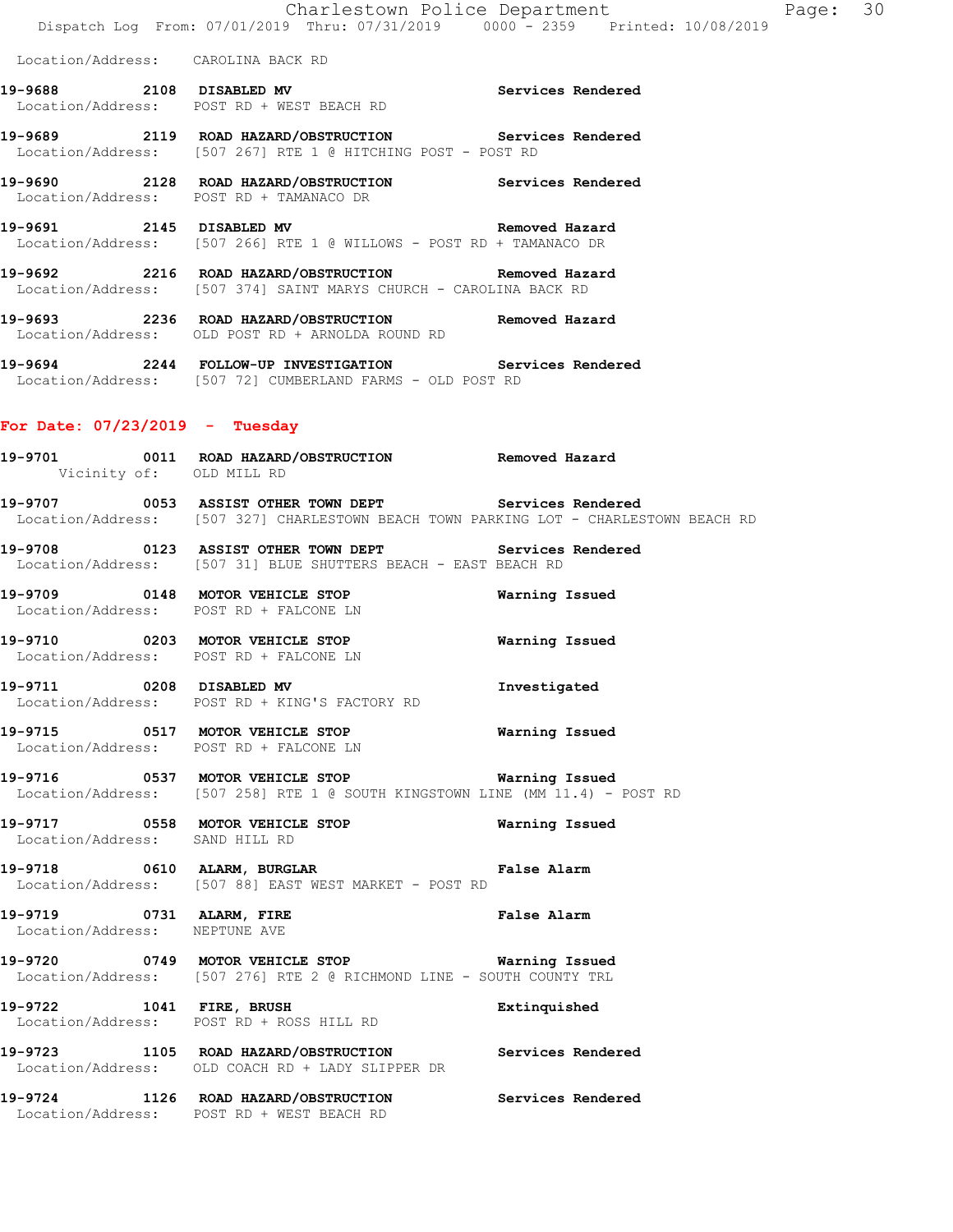Location/Address: CAROLINA BACK RD

- **19-9688 2108 DISABLED MV Services Rendered**  Location/Address: POST RD + WEST BEACH RD
- **19-9689 2119 ROAD HAZARD/OBSTRUCTION Services Rendered**  Location/Address: [507 267] RTE 1 @ HITCHING POST - POST RD
- **19-9690 2128 ROAD HAZARD/OBSTRUCTION Services Rendered**  Location/Address: POST RD + TAMANACO DR
- **19-9691 2145 DISABLED MV Removed Hazard**  Location/Address: [507 266] RTE 1 @ WILLOWS - POST RD + TAMANACO DR
- **19-9692 2216 ROAD HAZARD/OBSTRUCTION Removed Hazard**  Location/Address: [507 374] SAINT MARYS CHURCH - CAROLINA BACK RD
- **19-9693 2236 ROAD HAZARD/OBSTRUCTION Removed Hazard**  Location/Address: OLD POST RD + ARNOLDA ROUND RD
- **19-9694 2244 FOLLOW-UP INVESTIGATION Services Rendered**  Location/Address: [507 72] CUMBERLAND FARMS - OLD POST RD

#### **For Date: 07/23/2019 - Tuesday**

- **19-9701 0011 ROAD HAZARD/OBSTRUCTION Removed Hazard**  Vicinity of: OLD MILL RD
- **19-9707 0053 ASSIST OTHER TOWN DEPT Services Rendered**  Location/Address: [507 327] CHARLESTOWN BEACH TOWN PARKING LOT - CHARLESTOWN BEACH RD
- **19-9708 0123 ASSIST OTHER TOWN DEPT Services Rendered**  Location/Address: [507 31] BLUE SHUTTERS BEACH - EAST BEACH RD
- **19-9709 0148 MOTOR VEHICLE STOP Warning Issued**  Location/Address: POST RD + FALCONE LN
- **19-9710 0203 MOTOR VEHICLE STOP Warning Issued**  Location/Address: POST RD + FALCONE LN
- **19-9711 0208 DISABLED MV Investigated**  Location/Address: POST RD + KING'S FACTORY RD
- **19-9715 0517 MOTOR VEHICLE STOP Warning Issued**  Location/Address: POST RD + FALCONE LN
- **19-9716 0537 MOTOR VEHICLE STOP Warning Issued**  Location/Address: [507 258] RTE 1 @ SOUTH KINGSTOWN LINE (MM 11.4) - POST RD
- **19-9717 0558 MOTOR VEHICLE STOP Warning Issued**  Location/Address: SAND HILL RD
- **19-9718 0610 ALARM, BURGLAR False Alarm**  Location/Address: [507 88] EAST WEST MARKET - POST RD
- **19-9719 0731 ALARM, FIRE False Alarm**  Location/Address: NEPTUNE AVE
- **19-9720 0749 MOTOR VEHICLE STOP Warning Issued**  Location/Address: [507 276] RTE 2 @ RICHMOND LINE - SOUTH COUNTY TRL
- **19-9722 1041 FIRE, BRUSH Extinquished**  Location/Address: POST RD + ROSS HILL RD
- **19-9723 1105 ROAD HAZARD/OBSTRUCTION Services Rendered**  Location/Address: OLD COACH RD + LADY SLIPPER DR
- **19-9724 1126 ROAD HAZARD/OBSTRUCTION Services Rendered**  Location/Address: POST RD + WEST BEACH RD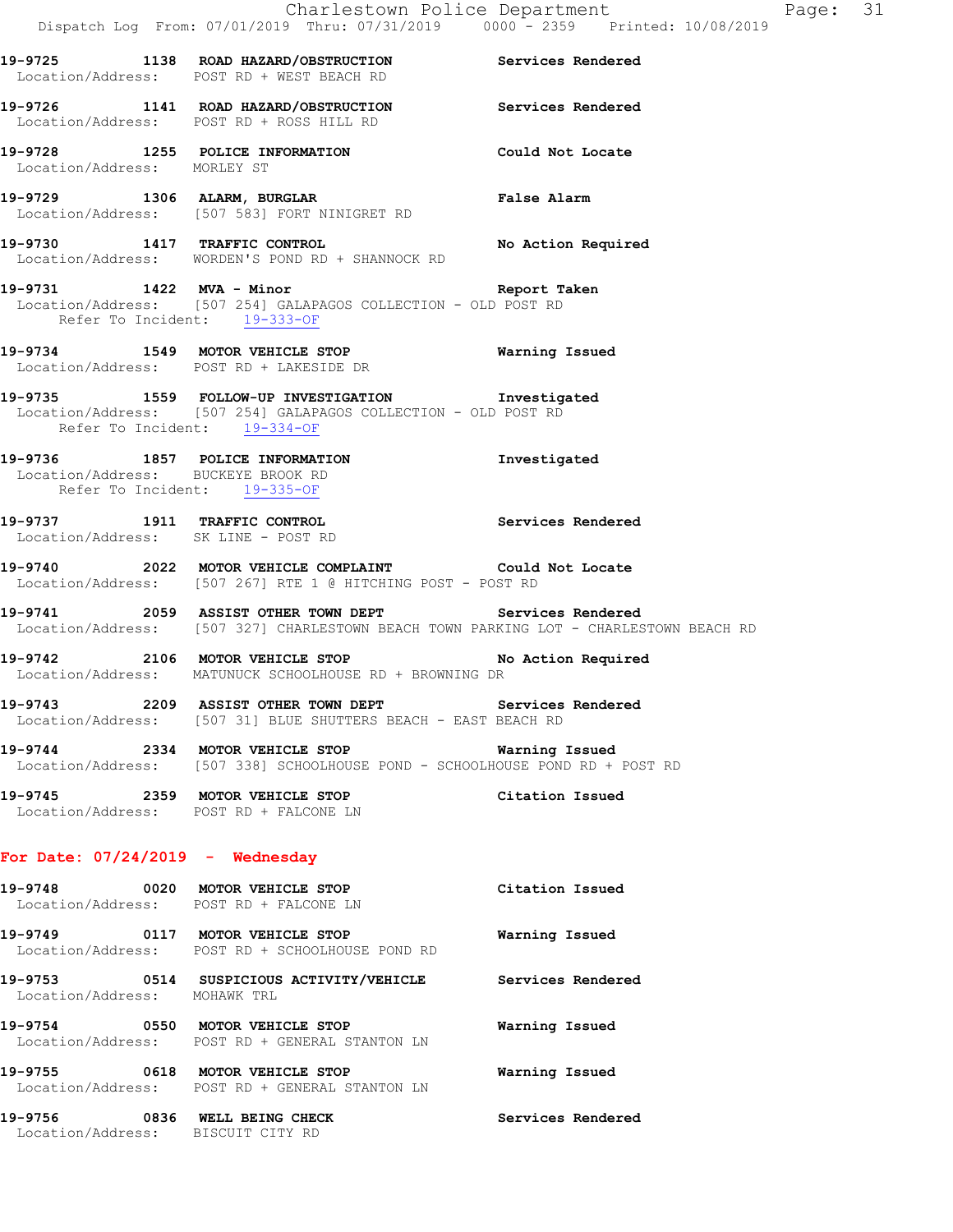- **19-9725 1138 ROAD HAZARD/OBSTRUCTION Services Rendered**  Location/Address: POST RD + WEST BEACH RD **19-9726 1141 ROAD HAZARD/OBSTRUCTION Services Rendered**  Location/Address: POST RD + ROSS HILL RD **19-9728 1255 POLICE INFORMATION Could Not Locate**  Location/Address: MORLEY ST **19-9729 1306 ALARM, BURGLAR False Alarm**  Location/Address: [507 583] FORT NINIGRET RD **19-9730 1417 TRAFFIC CONTROL No Action Required**  Location/Address: WORDEN'S POND RD + SHANNOCK RD **19-9731 1422 MVA - Minor Report Taken**  Location/Address: [507 254] GALAPAGOS COLLECTION - OLD POST RD Refer To Incident: 19-333-OF **19-9734 1549 MOTOR VEHICLE STOP Warning Issued**  Location/Address: POST RD + LAKESIDE DR **19-9735 1559 FOLLOW-UP INVESTIGATION Investigated** 
	- Location/Address: [507 254] GALAPAGOS COLLECTION OLD POST RD Refer To Incident: 19-334-OF
	- **19-9736 1857 POLICE INFORMATION Investigated**  Location/Address: BUCKEYE BROOK RD Refer To Incident: 19-335-OF
	- **19-9737 1911 TRAFFIC CONTROL Services Rendered**  Location/Address: SK LINE - POST RD
	- **19-9740 2022 MOTOR VEHICLE COMPLAINT Could Not Locate**  Location/Address: [507 267] RTE 1 @ HITCHING POST - POST RD
	- **19-9741 2059 ASSIST OTHER TOWN DEPT Services Rendered**  Location/Address: [507 327] CHARLESTOWN BEACH TOWN PARKING LOT - CHARLESTOWN BEACH RD
	- **19-9742 2106 MOTOR VEHICLE STOP No Action Required**  Location/Address: MATUNUCK SCHOOLHOUSE RD + BROWNING DR
	- **19-9743 2209 ASSIST OTHER TOWN DEPT Services Rendered**  Location/Address: [507 31] BLUE SHUTTERS BEACH - EAST BEACH RD
	- **19-9744 2334 MOTOR VEHICLE STOP Warning Issued**  Location/Address: [507 338] SCHOOLHOUSE POND - SCHOOLHOUSE POND RD + POST RD
	- **19-9745 2359 MOTOR VEHICLE STOP Citation Issued**  Location/Address: POST RD + FALCONE LN

#### **For Date: 07/24/2019 - Wednesday**

| 19-9748 0020 MOTOR VEHICLE STOP<br>Location/Address: POST RD + FALCONE LN |                                                                           | Citation Issued   |
|---------------------------------------------------------------------------|---------------------------------------------------------------------------|-------------------|
|                                                                           | Location/Address: POST RD + SCHOOLHOUSE POND RD                           | Warning Issued    |
| Location/Address:                                                         | MOHAWK TRL                                                                | Services Rendered |
| 19-9754                                                                   | 0550 MOTOR VEHICLE STOP<br>Location/Address: POST RD + GENERAL STANTON LN | Warning Issued    |
| 19-9755 0618 MOTOR VEHICLE STOP                                           | Location/Address: POST RD + GENERAL STANTON LN                            | Warning Issued    |
| 19-9756<br>Location/Address: BISCUIT CITY RD                              | 0836 WELL BEING CHECK                                                     | Services Rendered |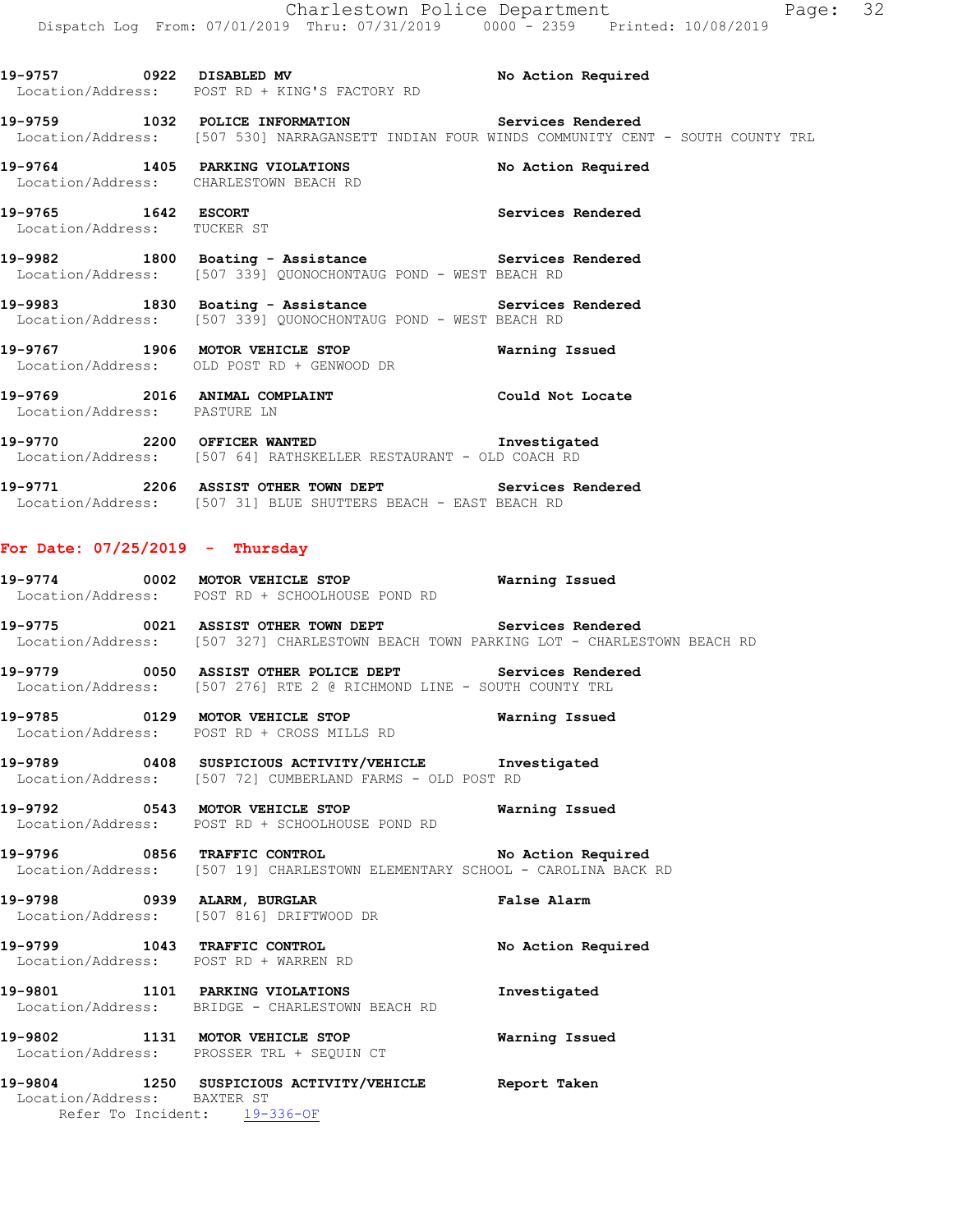**19-9757 0922 DISABLED MV No Action Required**  Location/Address: POST RD + KING'S FACTORY RD **19-9759 1032 POLICE INFORMATION Services Rendered**  Location/Address: [507 530] NARRAGANSETT INDIAN FOUR WINDS COMMUNITY CENT - SOUTH COUNTY TRL **19-9764 1405 PARKING VIOLATIONS No Action Required**  Location/Address: CHARLESTOWN BEACH RD **19-9765 1642 ESCORT Services Rendered**  Location/Address: TUCKER ST **19-9982 1800 Boating - Assistance Services Rendered**  Location/Address: [507 339] QUONOCHONTAUG POND - WEST BEACH RD 19-9983 1830 Boating - Assistance **Services Rendered**  Location/Address: [507 339] QUONOCHONTAUG POND - WEST BEACH RD **19-9767 1906 MOTOR VEHICLE STOP Warning Issued**  Location/Address: OLD POST RD + GENWOOD DR **19-9769 2016 ANIMAL COMPLAINT Could Not Locate**  Location/Address: PASTURE LN **19-9770 2200 OFFICER WANTED Investigated**  Location/Address: [507 64] RATHSKELLER RESTAURANT - OLD COACH RD **19-9771 2206 ASSIST OTHER TOWN DEPT Services Rendered**  Location/Address: [507 31] BLUE SHUTTERS BEACH - EAST BEACH RD **For Date: 07/25/2019 - Thursday 19-9774 0002 MOTOR VEHICLE STOP Warning Issued**  Location/Address: POST RD + SCHOOLHOUSE POND RD **19-9775 0021 ASSIST OTHER TOWN DEPT Services Rendered**  Location/Address: [507 327] CHARLESTOWN BEACH TOWN PARKING LOT - CHARLESTOWN BEACH RD **19-9779 0050 ASSIST OTHER POLICE DEPT Services Rendered**  Location/Address: [507 276] RTE 2 @ RICHMOND LINE - SOUTH COUNTY TRL **19-9785 0129 MOTOR VEHICLE STOP Warning Issued**  Location/Address: POST RD + CROSS MILLS RD **19-9789 0408 SUSPICIOUS ACTIVITY/VEHICLE Investigated**  Location/Address: [507 72] CUMBERLAND FARMS - OLD POST RD **19-9792 0543 MOTOR VEHICLE STOP Warning Issued**  Location/Address: POST RD + SCHOOLHOUSE POND RD **19-9796 0856 TRAFFIC CONTROL No Action Required**  Location/Address: [507 19] CHARLESTOWN ELEMENTARY SCHOOL - CAROLINA BACK RD **19-9798 0939 ALARM, BURGLAR False Alarm**  Location/Address: [507 816] DRIFTWOOD DR **19-9799 1043 TRAFFIC CONTROL No Action Required**  Location/Address: POST RD + WARREN RD **19-9801 1101 PARKING VIOLATIONS Investigated**  Location/Address: BRIDGE - CHARLESTOWN BEACH RD **19-9802 1131 MOTOR VEHICLE STOP Warning Issued**  Location/Address: PROSSER TRL + SEQUIN CT

**19-9804 1250 SUSPICIOUS ACTIVITY/VEHICLE Report Taken**  Location/Address: BAXTER ST Refer To Incident: 19-336-OF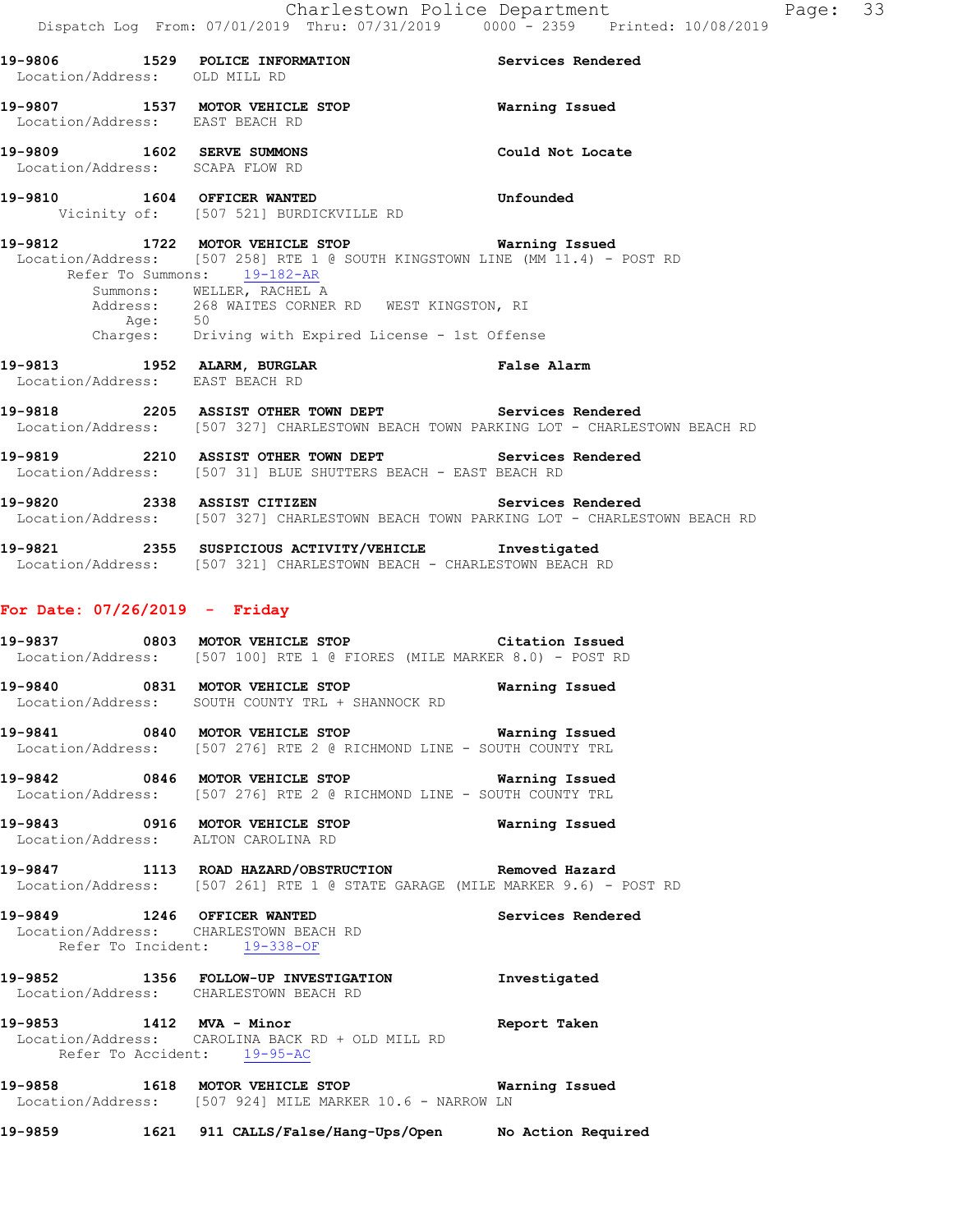| 19-9806<br>Location/Address: OLD MILL RD   | 1529 | POLICE INFORMATION                                       | Services Rendered |
|--------------------------------------------|------|----------------------------------------------------------|-------------------|
| 19-9807<br>Location/Address: EAST BEACH RD | 1537 | MOTOR VEHICLE STOP                                       | Warning Issued    |
| 19-9809<br>Location/Address: SCAPA FLOW RD | 1602 | SERVE SUMMONS                                            | Could Not Locate  |
| 19-9810                                    | 1604 | OFFICER WANTED<br>Vicinity of: [507 521] BURDICKVILLE RD | Unfounded         |

**19-9812 1722 MOTOR VEHICLE STOP Warning Issued**  Location/Address: [507 258] RTE 1 @ SOUTH KINGSTOWN LINE (MM 11.4) - POST RD Refer To Summons: 19-182-AR Summons: WELLER, RACHEL A Address: 268 WAITES CORNER RD WEST KINGSTON, RI Age: 50 Charges: Driving with Expired License - 1st Offense

**19-9813 1952 ALARM, BURGLAR False Alarm**  Location/Address: EAST BEACH RD

**19-9818 2205 ASSIST OTHER TOWN DEPT Services Rendered**  Location/Address: [507 327] CHARLESTOWN BEACH TOWN PARKING LOT - CHARLESTOWN BEACH RD

**19-9819 2210 ASSIST OTHER TOWN DEPT Services Rendered**  Location/Address: [507 31] BLUE SHUTTERS BEACH - EAST BEACH RD

**19-9820 2338 ASSIST CITIZEN Services Rendered**  Location/Address: [507 327] CHARLESTOWN BEACH TOWN PARKING LOT - CHARLESTOWN BEACH RD

**19-9821 2355 SUSPICIOUS ACTIVITY/VEHICLE Investigated**  Location/Address: [507 321] CHARLESTOWN BEACH - CHARLESTOWN BEACH RD

#### **For Date: 07/26/2019 - Friday**

**19-9837 0803 MOTOR VEHICLE STOP Citation Issued**  Location/Address: [507 100] RTE 1 @ FIORES (MILE MARKER 8.0) - POST RD

**19-9840 0831 MOTOR VEHICLE STOP Warning Issued**  Location/Address: SOUTH COUNTY TRL + SHANNOCK RD

**19-9841 0840 MOTOR VEHICLE STOP Warning Issued**  Location/Address: [507 276] RTE 2 @ RICHMOND LINE - SOUTH COUNTY TRL

**19-9842 0846 MOTOR VEHICLE STOP Warning Issued**  Location/Address: [507 276] RTE 2 @ RICHMOND LINE - SOUTH COUNTY TRL

**19-9843 0916 MOTOR VEHICLE STOP Warning Issued**  Location/Address: ALTON CAROLINA RD

**19-9847 1113 ROAD HAZARD/OBSTRUCTION Removed Hazard**  Location/Address: [507 261] RTE 1 @ STATE GARAGE (MILE MARKER 9.6) - POST RD

**19-9849 1246 OFFICER WANTED Services Rendered**  Location/Address: CHARLESTOWN BEACH RD Refer To Incident: 19-338-OF

**19-9852 1356 FOLLOW-UP INVESTIGATION Investigated**  Location/Address: CHARLESTOWN BEACH RD

**19-9853 1412 MVA - Minor Report Taken**  Location/Address: CAROLINA BACK RD + OLD MILL RD Refer To Accident: 19-95-AC

**19-9858 1618 MOTOR VEHICLE STOP Warning Issued**  Location/Address: [507 924] MILE MARKER 10.6 - NARROW LN

**19-9859 1621 911 CALLS/False/Hang-Ups/Open No Action Required**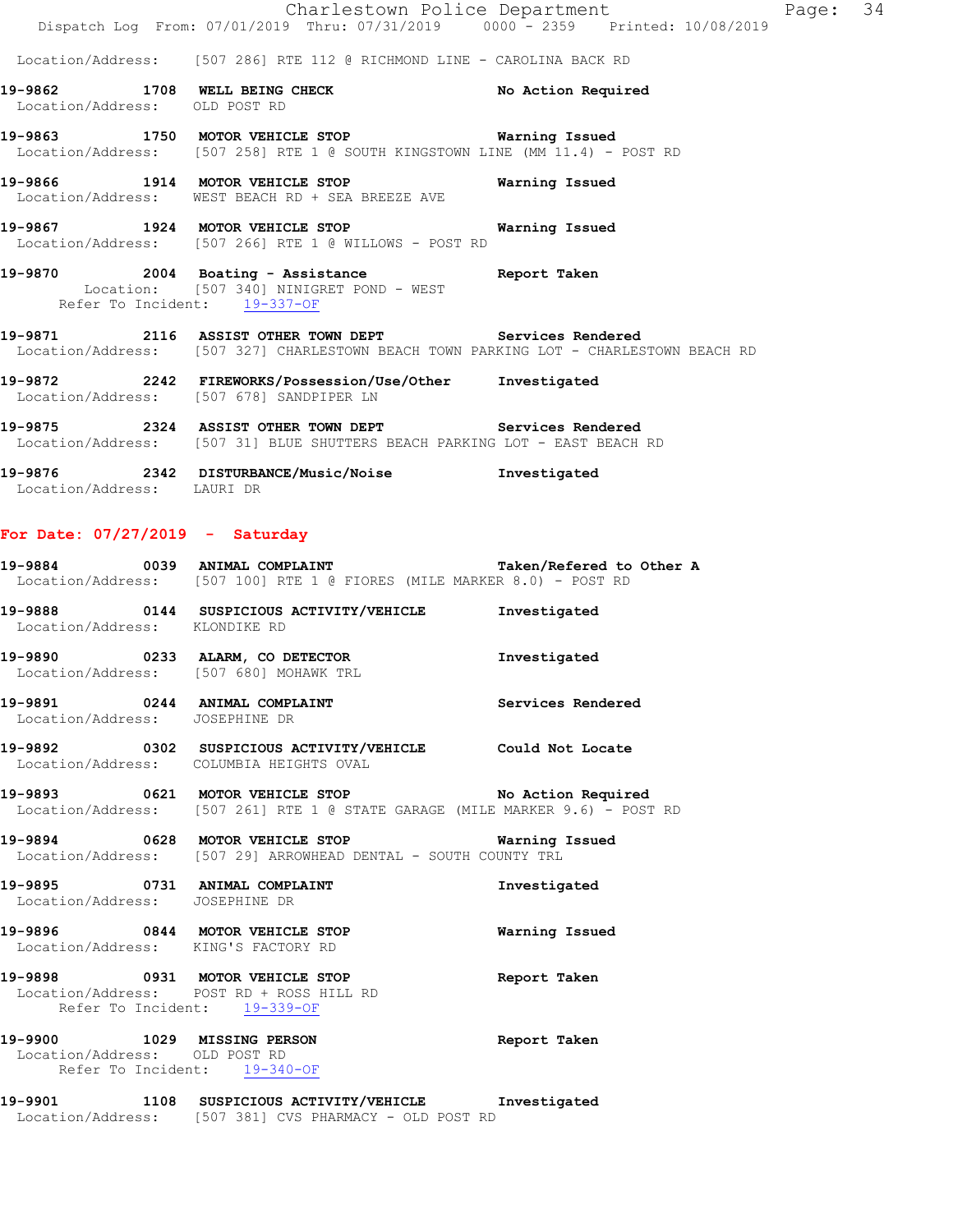|                                   | Charlestown Police Department                                                                                                                  |                          |
|-----------------------------------|------------------------------------------------------------------------------------------------------------------------------------------------|--------------------------|
|                                   | Dispatch Log From: 07/01/2019 Thru: 07/31/2019 0000 - 2359 Printed: 10/08/2019                                                                 |                          |
|                                   | Location/Address: [507 286] RTE 112 @ RICHMOND LINE - CAROLINA BACK RD                                                                         |                          |
| Location/Address: OLD POST RD     | 19-9862 1708 WELL BEING CHECK No Action Required                                                                                               |                          |
|                                   | 19-9863 1750 MOTOR VEHICLE STOP <b>WATER</b> Warning Issued<br>Location/Address: [507 258] RTE 1 @ SOUTH KINGSTOWN LINE (MM 11.4) - POST RD    |                          |
|                                   | 19-9866 1914 MOTOR VEHICLE STOP<br>Location/Address: WEST BEACH RD + SEA BREEZE AVE                                                            | Warning Issued           |
|                                   | 19-9867 1924 MOTOR VEHICLE STOP<br>Location/Address: [507 266] RTE 1 @ WILLOWS - POST RD                                                       | Warning Issued           |
| 19-9870                           | 0 2004 Boating - Assistance Report Taken<br>Location: [507 340] NINIGRET POND - WEST<br>Refer To Incident: 19-337-OF                           |                          |
|                                   | 19-9871 2116 ASSIST OTHER TOWN DEPT Services Rendered<br>Location/Address: [507 327] CHARLESTOWN BEACH TOWN PARKING LOT - CHARLESTOWN BEACH RD |                          |
|                                   | 19-9872 2242 FIREWORKS/Possession/Use/Other Investigated<br>Location/Address: [507 678] SANDPIPER LN                                           |                          |
|                                   | 19-9875 2324 ASSIST OTHER TOWN DEPT Services Rendered<br>Location/Address: [507 31] BLUE SHUTTERS BEACH PARKING LOT - EAST BEACH RD            |                          |
| Location/Address: LAURI DR        | 19-9876 2342 DISTURBANCE/Music/Noise Investigated                                                                                              |                          |
| For Date: $07/27/2019$ - Saturday |                                                                                                                                                |                          |
|                                   | 19-9884 0039 ANIMAL COMPLAINT<br>Location/Address: [507 100] RTE 1 @ FIORES (MILE MARKER 8.0) - POST RD                                        | Taken/Refered to Other A |
| Location/Address: KLONDIKE RD     | 19-9888 0144 SUSPICIOUS ACTIVITY/VEHICLE Investigated                                                                                          |                          |
|                                   | 19-9890 0233 ALARM, CO DETECTOR<br>Location/Address: [507 680] MOHAWK TRL                                                                      | Investigated             |
| Location/Address: JOSEPHINE DR    | 19-9891 0244 ANIMAL COMPLAINT Services Rendered                                                                                                |                          |
|                                   | 19-9892 0302 SUSPICIOUS ACTIVITY/VEHICLE Could Not Locate                                                                                      |                          |

- 19-9893 **0621 MOTOR VEHICLE STOP** No Action Required Location/Address: [507 261] RTE 1 @ STATE GARAGE (MILE MARKER 9.6) - POST RD
- **19-9894 0628 MOTOR VEHICLE STOP Warning Issued**  Location/Address: [507 29] ARROWHEAD DENTAL - SOUTH COUNTY TRL

**19-9895 0731 ANIMAL COMPLAINT Investigated**  Location/Address: JOSEPHINE DR

# **19-9896 0844 MOTOR VEHICLE STOP Warning Issued**  Location/Address: KING'S FACTORY RD

Location/Address: COLUMBIA HEIGHTS OVAL

### **19-9898 0931 MOTOR VEHICLE STOP Report Taken**  Location/Address: POST RD + ROSS HILL RD Refer To Incident: 19-339-OF

#### **19-9900 1029 MISSING PERSON Report Taken**  Location/Address: OLD POST RD Refer To Incident: 19-340-OF

#### **19-9901 1108 SUSPICIOUS ACTIVITY/VEHICLE Investigated**  Location/Address: [507 381] CVS PHARMACY - OLD POST RD

Page: 34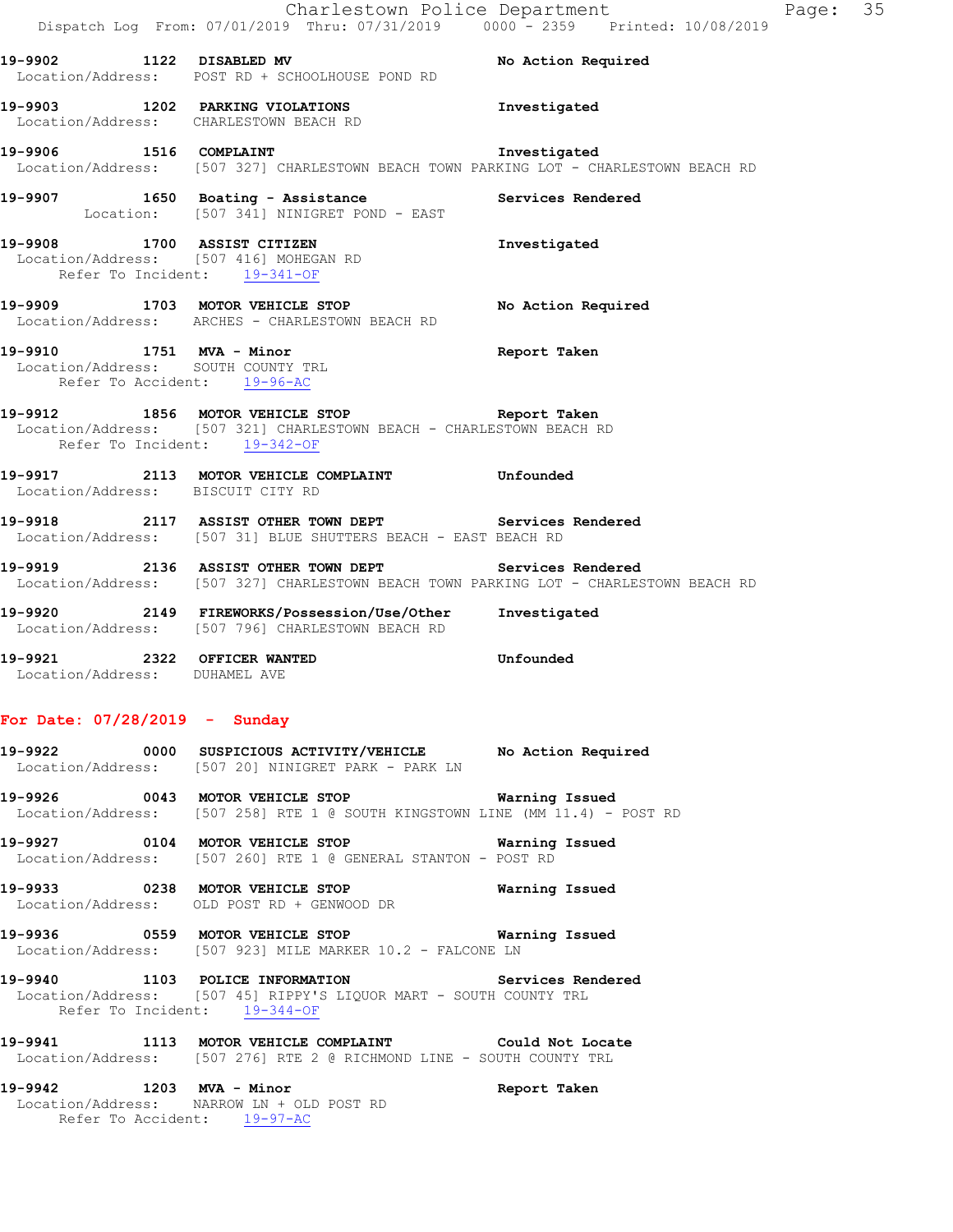|                                                                                               | Charlestown Police Department                                                                                                                  |                    | Page: 35 |  |
|-----------------------------------------------------------------------------------------------|------------------------------------------------------------------------------------------------------------------------------------------------|--------------------|----------|--|
|                                                                                               | Dispatch Log From: 07/01/2019 Thru: 07/31/2019 0000 - 2359 Printed: 10/08/2019                                                                 |                    |          |  |
|                                                                                               | 19-9902 1122 DISABLED MV<br>Location/Address: POST RD + SCHOOLHOUSE POND RD                                                                    | No Action Required |          |  |
|                                                                                               | 19-9903 1202 PARKING VIOLATIONS 10 Investigated<br>Location/Address: CHARLESTOWN BEACH RD                                                      |                    |          |  |
|                                                                                               | 19-9906 1516 COMPLAINT<br>Location/Address: [507 327] CHARLESTOWN BEACH TOWN PARKING LOT - CHARLESTOWN BEACH RD                                |                    |          |  |
|                                                                                               | 19-9907 1650 Boating - Assistance and Services Rendered<br>Location: [507 341] NINIGRET POND - EAST                                            |                    |          |  |
| 19-9908 1700 ASSIST CITIZEN<br>Refer To Incident: 19-341-OF                                   | Location/Address: [507 416] MOHEGAN RD                                                                                                         | Investigated       |          |  |
|                                                                                               | 19-9909 1703 MOTOR VEHICLE STOP<br>Location/Address: ARCHES - CHARLESTOWN BEACH RD                                                             | No Action Required |          |  |
| 19-9910 1751 MVA - Minor<br>Location/Address: SOUTH COUNTY TRL<br>Refer To Accident: 19-96-AC |                                                                                                                                                | Report Taken       |          |  |
| Refer To Incident: 19-342-OF                                                                  | 19-9912 1856 MOTOR VEHICLE STOP TREPORT Taken<br>Location/Address: [507 321] CHARLESTOWN BEACH - CHARLESTOWN BEACH RD                          |                    |          |  |
| Location/Address: BISCUIT CITY RD                                                             | 19-9917 2113 MOTOR VEHICLE COMPLAINT 50 Unfounded                                                                                              |                    |          |  |
|                                                                                               | 19-9918 2117 ASSIST OTHER TOWN DEPT Services Rendered<br>Location/Address: [507 31] BLUE SHUTTERS BEACH - EAST BEACH RD                        |                    |          |  |
|                                                                                               | 19-9919 2136 ASSIST OTHER TOWN DEPT Services Rendered<br>Location/Address: [507 327] CHARLESTOWN BEACH TOWN PARKING LOT - CHARLESTOWN BEACH RD |                    |          |  |
|                                                                                               | 19-9920 2149 FIREWORKS/Possession/Use/Other Investigated<br>Location/Address: [507 796] CHARLESTOWN BEACH RD                                   |                    |          |  |
| 19-9921 2322 OFFICER WANTED<br>Location/Address: DUHAMEL AVE                                  |                                                                                                                                                | <b>Unfounded</b>   |          |  |
| For Date: $07/28/2019$ - Sunday                                                               |                                                                                                                                                |                    |          |  |

**19-9922 0000 SUSPICIOUS ACTIVITY/VEHICLE No Action Required**  Location/Address: [507 20] NINIGRET PARK - PARK LN **19-9926 0043 MOTOR VEHICLE STOP Warning Issued** 

Location/Address: [507 258] RTE 1 @ SOUTH KINGSTOWN LINE (MM 11.4) - POST RD

**19-9927 0104 MOTOR VEHICLE STOP Warning Issued**  Location/Address: [507 260] RTE 1 @ GENERAL STANTON - POST RD

**19-9933 0238 MOTOR VEHICLE STOP Warning Issued**  Location/Address: OLD POST RD + GENWOOD DR

**19-9936 0559 MOTOR VEHICLE STOP Warning Issued**  Location/Address: [507 923] MILE MARKER 10.2 - FALCONE LN

**19-9940 1103 POLICE INFORMATION Services Rendered**  Location/Address: [507 45] RIPPY'S LIQUOR MART - SOUTH COUNTY TRL Refer To Incident: 19-344-OF

**19-9941 1113 MOTOR VEHICLE COMPLAINT Could Not Locate**  Location/Address: [507 276] RTE 2 @ RICHMOND LINE - SOUTH COUNTY TRL

**19-9942 1203 MVA - Minor Report Taken**  Location/Address: NARROW LN + OLD POST RD Refer To Accident: 19-97-AC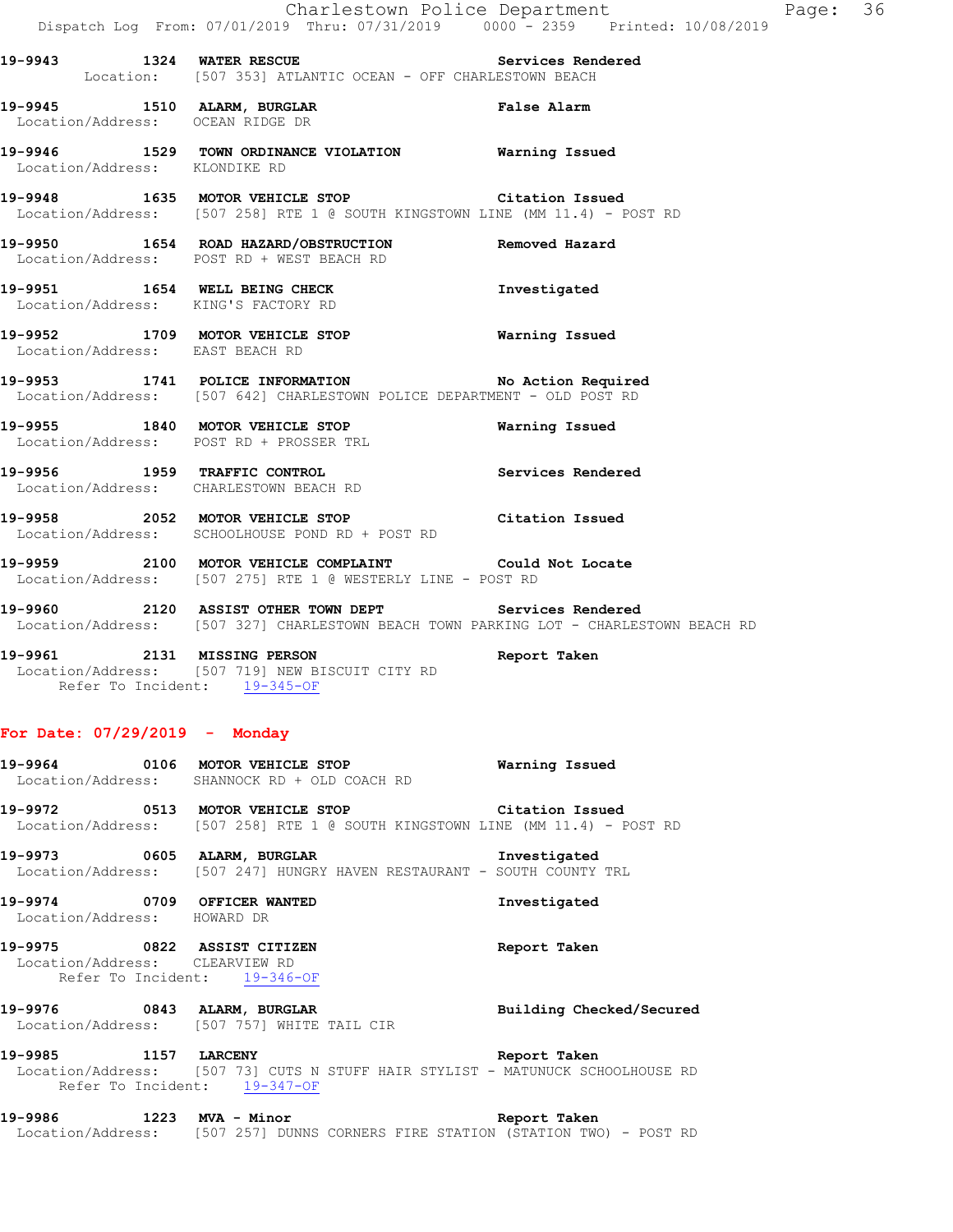**19-9943 1324 WATER RESCUE Services Rendered**  Location: [507 353] ATLANTIC OCEAN - OFF CHARLESTOWN BEACH

**19-9945 1510 ALARM, BURGLAR False Alarm**  Location/Address: OCEAN RIDGE DR

**19-9946 1529 TOWN ORDINANCE VIOLATION Warning Issued**  Location/Address: KLONDIKE RD

**19-9948 1635 MOTOR VEHICLE STOP Citation Issued**  Location/Address: [507 258] RTE 1 @ SOUTH KINGSTOWN LINE (MM 11.4) - POST RD

**19-9950 1654 ROAD HAZARD/OBSTRUCTION Removed Hazard**  Location/Address: POST RD + WEST BEACH RD

**19-9951 1654 WELL BEING CHECK Investigated**  Location/Address: KING'S FACTORY RD

**19-9952 1709 MOTOR VEHICLE STOP Warning Issued**  Location/Address: EAST BEACH RD

**19-9953 1741 POLICE INFORMATION No Action Required**  Location/Address: [507 642] CHARLESTOWN POLICE DEPARTMENT - OLD POST RD

**19-9955 1840 MOTOR VEHICLE STOP Warning Issued**  Location/Address: POST RD + PROSSER TRL

**19-9956 1959 TRAFFIC CONTROL Services Rendered**  Location/Address: CHARLESTOWN BEACH RD

**19-9958 2052 MOTOR VEHICLE STOP Citation Issued**  Location/Address: SCHOOLHOUSE POND RD + POST RD

**19-9959 2100 MOTOR VEHICLE COMPLAINT Could Not Locate**  Location/Address: [507 275] RTE 1 @ WESTERLY LINE - POST RD

**19-9960 2120 ASSIST OTHER TOWN DEPT Services Rendered**  Location/Address: [507 327] CHARLESTOWN BEACH TOWN PARKING LOT - CHARLESTOWN BEACH RD

**19-9961 2131 MISSING PERSON Report Taken**  Location/Address: [507 719] NEW BISCUIT CITY RD Refer To Incident: 19-345-OF

#### **For Date: 07/29/2019 - Monday**

**19-9964 0106 MOTOR VEHICLE STOP Warning Issued**  Location/Address: SHANNOCK RD + OLD COACH RD **19-9972 0513 MOTOR VEHICLE STOP Citation Issued**  Location/Address: [507 258] RTE 1 @ SOUTH KINGSTOWN LINE (MM 11.4) - POST RD **19-9973 0605 ALARM, BURGLAR Investigated**  Location/Address: [507 247] HUNGRY HAVEN RESTAURANT - SOUTH COUNTY TRL

**19-9974 0709 OFFICER WANTED Investigated** 

Location/Address: HOWARD DR

**19-9975 0822 ASSIST CITIZEN Report Taken**  Location/Address: CLEARVIEW RD Refer To Incident: 19-346-OF

**19-9976 0843 ALARM, BURGLAR Building Checked/Secured**  Location/Address: [507 757] WHITE TAIL CIR

**19-9985 1157 LARCENY Report Taken**  Location/Address: [507 73] CUTS N STUFF HAIR STYLIST - MATUNUCK SCHOOLHOUSE RD Refer To Incident: 19-347-OF

**19-9986 1223 MVA - Minor Report Taken**  Location/Address: [507 257] DUNNS CORNERS FIRE STATION (STATION TWO) - POST RD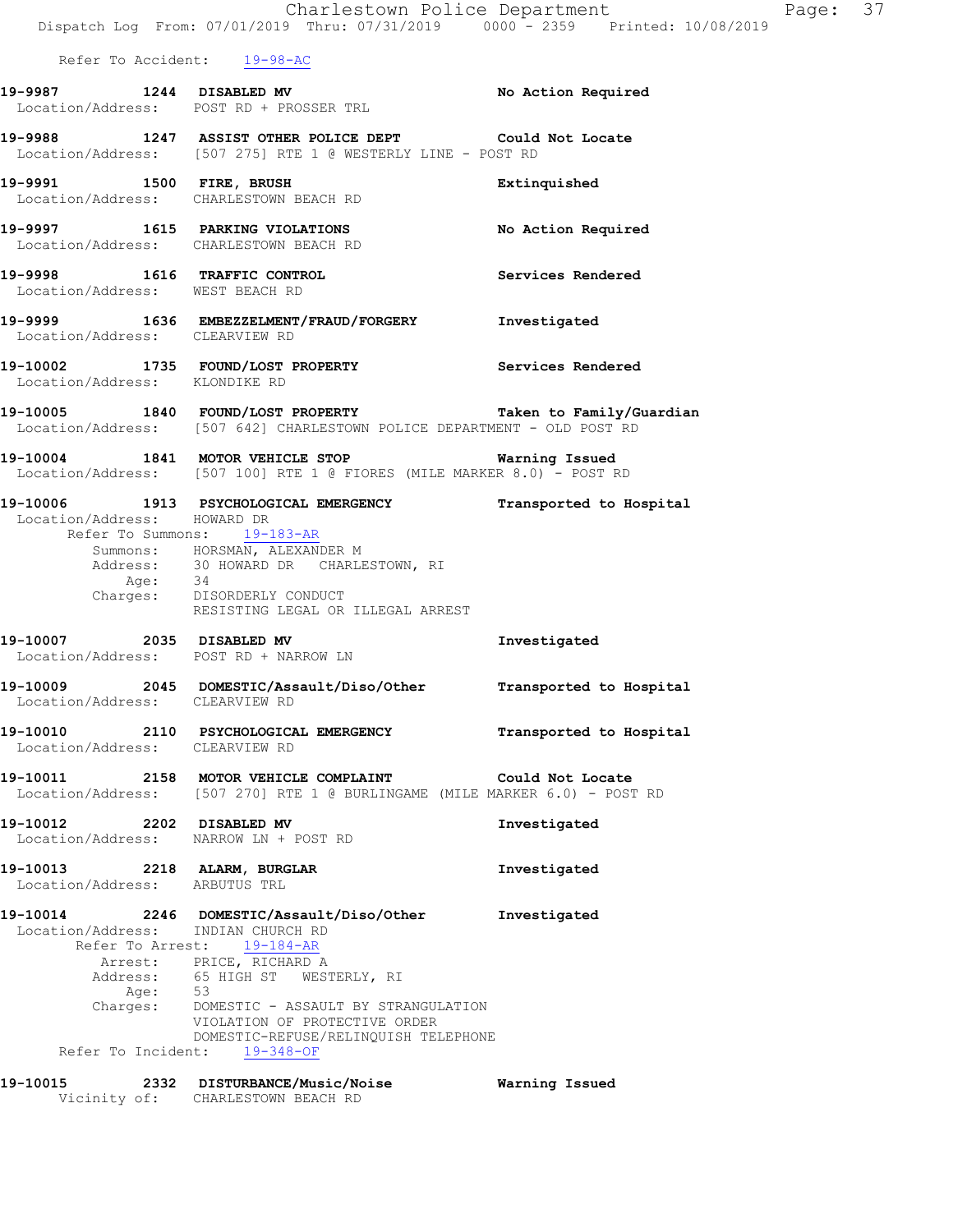|                               |                                                                                                                                                                                                                                                                                                                                                                | Charlestown Police Department<br>Dispatch Log From: 07/01/2019 Thru: 07/31/2019 0000 - 2359 Printed: 10/08/2019                       | P |
|-------------------------------|----------------------------------------------------------------------------------------------------------------------------------------------------------------------------------------------------------------------------------------------------------------------------------------------------------------------------------------------------------------|---------------------------------------------------------------------------------------------------------------------------------------|---|
|                               | Refer To Accident: 19-98-AC                                                                                                                                                                                                                                                                                                                                    |                                                                                                                                       |   |
|                               | 19-9987 1244 DISABLED MV<br>Location/Address: POST RD + PROSSER TRL                                                                                                                                                                                                                                                                                            | No Action Required                                                                                                                    |   |
|                               | 19-9988 1247 ASSIST OTHER POLICE DEPT Could Not Locate<br>Location/Address: [507 275] RTE 1 @ WESTERLY LINE - POST RD                                                                                                                                                                                                                                          |                                                                                                                                       |   |
|                               | 19-9991 1500 FIRE, BRUSH<br>Location/Address: CHARLESTOWN BEACH RD                                                                                                                                                                                                                                                                                             | Extinquished                                                                                                                          |   |
|                               | 19-9997 1615 PARKING VIOLATIONS<br>Location/Address: CHARLESTOWN BEACH RD                                                                                                                                                                                                                                                                                      | No Action Required                                                                                                                    |   |
|                               | 19-9998 1616 TRAFFIC CONTROL<br>Location/Address: WEST BEACH RD                                                                                                                                                                                                                                                                                                | Services Rendered                                                                                                                     |   |
|                               | 19-9999 1636 EMBEZZELMENT/FRAUD/FORGERY Investigated<br>Location/Address: CLEARVIEW RD                                                                                                                                                                                                                                                                         |                                                                                                                                       |   |
|                               | 19-10002 1735 FOUND/LOST PROPERTY Services Rendered Location/Address: KLONDIKE RD                                                                                                                                                                                                                                                                              |                                                                                                                                       |   |
|                               |                                                                                                                                                                                                                                                                                                                                                                | 19-10005 1840 FOUND/LOST PROPERTY Taken to Family/Guardian<br>Location/Address: [507 642] CHARLESTOWN POLICE DEPARTMENT - OLD POST RD |   |
|                               | 19-10004 1841 MOTOR VEHICLE STOP Warning Issued<br>Location/Address: [507 100] RTE 1 @ FIORES (MILE MARKER 8.0) - POST RD                                                                                                                                                                                                                                      |                                                                                                                                       |   |
| Location/Address: HOWARD DR   | Refer To Summons: 19-183-AR<br>Summons: HORSMAN, ALEXANDER M<br>Address: 30 HOWARD DR CHARLESTOWN, RI<br>Age: 34<br>Charges: DISORDERLY CONDUCT<br>RESISTING LEGAL OR ILLEGAL ARREST                                                                                                                                                                           | 19-10006 1913 PSYCHOLOGICAL EMERGENCY Transported to Hospital                                                                         |   |
|                               | 19-10007 2035 DISABLED MV<br>Location/Address: POST RD + NARROW LN                                                                                                                                                                                                                                                                                             | Investigated                                                                                                                          |   |
|                               | Location/Address: CLEARVIEW RD                                                                                                                                                                                                                                                                                                                                 | 19-10009 2045 DOMESTIC/Assault/Diso/Other Transported to Hospital                                                                     |   |
|                               | 19-10010 2110 PSYCHOLOGICAL EMERGENCY<br>Location/Address: CLEARVIEW RD                                                                                                                                                                                                                                                                                        | Transported to Hospital                                                                                                               |   |
|                               | 19-10011 2158 MOTOR VEHICLE COMPLAINT Could Not Locate<br>Location/Address: [507 270] RTE 1 @ BURLINGAME (MILE MARKER 6.0) - POST RD                                                                                                                                                                                                                           |                                                                                                                                       |   |
|                               | 19-10012 2202 DISABLED MV<br>Location/Address: NARROW LN + POST RD                                                                                                                                                                                                                                                                                             | Investigated                                                                                                                          |   |
| Location/Address: ARBUTUS TRL | 19-10013 2218 ALARM, BURGLAR                                                                                                                                                                                                                                                                                                                                   | Investigated                                                                                                                          |   |
|                               | 19-10014 2246 DOMESTIC/Assault/Diso/Other Investigated<br>Location/Address: INDIAN CHURCH RD<br>Refer To Arrest: 19-184-AR<br>Arrest: PRICE, RICHARD A<br>Address: 65 HIGH ST WESTERLY, RI<br>Age: 53<br>Charges: DOMESTIC - ASSAULT BY STRANGULATION<br>VIOLATION OF PROTECTIVE ORDER<br>DOMESTIC-REFUSE/RELINQUISH TELEPHONE<br>Refer To Incident: 19-348-OF |                                                                                                                                       |   |
|                               | 19-10015 2332 DISTURBANCE/Music/Noise Warning Issued                                                                                                                                                                                                                                                                                                           |                                                                                                                                       |   |

Vicinity of: CHARLESTOWN BEACH RD

Page: 37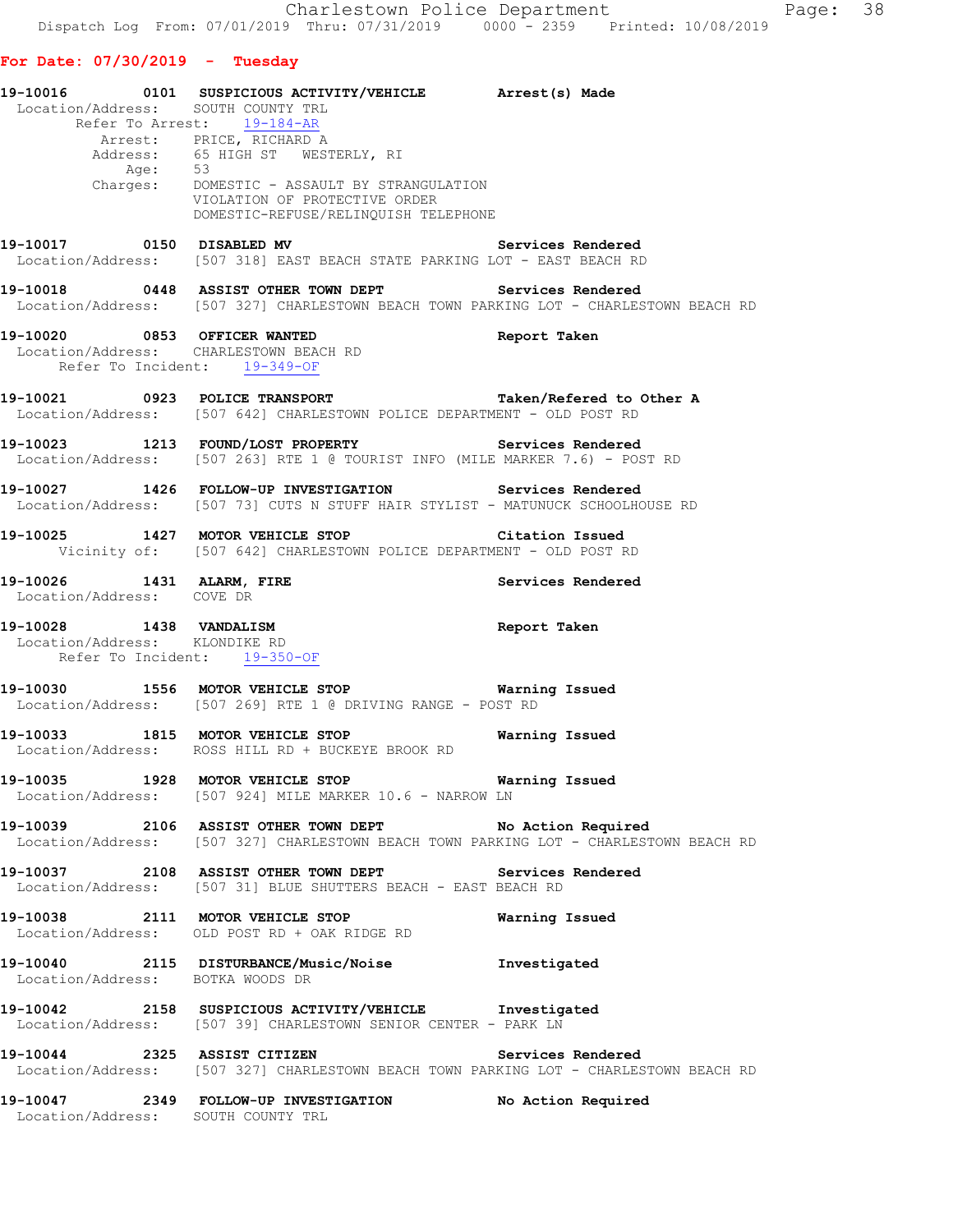## **For Date: 07/30/2019 - Tuesday**

| Location/Address: SOUTH COUNTY TRL                            | 19-10016   0101   SUSPICIOUS ACTIVITY/VEHICLE   Arrest(s) Made                                                                                   |                    |
|---------------------------------------------------------------|--------------------------------------------------------------------------------------------------------------------------------------------------|--------------------|
|                                                               | Refer To Arrest: 19-184-AR<br>Arrest: PRICE, RICHARD A<br>Address: 65 HIGH ST WESTERLY, RI                                                       |                    |
|                                                               | Address.<br>Age: 53<br>Charges: DOMESTIC - ASSAULT BY STRANGULATION<br>VIOLATION OF PROTECTIVE ORDER<br>VIOLATION OF PROTECTIVE ORDER            |                    |
|                                                               | DOMESTIC-REFUSE/RELINQUISH TELEPHONE                                                                                                             |                    |
| 19-10017 0150 DISABLED MV                                     | Location/Address: [507 318] EAST BEACH STATE PARKING LOT - EAST BEACH RD                                                                         | Services Rendered  |
|                                                               | 19-10018 0448 ASSIST OTHER TOWN DEPT Services Rendered<br>Location/Address: [507 327] CHARLESTOWN BEACH TOWN PARKING LOT - CHARLESTOWN BEACH RD  |                    |
| 19-10020 0853 OFFICER WANTED                                  | Location/Address: CHARLESTOWN BEACH RD<br>Refer To Incident: 19-349-OF                                                                           | Report Taken       |
|                                                               | 19-10021 0923 POLICE TRANSPORT Taken/Refered to Other A<br>Location/Address: [507 642] CHARLESTOWN POLICE DEPARTMENT - OLD POST RD               |                    |
|                                                               | 19-10023 1213 FOUND/LOST PROPERTY Services Rendered<br>Location/Address: [507 263] RTE 1 @ TOURIST INFO (MILE MARKER 7.6) - POST RD              |                    |
|                                                               | 19-10027 1426 FOLLOW-UP INVESTIGATION Services Rendered<br>Location/Address: [507 73] CUTS N STUFF HAIR STYLIST - MATUNUCK SCHOOLHOUSE RD        |                    |
|                                                               | 19-10025 1427 MOTOR VEHICLE STOP Citation Issued<br>Vicinity of: [507 642] CHARLESTOWN POLICE DEPARTMENT - OLD POST RD                           |                    |
| 19-10026 1431 ALARM, FIRE<br>Location/Address: COVE DR        |                                                                                                                                                  | Services Rendered  |
| Location/Address: KLONDIKE RD<br>Refer To Incident: 19-350-OF | 19-10028 1438 VANDALISM                                                                                                                          | Report Taken       |
|                                                               | 19-10030 1556 MOTOR VEHICLE STOP <b>Warning Issued</b><br>Location/Address: [507 269] RTE 1 @ DRIVING RANGE - POST RD                            |                    |
|                                                               | 19-10033 1815 MOTOR VEHICLE STOP<br>Location/Address: ROSS HILL RD + BUCKEYE BROOK RD                                                            | Warning Issued     |
|                                                               | 19-10035 1928 MOTOR VEHICLE STOP<br>Location/Address: [507 924] MILE MARKER 10.6 - NARROW LN                                                     | Warning Issued     |
|                                                               | 19-10039 2106 ASSIST OTHER TOWN DEPT No Action Required<br>Location/Address: [507 327] CHARLESTOWN BEACH TOWN PARKING LOT - CHARLESTOWN BEACH RD |                    |
|                                                               | 19-10037 2108 ASSIST OTHER TOWN DEPT Services Rendered<br>Location/Address: [507 31] BLUE SHUTTERS BEACH - EAST BEACH RD                         |                    |
|                                                               | 19-10038 2111 MOTOR VEHICLE STOP<br>Location/Address: OLD POST RD + OAK RIDGE RD                                                                 | Warning Issued     |
| Location/Address: BOTKA WOODS DR                              | 19-10040 2115 DISTURBANCE/Music/Noise Investigated                                                                                               |                    |
|                                                               | 19-10042 2158 SUSPICIOUS ACTIVITY/VEHICLE Investigated<br>Location/Address: [507 39] CHARLESTOWN SENIOR CENTER - PARK LN                         |                    |
| 19-10044 2325 ASSIST CITIZEN                                  | Location/Address: [507 327] CHARLESTOWN BEACH TOWN PARKING LOT - CHARLESTOWN BEACH RD                                                            | Services Rendered  |
| Location/Address: SOUTH COUNTY TRL                            | 19-10047 2349 FOLLOW-UP INVESTIGATION                                                                                                            | No Action Required |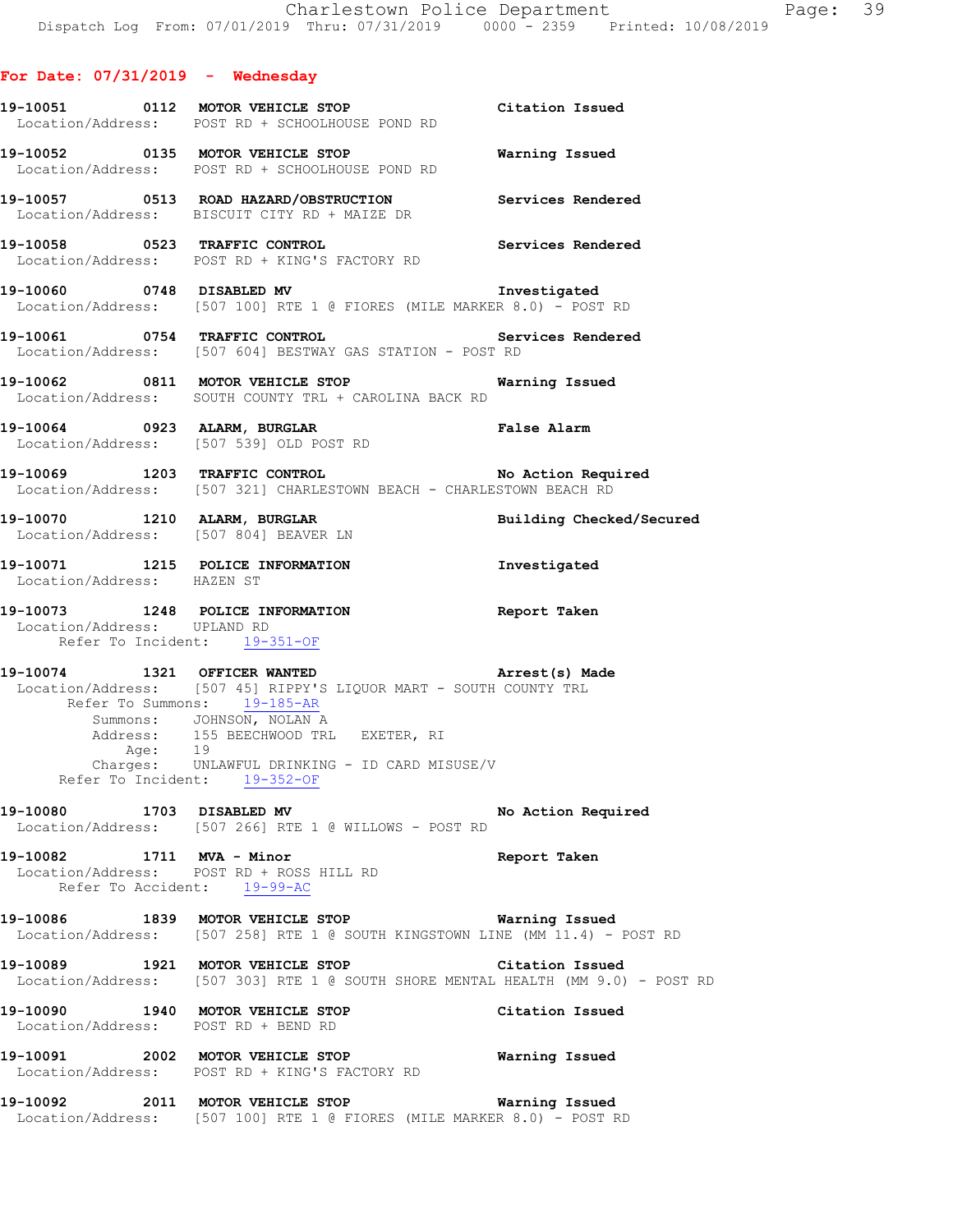#### **For Date: 07/31/2019 - Wednesday**

- **19-10051 0112 MOTOR VEHICLE STOP Citation Issued**  Location/Address: POST RD + SCHOOLHOUSE POND RD **19-10052 0135 MOTOR VEHICLE STOP Warning Issued**  Location/Address: POST RD + SCHOOLHOUSE POND RD
- **19-10057 0513 ROAD HAZARD/OBSTRUCTION Services Rendered**  Location/Address: BISCUIT CITY RD + MAIZE DR
- **19-10058 0523 TRAFFIC CONTROL Services Rendered**  Location/Address: POST RD + KING'S FACTORY RD
- **19-10060 0748 DISABLED MV Investigated**  Location/Address: [507 100] RTE 1 @ FIORES (MILE MARKER 8.0) - POST RD
- **19-10061 0754 TRAFFIC CONTROL Services Rendered**  Location/Address: [507 604] BESTWAY GAS STATION - POST RD
- **19-10062 0811 MOTOR VEHICLE STOP Warning Issued**  Location/Address: SOUTH COUNTY TRL + CAROLINA BACK RD
- **19-10064 0923 ALARM, BURGLAR False Alarm**  Location/Address: [507 539] OLD POST RD
- **19-10069 1203 TRAFFIC CONTROL No Action Required**  Location/Address: [507 321] CHARLESTOWN BEACH - CHARLESTOWN BEACH RD
- **19-10070 1210 ALARM, BURGLAR Building Checked/Secured**  Location/Address: [507 804] BEAVER LN **19-10071 1215 POLICE INFORMATION Investigated**
- Location/Address: HAZEN ST
- **19-10073 1248 POLICE INFORMATION Report Taken**  Location/Address: UPLAND RD Refer To Incident: 19-351-OF
- **19-10074 1321 OFFICER WANTED Arrest(s) Made**  Location/Address: [507 45] RIPPY'S LIQUOR MART - SOUTH COUNTY TRL Refer To Summons: 19-185-AR Summons: JOHNSON, NOLAN A Address: 155 BEECHWOOD TRL EXETER, RI Age: 19 Charges: UNLAWFUL DRINKING - ID CARD MISUSE/V Refer To Incident: 19-352-OF
- **19-10080 1703 DISABLED MV No Action Required**  Location/Address: [507 266] RTE 1 @ WILLOWS - POST RD
- **19-10082 1711 MVA Minor Report Taken**  Location/Address: POST RD + ROSS HILL RD Refer To Accident: 19-99-AC
- **19-10086 1839 MOTOR VEHICLE STOP Warning Issued**  Location/Address: [507 258] RTE 1 @ SOUTH KINGSTOWN LINE (MM 11.4) - POST RD
- **19-10089 1921 MOTOR VEHICLE STOP Citation Issued**  Location/Address: [507 303] RTE 1 @ SOUTH SHORE MENTAL HEALTH (MM 9.0) - POST RD
- **19-10090 1940 MOTOR VEHICLE STOP Citation Issued**  Location/Address: POST RD + BEND RD
- **19-10091 2002 MOTOR VEHICLE STOP Warning Issued**  Location/Address: POST RD + KING'S FACTORY RD
- **19-10092 2011 MOTOR VEHICLE STOP Warning Issued**  Location/Address: [507 100] RTE 1 @ FIORES (MILE MARKER 8.0) - POST RD